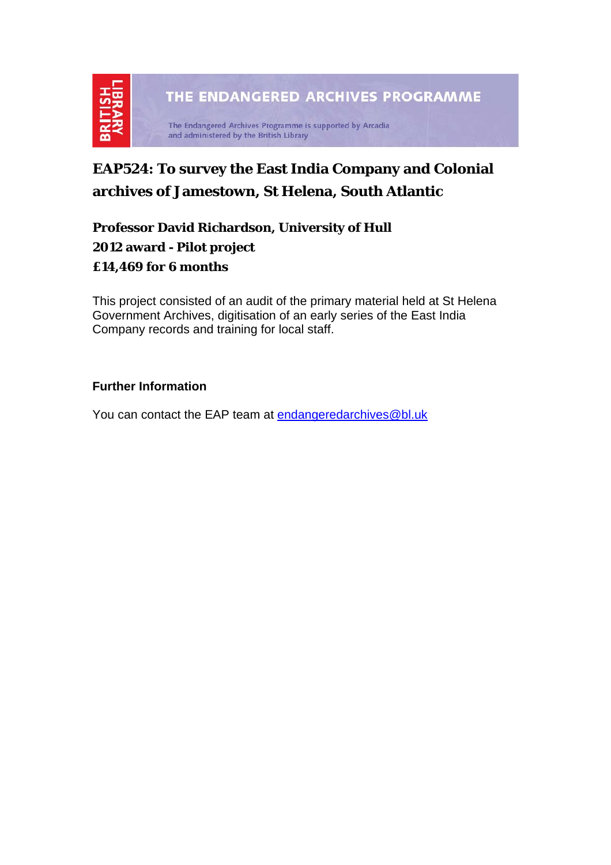

# **EAP524: To survey the East India Company and Colonial archives of Jamestown, St Helena, South Atlantic**

**Professor David Richardson, University of Hull 2012 award - Pilot project £14,469 for 6 months** 

This project consisted of an audit of the primary material held at St Helena Government Archives, digitisation of an early series of the East India Company records and training for local staff.

#### **Further Information**

You can contact the EAP team at [endangeredarchives@bl.uk](mailto:endangeredarchives@bl.uk)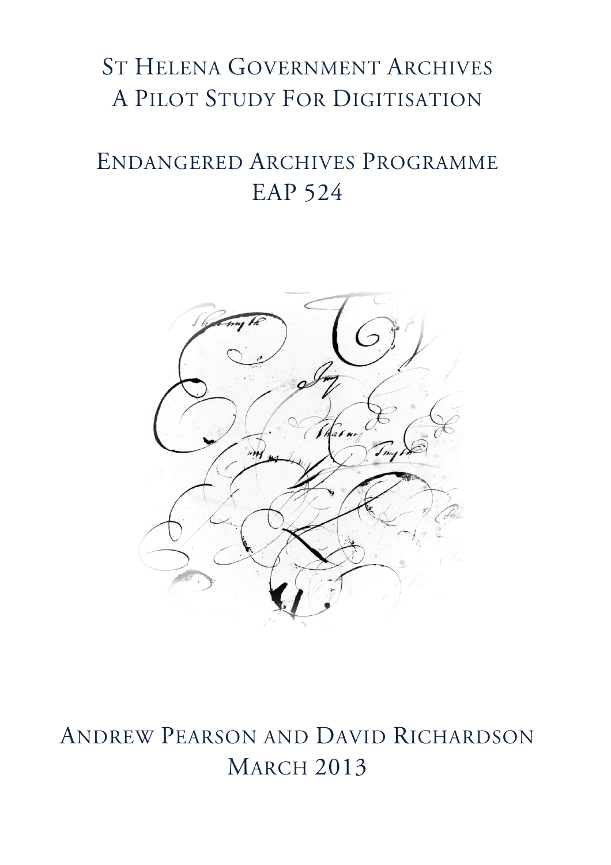# ST HELENA GOVERNMENT ARCHIVES A PILOT STUDY FOR DIGITISATION

# ENDANGERED ARCHIVES PROGRAMME EAP 524



# ANDREW PEARSON AND DAVID RICHARDSON **MARCH 2013**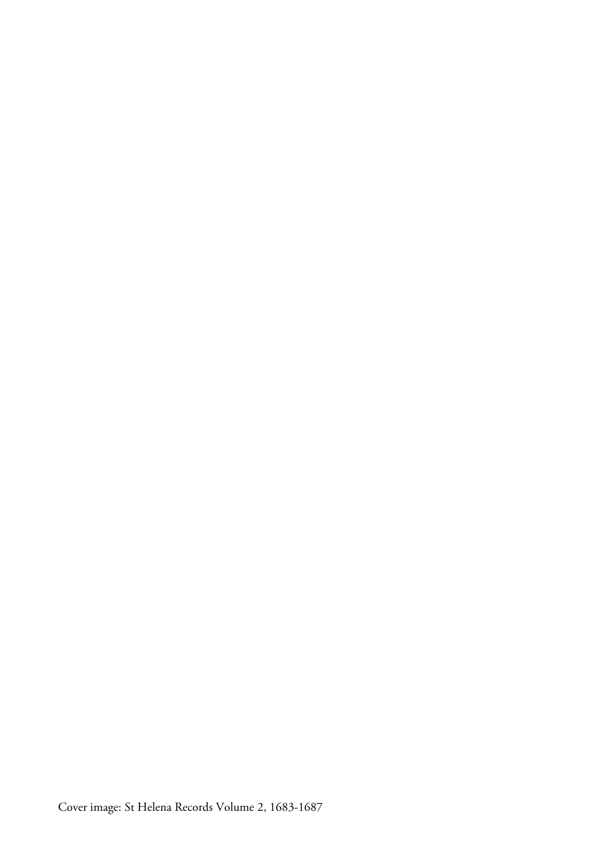Cover image: St Helena Records Volume 2, 1683-1687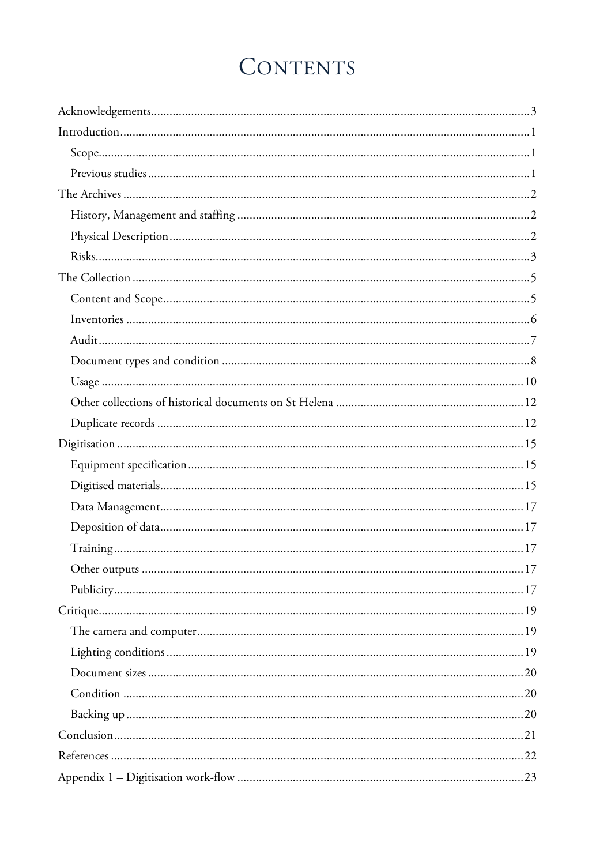# CONTENTS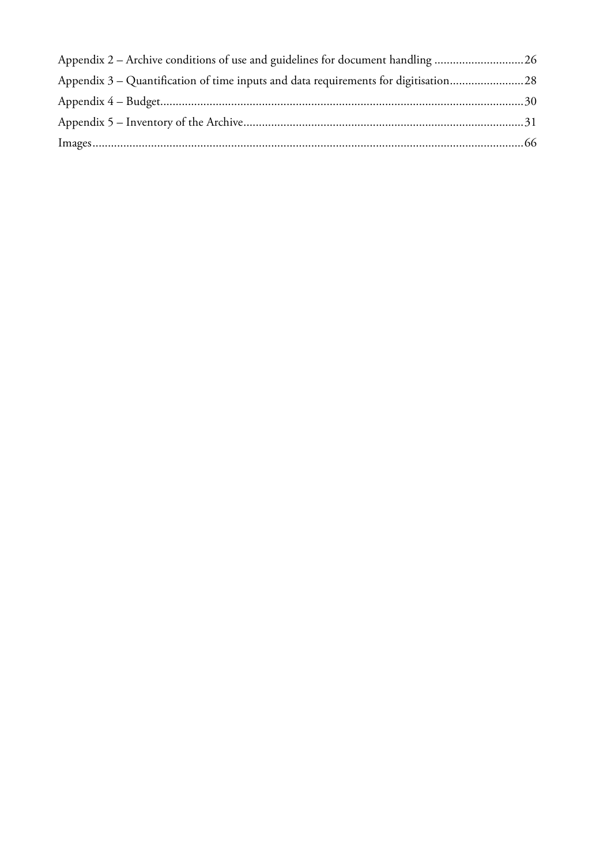| Appendix 2 – Archive conditions of use and guidelines for document handling 26      |  |
|-------------------------------------------------------------------------------------|--|
| Appendix 3 – Quantification of time inputs and data requirements for digitisation28 |  |
|                                                                                     |  |
|                                                                                     |  |
|                                                                                     |  |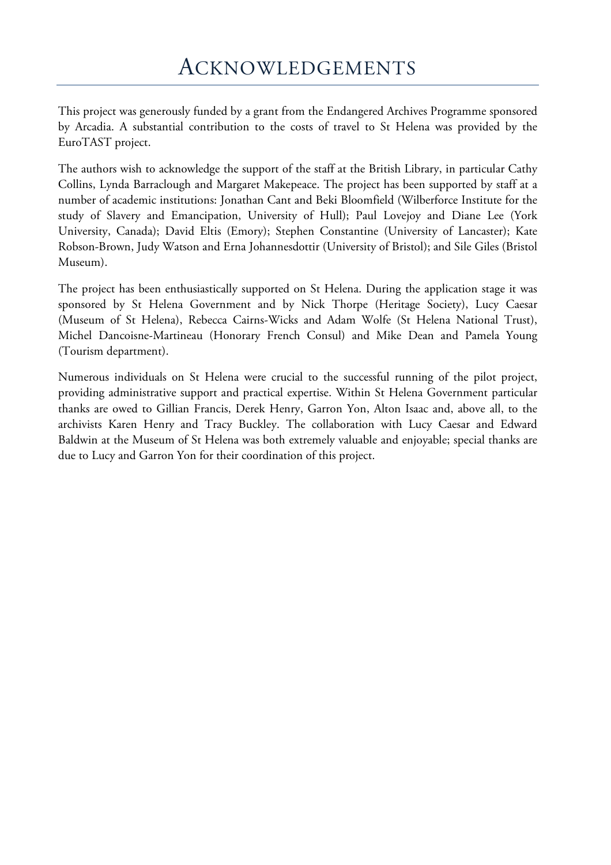This project was generously funded by a grant from the Endangered Archives Programme sponsored by Arcadia. A substantial contribution to the costs of travel to St Helena was provided by the EuroTAST project.

The authors wish to acknowledge the support of the staff at the British Library, in particular Cathy Collins, Lynda Barraclough and Margaret Makepeace. The project has been supported by staff at a number of academic institutions: Jonathan Cant and Beki Bloomfield (Wilberforce Institute for the study of Slavery and Emancipation, University of Hull); Paul Lovejoy and Diane Lee (York University, Canada); David Eltis (Emory); Stephen Constantine (University of Lancaster); Kate Robson-Brown, Judy Watson and Erna Johannesdottir (University of Bristol); and Sile Giles (Bristol Museum).

The project has been enthusiastically supported on St Helena. During the application stage it was sponsored by St Helena Government and by Nick Thorpe (Heritage Society), Lucy Caesar (Museum of St Helena), Rebecca Cairns-Wicks and Adam Wolfe (St Helena National Trust), Michel Dancoisne-Martineau (Honorary French Consul) and Mike Dean and Pamela Young (Tourism department).

Numerous individuals on St Helena were crucial to the successful running of the pilot project, providing administrative support and practical expertise. Within St Helena Government particular thanks are owed to Gillian Francis, Derek Henry, Garron Yon, Alton Isaac and, above all, to the archivists Karen Henry and Tracy Buckley. The collaboration with Lucy Caesar and Edward Baldwin at the Museum of St Helena was both extremely valuable and enjoyable; special thanks are due to Lucy and Garron Yon for their coordination of this project.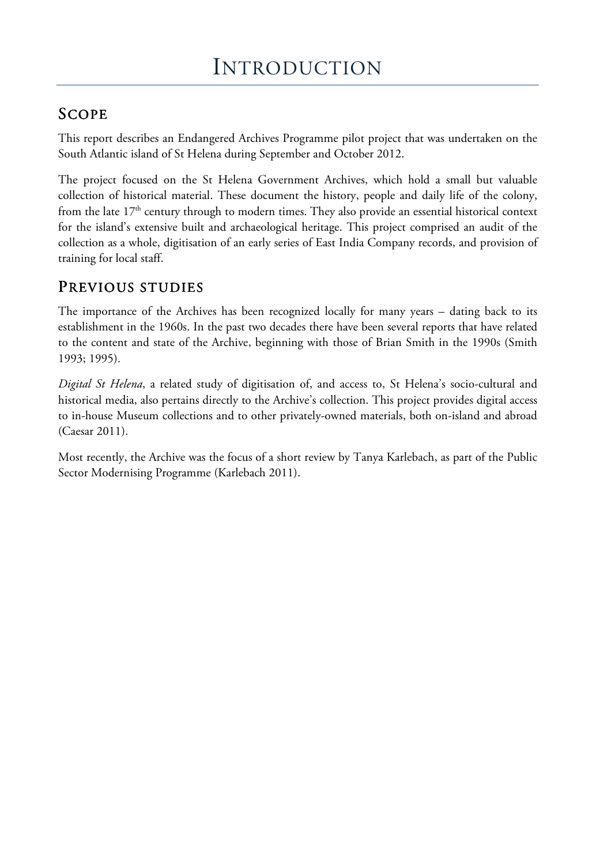## SCOPE

This report describes an Endangered Archives Programme pilot project that was undertaken on the South Atlantic island of St Helena during September and October 2012.

The project focused on the St Helena Government Archives, which hold a small but valuable collection of historical material. These document the history, people and daily life of the colony, from the late  $17<sup>th</sup>$  century through to modern times. They also provide an essential historical context for the island's extensive built and archaeological heritage. This project comprised an audit of the collection as a whole, digitisation of an early series of East India Company records, and provision of training for local staff.

## PREVIOUS STUDIES

The importance of the Archives has been recognized locally for many years – dating back to its establishment in the 1960s. In the past two decades there have been several reports that have related to the content and state of the Archive, beginning with those of Brian Smith in the 1990s (Smith 1993; 1995).

*Digital St Helena*, a related study of digitisation of, and access to, St Helena's socio-cultural and historical media, also pertains directly to the Archive's collection. This project provides digital access to in-house Museum collections and to other privately-owned materials, both on-island and abroad (Caesar 2011).

Most recently, the Archive was the focus of a short review by Tanya Karlebach, as part of the Public Sector Modernising Programme (Karlebach 2011).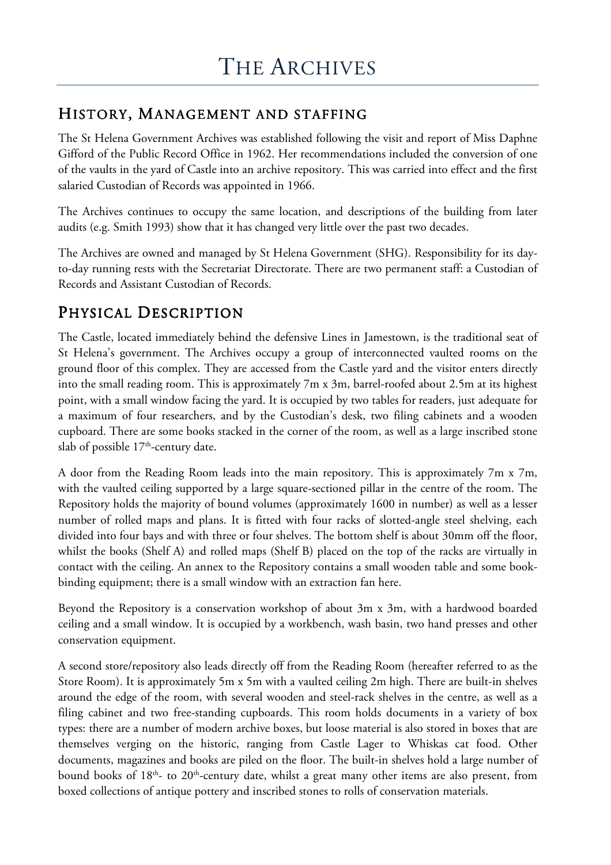## HISTORY, MANAGEMENT AND STAFFING

The St Helena Government Archives was established following the visit and report of Miss Daphne Gifford of the Public Record Office in 1962. Her recommendations included the conversion of one of the vaults in the yard of Castle into an archive repository. This was carried into effect and the first salaried Custodian of Records was appointed in 1966.

The Archives continues to occupy the same location, and descriptions of the building from later audits (e.g. Smith 1993) show that it has changed very little over the past two decades.

The Archives are owned and managed by St Helena Government (SHG). Responsibility for its dayto-day running rests with the Secretariat Directorate. There are two permanent staff: a Custodian of Records and Assistant Custodian of Records.

## PHYSICAL DESCRIPTION

The Castle, located immediately behind the defensive Lines in Jamestown, is the traditional seat of St Helena's government. The Archives occupy a group of interconnected vaulted rooms on the ground floor of this complex. They are accessed from the Castle yard and the visitor enters directly into the small reading room. This is approximately 7m x 3m, barrel-roofed about 2.5m at its highest point, with a small window facing the yard. It is occupied by two tables for readers, just adequate for a maximum of four researchers, and by the Custodian's desk, two filing cabinets and a wooden cupboard. There are some books stacked in the corner of the room, as well as a large inscribed stone slab of possible 17<sup>th</sup>-century date.

A door from the Reading Room leads into the main repository. This is approximately 7m x 7m, with the vaulted ceiling supported by a large square-sectioned pillar in the centre of the room. The Repository holds the majority of bound volumes (approximately 1600 in number) as well as a lesser number of rolled maps and plans. It is fitted with four racks of slotted-angle steel shelving, each divided into four bays and with three or four shelves. The bottom shelf is about 30mm off the floor, whilst the books (Shelf A) and rolled maps (Shelf B) placed on the top of the racks are virtually in contact with the ceiling. An annex to the Repository contains a small wooden table and some bookbinding equipment; there is a small window with an extraction fan here.

Beyond the Repository is a conservation workshop of about 3m x 3m, with a hardwood boarded ceiling and a small window. It is occupied by a workbench, wash basin, two hand presses and other conservation equipment.

A second store/repository also leads directly off from the Reading Room (hereafter referred to as the Store Room). It is approximately 5m x 5m with a vaulted ceiling 2m high. There are built-in shelves around the edge of the room, with several wooden and steel-rack shelves in the centre, as well as a filing cabinet and two free-standing cupboards. This room holds documents in a variety of box types: there are a number of modern archive boxes, but loose material is also stored in boxes that are themselves verging on the historic, ranging from Castle Lager to Whiskas cat food. Other documents, magazines and books are piled on the floor. The built-in shelves hold a large number of bound books of 18<sup>th</sup>- to 20<sup>th</sup>-century date, whilst a great many other items are also present, from boxed collections of antique pottery and inscribed stones to rolls of conservation materials.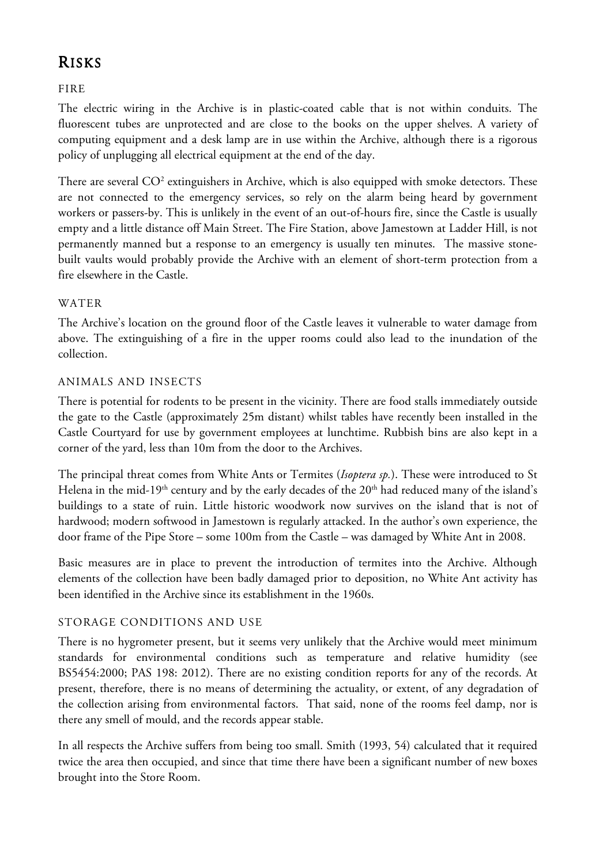## RISKS

FIRE

The electric wiring in the Archive is in plastic-coated cable that is not within conduits. The fluorescent tubes are unprotected and are close to the books on the upper shelves. A variety of computing equipment and a desk lamp are in use within the Archive, although there is a rigorous policy of unplugging all electrical equipment at the end of the day.

There are several  $CO^2$  extinguishers in Archive, which is also equipped with smoke detectors. These are not connected to the emergency services, so rely on the alarm being heard by government workers or passers-by. This is unlikely in the event of an out-of-hours fire, since the Castle is usually empty and a little distance off Main Street. The Fire Station, above Jamestown at Ladder Hill, is not permanently manned but a response to an emergency is usually ten minutes. The massive stonebuilt vaults would probably provide the Archive with an element of short-term protection from a fire elsewhere in the Castle.

#### WATER

The Archive's location on the ground floor of the Castle leaves it vulnerable to water damage from above. The extinguishing of a fire in the upper rooms could also lead to the inundation of the collection.

#### ANIMALS AND INSECTS

There is potential for rodents to be present in the vicinity. There are food stalls immediately outside the gate to the Castle (approximately 25m distant) whilst tables have recently been installed in the Castle Courtyard for use by government employees at lunchtime. Rubbish bins are also kept in a corner of the yard, less than 10m from the door to the Archives.

The principal threat comes from White Ants or Termites (*Isoptera sp.*). These were introduced to St Helena in the mid-19<sup>th</sup> century and by the early decades of the 20<sup>th</sup> had reduced many of the island's buildings to a state of ruin. Little historic woodwork now survives on the island that is not of hardwood; modern softwood in Jamestown is regularly attacked. In the author's own experience, the door frame of the Pipe Store – some 100m from the Castle – was damaged by White Ant in 2008.

Basic measures are in place to prevent the introduction of termites into the Archive. Although elements of the collection have been badly damaged prior to deposition, no White Ant activity has been identified in the Archive since its establishment in the 1960s.

#### STORAGE CONDITIONS AND USE

There is no hygrometer present, but it seems very unlikely that the Archive would meet minimum standards for environmental conditions such as temperature and relative humidity (see BS5454:2000; PAS 198: 2012). There are no existing condition reports for any of the records. At present, therefore, there is no means of determining the actuality, or extent, of any degradation of the collection arising from environmental factors. That said, none of the rooms feel damp, nor is there any smell of mould, and the records appear stable.

In all respects the Archive suffers from being too small. Smith (1993, 54) calculated that it required twice the area then occupied, and since that time there have been a significant number of new boxes brought into the Store Room.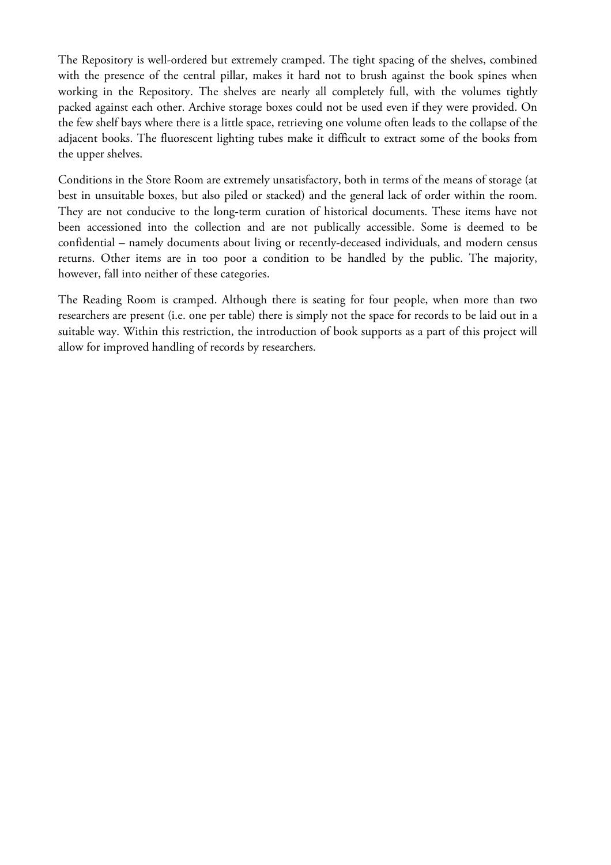The Repository is well-ordered but extremely cramped. The tight spacing of the shelves, combined with the presence of the central pillar, makes it hard not to brush against the book spines when working in the Repository. The shelves are nearly all completely full, with the volumes tightly packed against each other. Archive storage boxes could not be used even if they were provided. On the few shelf bays where there is a little space, retrieving one volume often leads to the collapse of the adjacent books. The fluorescent lighting tubes make it difficult to extract some of the books from the upper shelves.

Conditions in the Store Room are extremely unsatisfactory, both in terms of the means of storage (at best in unsuitable boxes, but also piled or stacked) and the general lack of order within the room. They are not conducive to the long-term curation of historical documents. These items have not been accessioned into the collection and are not publically accessible. Some is deemed to be confidential – namely documents about living or recently-deceased individuals, and modern census returns. Other items are in too poor a condition to be handled by the public. The majority, however, fall into neither of these categories.

The Reading Room is cramped. Although there is seating for four people, when more than two researchers are present (i.e. one per table) there is simply not the space for records to be laid out in a suitable way. Within this restriction, the introduction of book supports as a part of this project will allow for improved handling of records by researchers.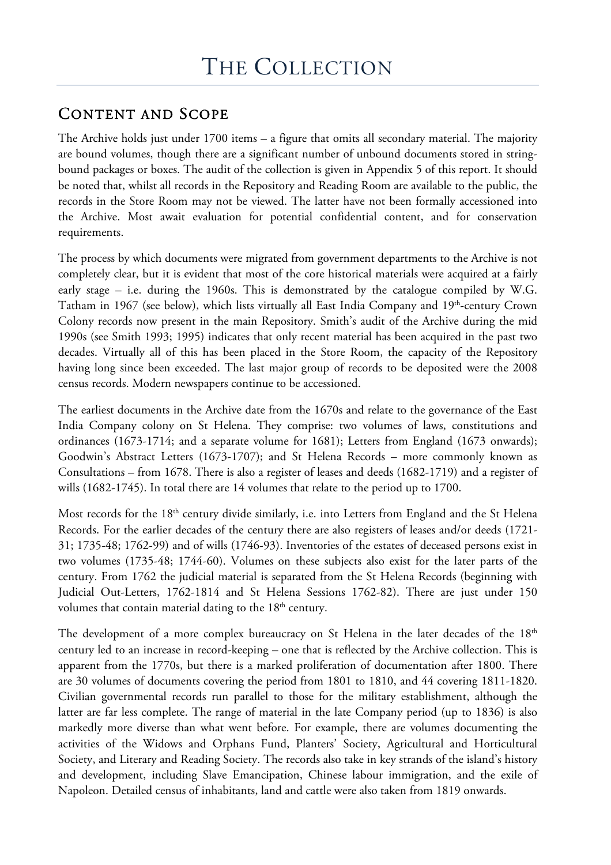## CONTENT AND SCOPE

The Archive holds just under 1700 items – a figure that omits all secondary material. The majority are bound volumes, though there are a significant number of unbound documents stored in stringbound packages or boxes. The audit of the collection is given in Appendix 5 of this report. It should be noted that, whilst all records in the Repository and Reading Room are available to the public, the records in the Store Room may not be viewed. The latter have not been formally accessioned into the Archive. Most await evaluation for potential confidential content, and for conservation requirements.

The process by which documents were migrated from government departments to the Archive is not completely clear, but it is evident that most of the core historical materials were acquired at a fairly early stage – i.e. during the 1960s. This is demonstrated by the catalogue compiled by W.G. Tatham in 1967 (see below), which lists virtually all East India Company and 19<sup>th</sup>-century Crown Colony records now present in the main Repository. Smith's audit of the Archive during the mid 1990s (see Smith 1993; 1995) indicates that only recent material has been acquired in the past two decades. Virtually all of this has been placed in the Store Room, the capacity of the Repository having long since been exceeded. The last major group of records to be deposited were the 2008 census records. Modern newspapers continue to be accessioned.

The earliest documents in the Archive date from the 1670s and relate to the governance of the East India Company colony on St Helena. They comprise: two volumes of laws, constitutions and ordinances (1673-1714; and a separate volume for 1681); Letters from England (1673 onwards); Goodwin's Abstract Letters (1673-1707); and St Helena Records – more commonly known as Consultations – from 1678. There is also a register of leases and deeds (1682-1719) and a register of wills (1682-1745). In total there are 14 volumes that relate to the period up to 1700.

Most records for the 18<sup>th</sup> century divide similarly, i.e. into Letters from England and the St Helena Records. For the earlier decades of the century there are also registers of leases and/or deeds (1721- 31; 1735-48; 1762-99) and of wills (1746-93). Inventories of the estates of deceased persons exist in two volumes (1735-48; 1744-60). Volumes on these subjects also exist for the later parts of the century. From 1762 the judicial material is separated from the St Helena Records (beginning with Judicial Out-Letters, 1762-1814 and St Helena Sessions 1762-82). There are just under 150 volumes that contain material dating to the 18<sup>th</sup> century.

The development of a more complex bureaucracy on St Helena in the later decades of the 18<sup>th</sup> century led to an increase in record-keeping – one that is reflected by the Archive collection. This is apparent from the 1770s, but there is a marked proliferation of documentation after 1800. There are 30 volumes of documents covering the period from 1801 to 1810, and 44 covering 1811-1820. Civilian governmental records run parallel to those for the military establishment, although the latter are far less complete. The range of material in the late Company period (up to 1836) is also markedly more diverse than what went before. For example, there are volumes documenting the activities of the Widows and Orphans Fund, Planters' Society, Agricultural and Horticultural Society, and Literary and Reading Society. The records also take in key strands of the island's history and development, including Slave Emancipation, Chinese labour immigration, and the exile of Napoleon. Detailed census of inhabitants, land and cattle were also taken from 1819 onwards.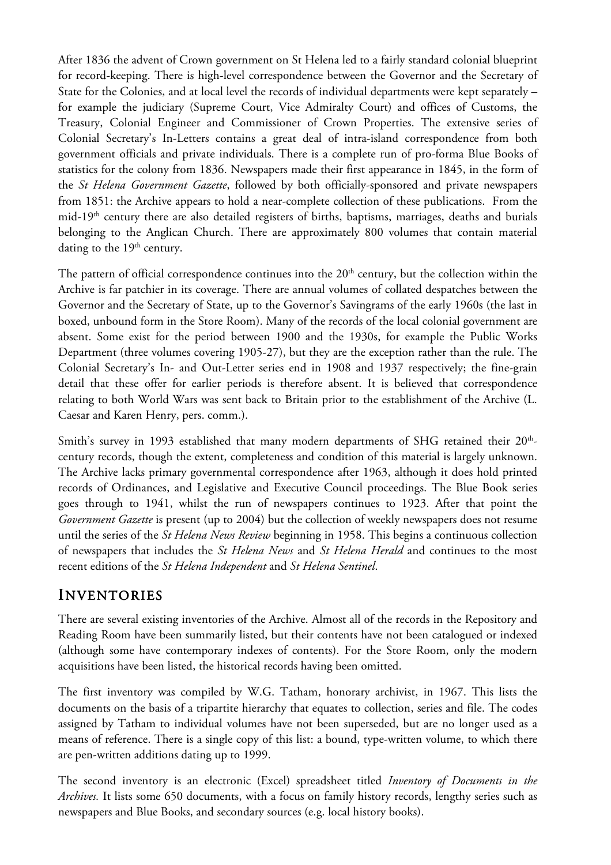After 1836 the advent of Crown government on St Helena led to a fairly standard colonial blueprint for record-keeping. There is high-level correspondence between the Governor and the Secretary of State for the Colonies, and at local level the records of individual departments were kept separately – for example the judiciary (Supreme Court, Vice Admiralty Court) and offices of Customs, the Treasury, Colonial Engineer and Commissioner of Crown Properties. The extensive series of Colonial Secretary's In-Letters contains a great deal of intra-island correspondence from both government officials and private individuals. There is a complete run of pro-forma Blue Books of statistics for the colony from 1836. Newspapers made their first appearance in 1845, in the form of the *St Helena Government Gazette*, followed by both officially-sponsored and private newspapers from 1851: the Archive appears to hold a near-complete collection of these publications. From the mid-19th century there are also detailed registers of births, baptisms, marriages, deaths and burials belonging to the Anglican Church. There are approximately 800 volumes that contain material dating to the  $19<sup>th</sup>$  century.

The pattern of official correspondence continues into the 20<sup>th</sup> century, but the collection within the Archive is far patchier in its coverage. There are annual volumes of collated despatches between the Governor and the Secretary of State, up to the Governor's Savingrams of the early 1960s (the last in boxed, unbound form in the Store Room). Many of the records of the local colonial government are absent. Some exist for the period between 1900 and the 1930s, for example the Public Works Department (three volumes covering 1905-27), but they are the exception rather than the rule. The Colonial Secretary's In- and Out-Letter series end in 1908 and 1937 respectively; the fine-grain detail that these offer for earlier periods is therefore absent. It is believed that correspondence relating to both World Wars was sent back to Britain prior to the establishment of the Archive (L. Caesar and Karen Henry, pers. comm.).

Smith's survey in 1993 established that many modern departments of SHG retained their  $20^{\text{th}}$ century records, though the extent, completeness and condition of this material is largely unknown. The Archive lacks primary governmental correspondence after 1963, although it does hold printed records of Ordinances, and Legislative and Executive Council proceedings. The Blue Book series goes through to 1941, whilst the run of newspapers continues to 1923. After that point the *Government Gazette* is present (up to 2004) but the collection of weekly newspapers does not resume until the series of the *St Helena News Review* beginning in 1958. This begins a continuous collection of newspapers that includes the *St Helena News* and *St Helena Herald* and continues to the most recent editions of the *St Helena Independent* and *St Helena Sentinel*.

## INVENTORIES

There are several existing inventories of the Archive. Almost all of the records in the Repository and Reading Room have been summarily listed, but their contents have not been catalogued or indexed (although some have contemporary indexes of contents). For the Store Room, only the modern acquisitions have been listed, the historical records having been omitted.

The first inventory was compiled by W.G. Tatham, honorary archivist, in 1967. This lists the documents on the basis of a tripartite hierarchy that equates to collection, series and file. The codes assigned by Tatham to individual volumes have not been superseded, but are no longer used as a means of reference. There is a single copy of this list: a bound, type-written volume, to which there are pen-written additions dating up to 1999.

The second inventory is an electronic (Excel) spreadsheet titled *Inventory of Documents in the Archives.* It lists some 650 documents, with a focus on family history records, lengthy series such as newspapers and Blue Books, and secondary sources (e.g. local history books).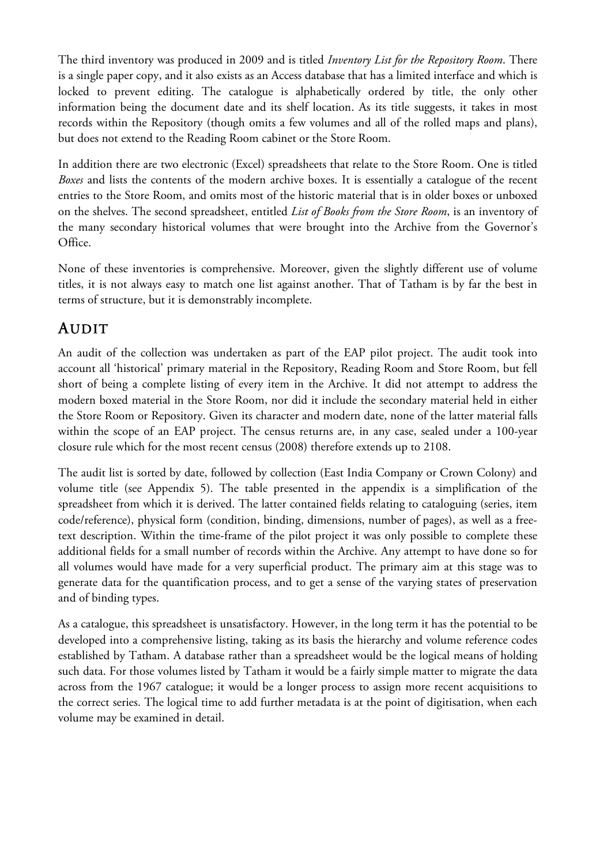The third inventory was produced in 2009 and is titled *Inventory List for the Repository Room*. There is a single paper copy, and it also exists as an Access database that has a limited interface and which is locked to prevent editing. The catalogue is alphabetically ordered by title, the only other information being the document date and its shelf location. As its title suggests, it takes in most records within the Repository (though omits a few volumes and all of the rolled maps and plans), but does not extend to the Reading Room cabinet or the Store Room.

In addition there are two electronic (Excel) spreadsheets that relate to the Store Room. One is titled *Boxes* and lists the contents of the modern archive boxes. It is essentially a catalogue of the recent entries to the Store Room, and omits most of the historic material that is in older boxes or unboxed on the shelves. The second spreadsheet, entitled *List of Books from the Store Room*, is an inventory of the many secondary historical volumes that were brought into the Archive from the Governor's Office.

None of these inventories is comprehensive. Moreover, given the slightly different use of volume titles, it is not always easy to match one list against another. That of Tatham is by far the best in terms of structure, but it is demonstrably incomplete.

## AUDIT

An audit of the collection was undertaken as part of the EAP pilot project. The audit took into account all 'historical' primary material in the Repository, Reading Room and Store Room, but fell short of being a complete listing of every item in the Archive. It did not attempt to address the modern boxed material in the Store Room, nor did it include the secondary material held in either the Store Room or Repository. Given its character and modern date, none of the latter material falls within the scope of an EAP project. The census returns are, in any case, sealed under a 100-year closure rule which for the most recent census (2008) therefore extends up to 2108.

The audit list is sorted by date, followed by collection (East India Company or Crown Colony) and volume title (see Appendix 5). The table presented in the appendix is a simplification of the spreadsheet from which it is derived. The latter contained fields relating to cataloguing (series, item code/reference), physical form (condition, binding, dimensions, number of pages), as well as a freetext description. Within the time-frame of the pilot project it was only possible to complete these additional fields for a small number of records within the Archive. Any attempt to have done so for all volumes would have made for a very superficial product. The primary aim at this stage was to generate data for the quantification process, and to get a sense of the varying states of preservation and of binding types.

As a catalogue, this spreadsheet is unsatisfactory. However, in the long term it has the potential to be developed into a comprehensive listing, taking as its basis the hierarchy and volume reference codes established by Tatham. A database rather than a spreadsheet would be the logical means of holding such data. For those volumes listed by Tatham it would be a fairly simple matter to migrate the data across from the 1967 catalogue; it would be a longer process to assign more recent acquisitions to the correct series. The logical time to add further metadata is at the point of digitisation, when each volume may be examined in detail.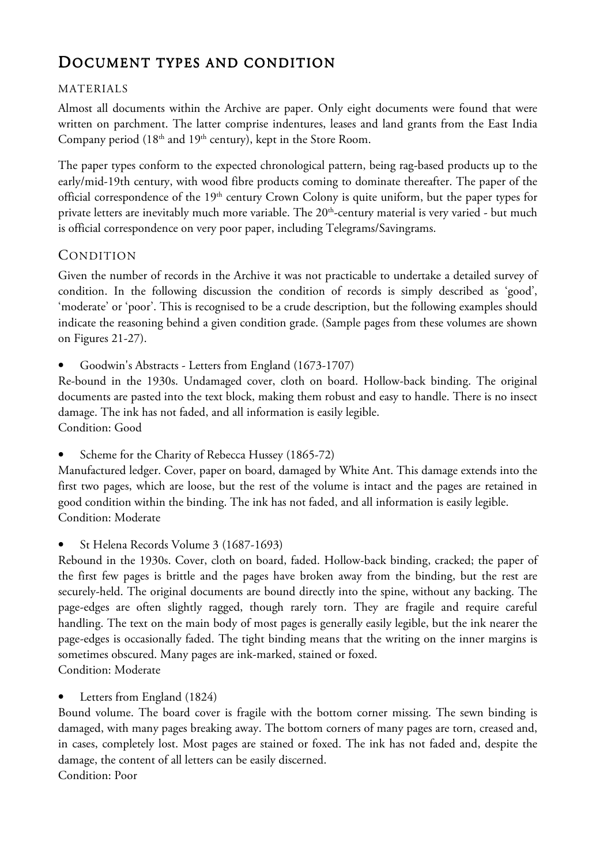## DOCUMENT TYPES AND CONDITION

#### MATERIALS

Almost all documents within the Archive are paper. Only eight documents were found that were written on parchment. The latter comprise indentures, leases and land grants from the East India Company period  $(18<sup>th</sup>$  and  $19<sup>th</sup>$  century), kept in the Store Room.

The paper types conform to the expected chronological pattern, being rag-based products up to the early/mid-19th century, with wood fibre products coming to dominate thereafter. The paper of the official correspondence of the 19<sup>th</sup> century Crown Colony is quite uniform, but the paper types for private letters are inevitably much more variable. The 20<sup>th</sup>-century material is very varied - but much is official correspondence on very poor paper, including Telegrams/Savingrams.

### CONDITION

Given the number of records in the Archive it was not practicable to undertake a detailed survey of condition. In the following discussion the condition of records is simply described as 'good', 'moderate' or 'poor'. This is recognised to be a crude description, but the following examples should indicate the reasoning behind a given condition grade. (Sample pages from these volumes are shown on Figures 21-27).

• Goodwin's Abstracts - Letters from England (1673-1707)

Re-bound in the 1930s. Undamaged cover, cloth on board. Hollow-back binding. The original documents are pasted into the text block, making them robust and easy to handle. There is no insect damage. The ink has not faded, and all information is easily legible. Condition: Good

Scheme for the Charity of Rebecca Hussey (1865-72)

Manufactured ledger. Cover, paper on board, damaged by White Ant. This damage extends into the first two pages, which are loose, but the rest of the volume is intact and the pages are retained in good condition within the binding. The ink has not faded, and all information is easily legible. Condition: Moderate

• St Helena Records Volume 3 (1687-1693)

Rebound in the 1930s. Cover, cloth on board, faded. Hollow-back binding, cracked; the paper of the first few pages is brittle and the pages have broken away from the binding, but the rest are securely-held. The original documents are bound directly into the spine, without any backing. The page-edges are often slightly ragged, though rarely torn. They are fragile and require careful handling. The text on the main body of most pages is generally easily legible, but the ink nearer the page-edges is occasionally faded. The tight binding means that the writing on the inner margins is sometimes obscured. Many pages are ink-marked, stained or foxed. Condition: Moderate

Letters from England (1824)

Bound volume. The board cover is fragile with the bottom corner missing. The sewn binding is damaged, with many pages breaking away. The bottom corners of many pages are torn, creased and, in cases, completely lost. Most pages are stained or foxed. The ink has not faded and, despite the damage, the content of all letters can be easily discerned.

Condition: Poor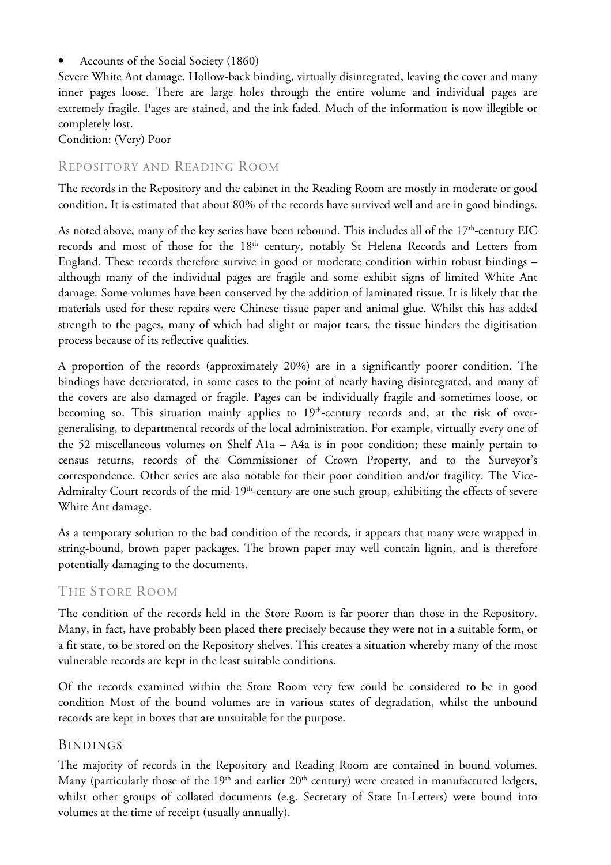• Accounts of the Social Society (1860)

Severe White Ant damage. Hollow-back binding, virtually disintegrated, leaving the cover and many inner pages loose. There are large holes through the entire volume and individual pages are extremely fragile. Pages are stained, and the ink faded. Much of the information is now illegible or completely lost.

Condition: (Very) Poor

### REPOSITORY AND READING ROOM

The records in the Repository and the cabinet in the Reading Room are mostly in moderate or good condition. It is estimated that about 80% of the records have survived well and are in good bindings.

As noted above, many of the key series have been rebound. This includes all of the  $17<sup>th</sup>$ -century EIC records and most of those for the 18<sup>th</sup> century, notably St Helena Records and Letters from England. These records therefore survive in good or moderate condition within robust bindings – although many of the individual pages are fragile and some exhibit signs of limited White Ant damage. Some volumes have been conserved by the addition of laminated tissue. It is likely that the materials used for these repairs were Chinese tissue paper and animal glue. Whilst this has added strength to the pages, many of which had slight or major tears, the tissue hinders the digitisation process because of its reflective qualities.

A proportion of the records (approximately 20%) are in a significantly poorer condition. The bindings have deteriorated, in some cases to the point of nearly having disintegrated, and many of the covers are also damaged or fragile. Pages can be individually fragile and sometimes loose, or becoming so. This situation mainly applies to  $19<sup>th</sup>$ -century records and, at the risk of overgeneralising, to departmental records of the local administration. For example, virtually every one of the 52 miscellaneous volumes on Shelf A1a – A4a is in poor condition; these mainly pertain to census returns, records of the Commissioner of Crown Property, and to the Surveyor's correspondence. Other series are also notable for their poor condition and/or fragility. The Vice-Admiralty Court records of the mid-19<sup>th</sup>-century are one such group, exhibiting the effects of severe White Ant damage.

As a temporary solution to the bad condition of the records, it appears that many were wrapped in string-bound, brown paper packages. The brown paper may well contain lignin, and is therefore potentially damaging to the documents.

### THE STORE ROOM

The condition of the records held in the Store Room is far poorer than those in the Repository. Many, in fact, have probably been placed there precisely because they were not in a suitable form, or a fit state, to be stored on the Repository shelves. This creates a situation whereby many of the most vulnerable records are kept in the least suitable conditions.

Of the records examined within the Store Room very few could be considered to be in good condition Most of the bound volumes are in various states of degradation, whilst the unbound records are kept in boxes that are unsuitable for the purpose.

### BINDINGS

The majority of records in the Repository and Reading Room are contained in bound volumes. Many (particularly those of the  $19<sup>th</sup>$  and earlier  $20<sup>th</sup>$  century) were created in manufactured ledgers, whilst other groups of collated documents (e.g. Secretary of State In-Letters) were bound into volumes at the time of receipt (usually annually).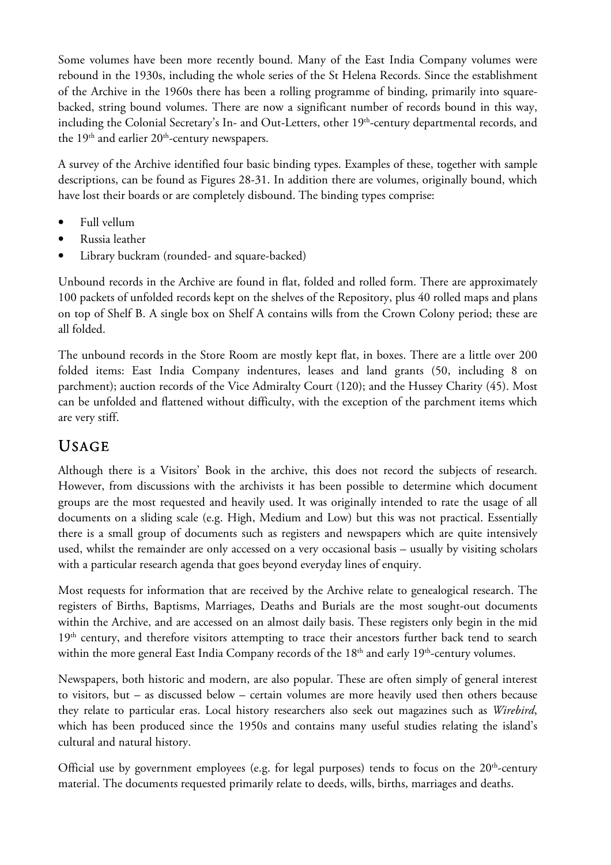Some volumes have been more recently bound. Many of the East India Company volumes were rebound in the 1930s, including the whole series of the St Helena Records. Since the establishment of the Archive in the 1960s there has been a rolling programme of binding, primarily into squarebacked, string bound volumes. There are now a significant number of records bound in this way, including the Colonial Secretary's In- and Out-Letters, other 19<sup>th</sup>-century departmental records, and the 19<sup>th</sup> and earlier 20<sup>th</sup>-century newspapers.

A survey of the Archive identified four basic binding types. Examples of these, together with sample descriptions, can be found as Figures 28-31. In addition there are volumes, originally bound, which have lost their boards or are completely disbound. The binding types comprise:

- Full vellum
- Russia leather
- Library buckram (rounded- and square-backed)

Unbound records in the Archive are found in flat, folded and rolled form. There are approximately 100 packets of unfolded records kept on the shelves of the Repository, plus 40 rolled maps and plans on top of Shelf B. A single box on Shelf A contains wills from the Crown Colony period; these are all folded.

The unbound records in the Store Room are mostly kept flat, in boxes. There are a little over 200 folded items: East India Company indentures, leases and land grants (50, including 8 on parchment); auction records of the Vice Admiralty Court (120); and the Hussey Charity (45). Most can be unfolded and flattened without difficulty, with the exception of the parchment items which are very stiff.

# USAGE

Although there is a Visitors' Book in the archive, this does not record the subjects of research. However, from discussions with the archivists it has been possible to determine which document groups are the most requested and heavily used. It was originally intended to rate the usage of all documents on a sliding scale (e.g. High, Medium and Low) but this was not practical. Essentially there is a small group of documents such as registers and newspapers which are quite intensively used, whilst the remainder are only accessed on a very occasional basis – usually by visiting scholars with a particular research agenda that goes beyond everyday lines of enquiry.

Most requests for information that are received by the Archive relate to genealogical research. The registers of Births, Baptisms, Marriages, Deaths and Burials are the most sought-out documents within the Archive, and are accessed on an almost daily basis. These registers only begin in the mid 19<sup>th</sup> century, and therefore visitors attempting to trace their ancestors further back tend to search within the more general East India Company records of the 18<sup>th</sup> and early 19<sup>th</sup>-century volumes.

Newspapers, both historic and modern, are also popular. These are often simply of general interest to visitors, but – as discussed below – certain volumes are more heavily used then others because they relate to particular eras. Local history researchers also seek out magazines such as *Wirebird*, which has been produced since the 1950s and contains many useful studies relating the island's cultural and natural history.

Official use by government employees (e.g. for legal purposes) tends to focus on the  $20<sup>th</sup>$ -century material. The documents requested primarily relate to deeds, wills, births, marriages and deaths.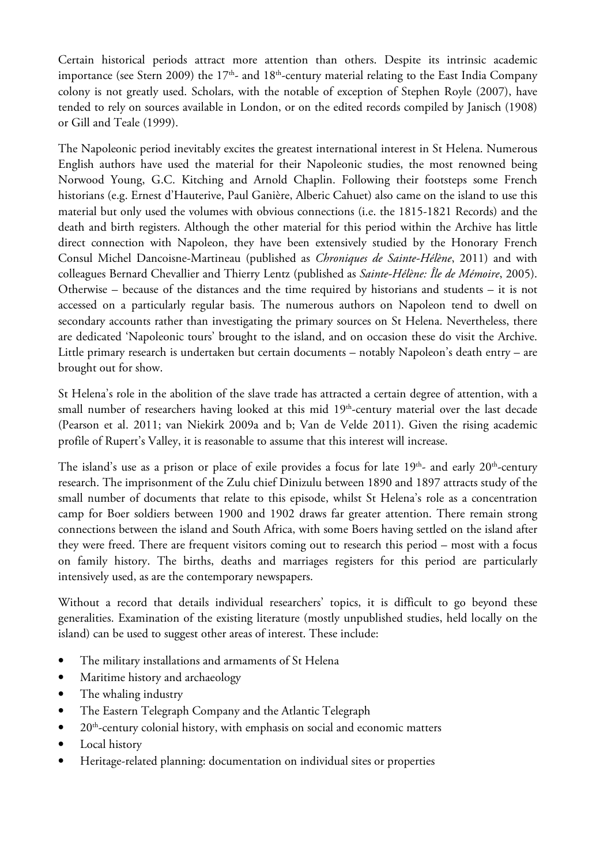Certain historical periods attract more attention than others. Despite its intrinsic academic importance (see Stern 2009) the  $17<sup>th</sup>$ - and  $18<sup>th</sup>$ -century material relating to the East India Company colony is not greatly used. Scholars, with the notable of exception of Stephen Royle (2007), have tended to rely on sources available in London, or on the edited records compiled by Janisch (1908) or Gill and Teale (1999).

The Napoleonic period inevitably excites the greatest international interest in St Helena. Numerous English authors have used the material for their Napoleonic studies, the most renowned being Norwood Young, G.C. Kitching and Arnold Chaplin. Following their footsteps some French historians (e.g. Ernest d'Hauterive, Paul Ganière, Alberic Cahuet) also came on the island to use this material but only used the volumes with obvious connections (i.e. the 1815-1821 Records) and the death and birth registers. Although the other material for this period within the Archive has little direct connection with Napoleon, they have been extensively studied by the Honorary French Consul Michel Dancoisne-Martineau (published as *Chroniques de Sainte-Hélène*, 2011) and with colleagues Bernard Chevallier and Thierry Lentz (published as *Sainte-Hélène: Île de Mémoire*, 2005). Otherwise – because of the distances and the time required by historians and students – it is not accessed on a particularly regular basis. The numerous authors on Napoleon tend to dwell on secondary accounts rather than investigating the primary sources on St Helena. Nevertheless, there are dedicated 'Napoleonic tours' brought to the island, and on occasion these do visit the Archive. Little primary research is undertaken but certain documents – notably Napoleon's death entry – are brought out for show.

St Helena's role in the abolition of the slave trade has attracted a certain degree of attention, with a small number of researchers having looked at this mid 19<sup>th</sup>-century material over the last decade (Pearson et al. 2011; van Niekirk 2009a and b; Van de Velde 2011). Given the rising academic profile of Rupert's Valley, it is reasonable to assume that this interest will increase.

The island's use as a prison or place of exile provides a focus for late  $19<sup>th</sup>$ - and early  $20<sup>th</sup>$ -century research. The imprisonment of the Zulu chief Dinizulu between 1890 and 1897 attracts study of the small number of documents that relate to this episode, whilst St Helena's role as a concentration camp for Boer soldiers between 1900 and 1902 draws far greater attention. There remain strong connections between the island and South Africa, with some Boers having settled on the island after they were freed. There are frequent visitors coming out to research this period – most with a focus on family history. The births, deaths and marriages registers for this period are particularly intensively used, as are the contemporary newspapers.

Without a record that details individual researchers' topics, it is difficult to go beyond these generalities. Examination of the existing literature (mostly unpublished studies, held locally on the island) can be used to suggest other areas of interest. These include:

- The military installations and armaments of St Helena
- Maritime history and archaeology
- The whaling industry
- The Eastern Telegraph Company and the Atlantic Telegraph
- $\bullet$  20<sup>th</sup>-century colonial history, with emphasis on social and economic matters
- Local history
- Heritage-related planning: documentation on individual sites or properties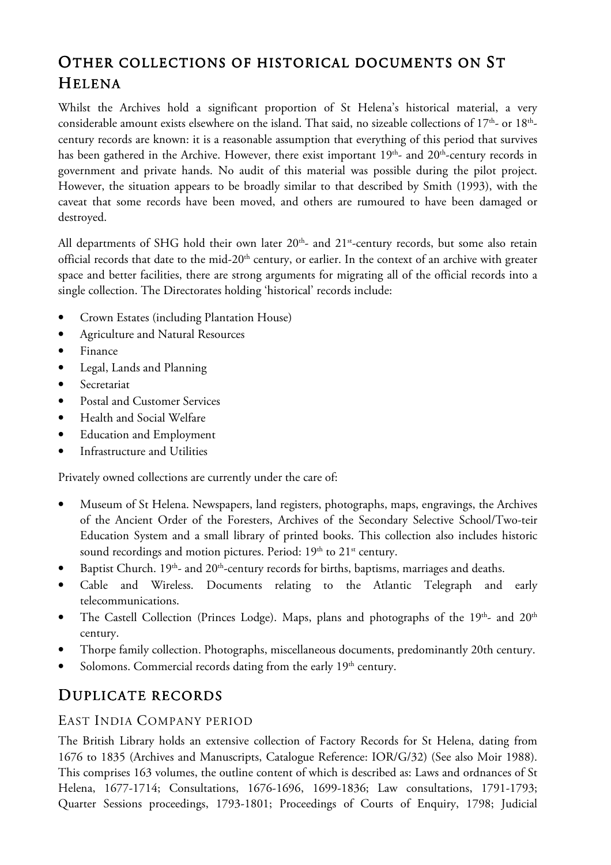# OTHER COLLECTIONS OF HISTORICAL DOCUMENTS ON ST HELENA

Whilst the Archives hold a significant proportion of St Helena's historical material, a very considerable amount exists elsewhere on the island. That said, no sizeable collections of  $17^{\text{th}}$ - or  $18^{\text{th}}$ century records are known: it is a reasonable assumption that everything of this period that survives has been gathered in the Archive. However, there exist important 19<sup>th</sup>- and 20<sup>th</sup>-century records in government and private hands. No audit of this material was possible during the pilot project. However, the situation appears to be broadly similar to that described by Smith (1993), with the caveat that some records have been moved, and others are rumoured to have been damaged or destroyed.

All departments of SHG hold their own later 20<sup>th</sup>- and 21<sup>st</sup>-century records, but some also retain official records that date to the mid-20<sup>th</sup> century, or earlier. In the context of an archive with greater space and better facilities, there are strong arguments for migrating all of the official records into a single collection. The Directorates holding 'historical' records include:

- Crown Estates (including Plantation House)
- Agriculture and Natural Resources
- Finance
- Legal, Lands and Planning
- Secretariat
- Postal and Customer Services
- Health and Social Welfare
- Education and Employment
- Infrastructure and Utilities

Privately owned collections are currently under the care of:

- Museum of St Helena. Newspapers, land registers, photographs, maps, engravings, the Archives of the Ancient Order of the Foresters, Archives of the Secondary Selective School/Two-teir Education System and a small library of printed books. This collection also includes historic sound recordings and motion pictures. Period: 19<sup>th</sup> to 21<sup>st</sup> century.
- Baptist Church.  $19<sup>th</sup>$  and  $20<sup>th</sup>$ -century records for births, baptisms, marriages and deaths.
- Cable and Wireless. Documents relating to the Atlantic Telegraph and early telecommunications.
- The Castell Collection (Princes Lodge). Maps, plans and photographs of the 19<sup>th</sup>- and 20<sup>th</sup> century.
- Thorpe family collection. Photographs, miscellaneous documents, predominantly 20th century.
- Solomons. Commercial records dating from the early  $19<sup>th</sup>$  century.

## DUPLICATE RECORDS

#### EAST INDIA COMPANY PERIOD

The British Library holds an extensive collection of Factory Records for St Helena, dating from 1676 to 1835 (Archives and Manuscripts, Catalogue Reference: IOR/G/32) (See also Moir 1988). This comprises 163 volumes, the outline content of which is described as: Laws and ordnances of St Helena, 1677-1714; Consultations, 1676-1696, 1699-1836; Law consultations, 1791-1793; Quarter Sessions proceedings, 1793-1801; Proceedings of Courts of Enquiry, 1798; Judicial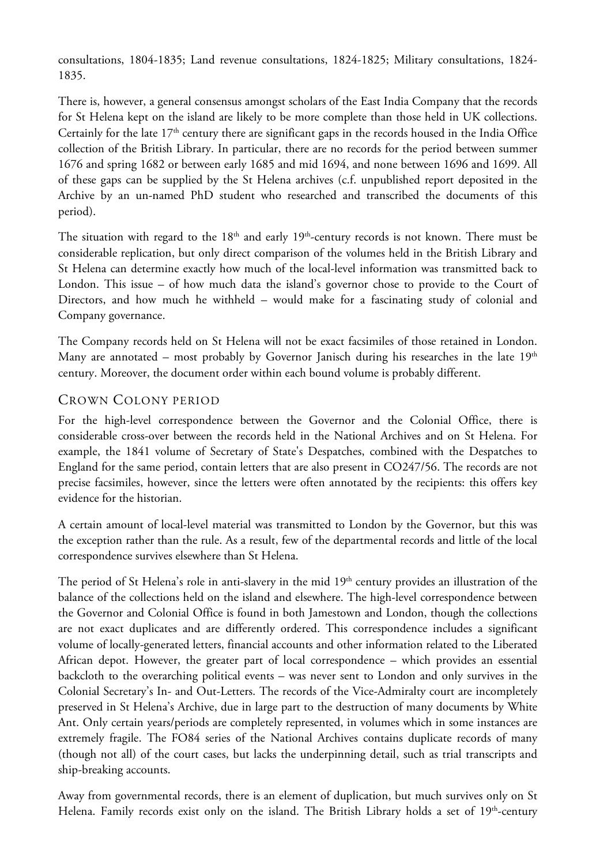consultations, 1804-1835; Land revenue consultations, 1824-1825; Military consultations, 1824- 1835.

There is, however, a general consensus amongst scholars of the East India Company that the records for St Helena kept on the island are likely to be more complete than those held in UK collections. Certainly for the late  $17<sup>th</sup>$  century there are significant gaps in the records housed in the India Office collection of the British Library. In particular, there are no records for the period between summer 1676 and spring 1682 or between early 1685 and mid 1694, and none between 1696 and 1699. All of these gaps can be supplied by the St Helena archives (c.f. unpublished report deposited in the Archive by an un-named PhD student who researched and transcribed the documents of this period).

The situation with regard to the  $18<sup>th</sup>$  and early  $19<sup>th</sup>$ -century records is not known. There must be considerable replication, but only direct comparison of the volumes held in the British Library and St Helena can determine exactly how much of the local-level information was transmitted back to London. This issue – of how much data the island's governor chose to provide to the Court of Directors, and how much he withheld – would make for a fascinating study of colonial and Company governance.

The Company records held on St Helena will not be exact facsimiles of those retained in London. Many are annotated – most probably by Governor Janisch during his researches in the late  $19<sup>th</sup>$ century. Moreover, the document order within each bound volume is probably different.

### CROWN COLONY PERIOD

For the high-level correspondence between the Governor and the Colonial Office, there is considerable cross-over between the records held in the National Archives and on St Helena. For example, the 1841 volume of Secretary of State's Despatches, combined with the Despatches to England for the same period, contain letters that are also present in CO247/56. The records are not precise facsimiles, however, since the letters were often annotated by the recipients: this offers key evidence for the historian.

A certain amount of local-level material was transmitted to London by the Governor, but this was the exception rather than the rule. As a result, few of the departmental records and little of the local correspondence survives elsewhere than St Helena.

The period of St Helena's role in anti-slavery in the mid 19<sup>th</sup> century provides an illustration of the balance of the collections held on the island and elsewhere. The high-level correspondence between the Governor and Colonial Office is found in both Jamestown and London, though the collections are not exact duplicates and are differently ordered. This correspondence includes a significant volume of locally-generated letters, financial accounts and other information related to the Liberated African depot. However, the greater part of local correspondence – which provides an essential backcloth to the overarching political events – was never sent to London and only survives in the Colonial Secretary's In- and Out-Letters. The records of the Vice-Admiralty court are incompletely preserved in St Helena's Archive, due in large part to the destruction of many documents by White Ant. Only certain years/periods are completely represented, in volumes which in some instances are extremely fragile. The FO84 series of the National Archives contains duplicate records of many (though not all) of the court cases, but lacks the underpinning detail, such as trial transcripts and ship-breaking accounts.

Away from governmental records, there is an element of duplication, but much survives only on St Helena. Family records exist only on the island. The British Library holds a set of 19<sup>th</sup>-century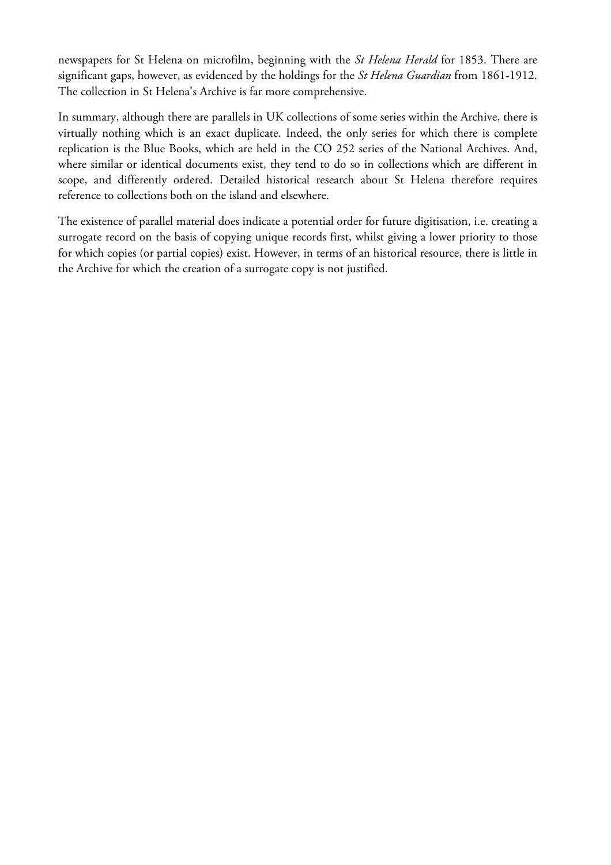newspapers for St Helena on microfilm, beginning with the *St Helena Herald* for 1853. There are significant gaps, however, as evidenced by the holdings for the *St Helena Guardian* from 1861-1912. The collection in St Helena's Archive is far more comprehensive.

In summary, although there are parallels in UK collections of some series within the Archive, there is virtually nothing which is an exact duplicate. Indeed, the only series for which there is complete replication is the Blue Books, which are held in the CO 252 series of the National Archives. And, where similar or identical documents exist, they tend to do so in collections which are different in scope, and differently ordered. Detailed historical research about St Helena therefore requires reference to collections both on the island and elsewhere.

The existence of parallel material does indicate a potential order for future digitisation, i.e. creating a surrogate record on the basis of copying unique records first, whilst giving a lower priority to those for which copies (or partial copies) exist. However, in terms of an historical resource, there is little in the Archive for which the creation of a surrogate copy is not justified.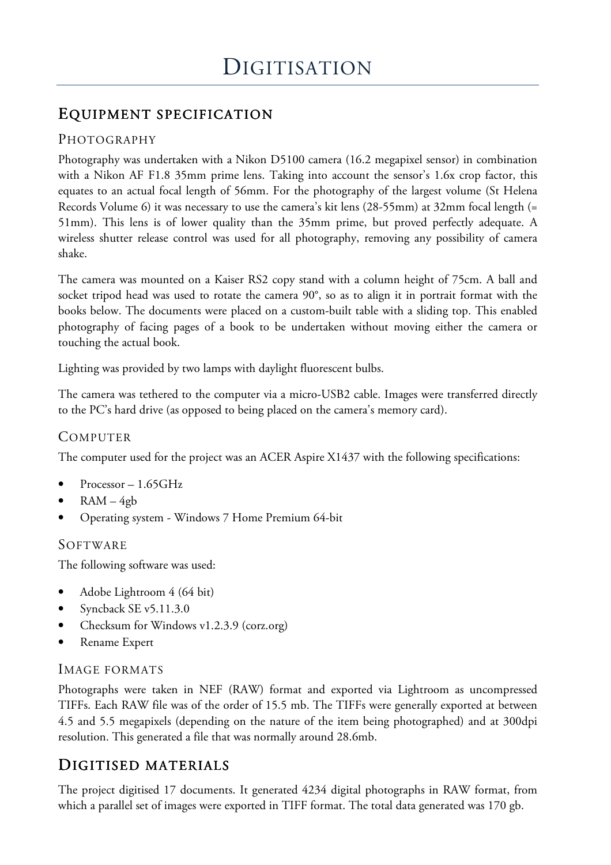## EQUIPMENT SPECIFICATION QUIPMENT SPECIFICATION

## PHOTOGRAPHY

Photography was undertaken with a Nikon D5100 camera (16.2 megapixel sensor) in combination with a Nikon AF F1.8 35mm prime lens. Taking into account the sensor's 1.6x crop factor, this equates to an actual focal length of 56mm. For the photography of the largest volume (St Helena Records Volume 6) it was necessary to use the camera's kit lens (28-55mm) at 32mm focal length (= 51mm). This lens is of lower quality than the 35mm prime, but proved perfectly adequate. A wireless shutter release control was used for all photography, removing any possibility of camera shake.

The camera was mounted on a Kaiser RS2 copy stand with a column height of 75cm. A ball and socket tripod head was used to rotate the camera 90°, so as to align it in portrait format with the books below. The documents were placed on a custom-built table with a sliding top. This enabled photography of facing pages of a book to be undertaken without moving either the camera or touching the actual book.

Lighting was provided by two lamps with daylight fluorescent bulbs.

The camera was tethered to the computer via a micro-USB2 cable. Images were transferred directly to the PC's hard drive (as opposed to being placed on the camera's memory card).

### **COMPUTER**

The computer used for the project was an ACER Aspire X1437 with the following specifications:

- Processor  $-1.65$ GHz
- $RAM 4gb$
- Operating system Windows 7 Home Premium 64-bit

### SOFTWARE

The following software was used:

- Adobe Lightroom 4 (64 bit)
- Syncback SE v5.11.3.0
- Checksum for Windows v1.2.3.9 (corz.org)
- Rename Expert

### IMAGE FORMATS

Photographs were taken in NEF (RAW) format and exported via Lightroom as uncompressed TIFFs. Each RAW file was of the order of 15.5 mb. The TIFFs were generally exported at between 4.5 and 5.5 megapixels (depending on the nature of the item being photographed) and at 300dpi resolution. This generated a file that was normally around 28.6mb.

## DIGITISED MATERIALS

The project digitised 17 documents. It generated 4234 digital photographs in RAW format, from which a parallel set of images were exported in TIFF format. The total data generated was 170 gb.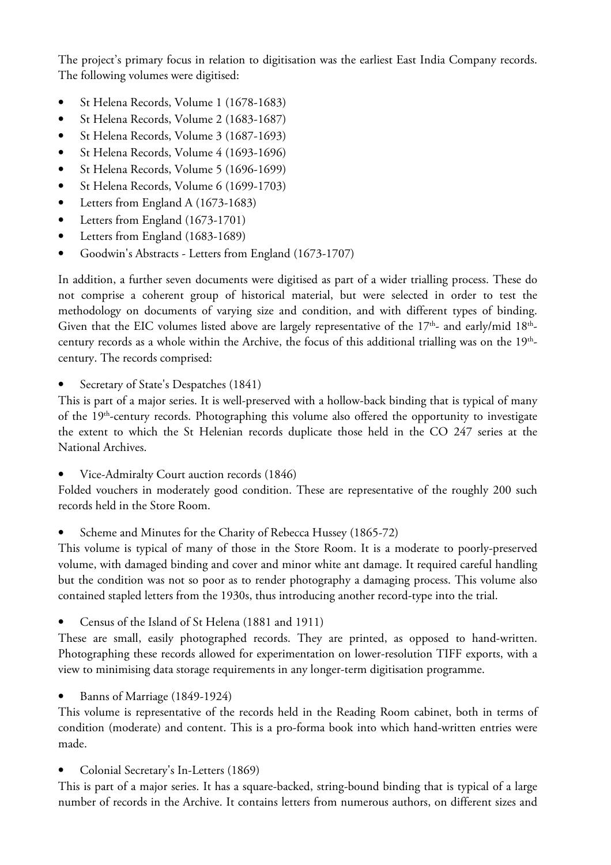The project's primary focus in relation to digitisation was the earliest East India Company records. The following volumes were digitised:

- St Helena Records, Volume 1 (1678-1683)
- St Helena Records, Volume 2 (1683-1687)
- St Helena Records, Volume 3 (1687-1693)
- St Helena Records, Volume 4 (1693-1696)
- St Helena Records, Volume 5 (1696-1699)
- St Helena Records, Volume 6 (1699-1703)
- Letters from England A (1673-1683)
- Letters from England (1673-1701)
- Letters from England (1683-1689)
- Goodwin's Abstracts Letters from England (1673-1707)

In addition, a further seven documents were digitised as part of a wider trialling process. These do not comprise a coherent group of historical material, but were selected in order to test the methodology on documents of varying size and condition, and with different types of binding. Given that the EIC volumes listed above are largely representative of the 17<sup>th</sup>- and early/mid 18<sup>th</sup>century records as a whole within the Archive, the focus of this additional trialling was on the  $19^{\rm th}$ century. The records comprised:

Secretary of State's Despatches (1841)

This is part of a major series. It is well-preserved with a hollow-back binding that is typical of many of the 19<sup>th</sup>-century records. Photographing this volume also offered the opportunity to investigate the extent to which the St Helenian records duplicate those held in the CO 247 series at the National Archives.

• Vice-Admiralty Court auction records (1846)

Folded vouchers in moderately good condition. These are representative of the roughly 200 such records held in the Store Room.

• Scheme and Minutes for the Charity of Rebecca Hussey (1865-72)

This volume is typical of many of those in the Store Room. It is a moderate to poorly-preserved volume, with damaged binding and cover and minor white ant damage. It required careful handling but the condition was not so poor as to render photography a damaging process. This volume also contained stapled letters from the 1930s, thus introducing another record-type into the trial.

• Census of the Island of St Helena (1881 and 1911)

These are small, easily photographed records. They are printed, as opposed to hand-written. Photographing these records allowed for experimentation on lower-resolution TIFF exports, with a view to minimising data storage requirements in any longer-term digitisation programme.

Banns of Marriage (1849-1924)

This volume is representative of the records held in the Reading Room cabinet, both in terms of condition (moderate) and content. This is a pro-forma book into which hand-written entries were made.

• Colonial Secretary's In-Letters (1869)

This is part of a major series. It has a square-backed, string-bound binding that is typical of a large number of records in the Archive. It contains letters from numerous authors, on different sizes and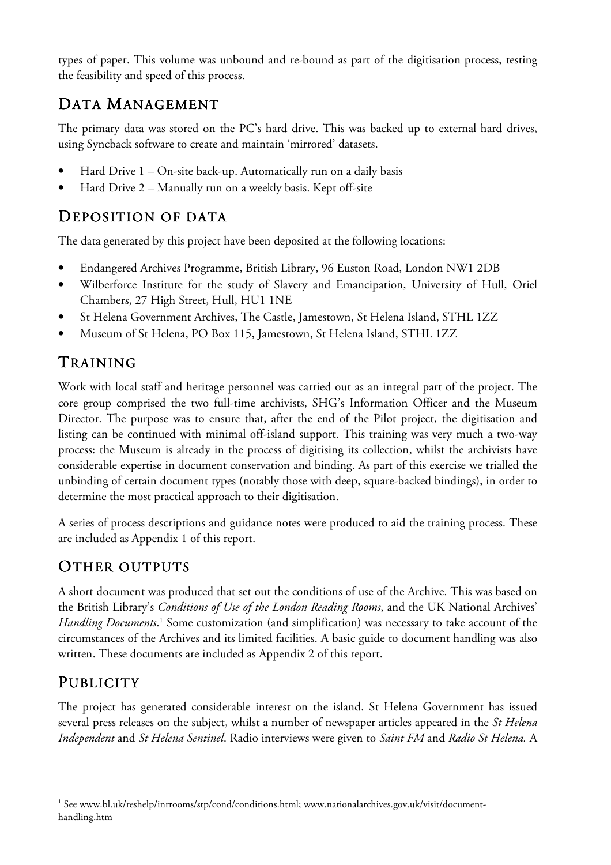types of paper. This volume was unbound and re-bound as part of the digitisation process, testing the feasibility and speed of this process.

# DATA MANAGEMENT

The primary data was stored on the PC's hard drive. This was backed up to external hard drives, using Syncback software to create and maintain 'mirrored' datasets.

- Hard Drive 1 On-site back-up. Automatically run on a daily basis
- Hard Drive 2 Manually run on a weekly basis. Kept off-site

## DEPOSITION OF DATA

The data generated by this project have been deposited at the following locations:

- Endangered Archives Programme, British Library, 96 Euston Road, London NW1 2DB
- Wilberforce Institute for the study of Slavery and Emancipation, University of Hull, Oriel Chambers, 27 High Street, Hull, HU1 1NE
- St Helena Government Archives, The Castle, Jamestown, St Helena Island, STHL 1ZZ
- Museum of St Helena, PO Box 115, Jamestown, St Helena Island, STHL 1ZZ

# TRAINING

Work with local staff and heritage personnel was carried out as an integral part of the project. The core group comprised the two full-time archivists, SHG's Information Officer and the Museum Director. The purpose was to ensure that, after the end of the Pilot project, the digitisation and listing can be continued with minimal off-island support. This training was very much a two-way process: the Museum is already in the process of digitising its collection, whilst the archivists have considerable expertise in document conservation and binding. As part of this exercise we trialled the unbinding of certain document types (notably those with deep, square-backed bindings), in order to determine the most practical approach to their digitisation.

A series of process descriptions and guidance notes were produced to aid the training process. These are included as Appendix 1 of this report.

# OTHER OUTPUTS

A short document was produced that set out the conditions of use of the Archive. This was based on the British Library's *Conditions of Use of the London Reading Rooms*, and the UK National Archives' Handling Documents.<sup>1</sup> Some customization (and simplification) was necessary to take account of the circumstances of the Archives and its limited facilities. A basic guide to document handling was also written. These documents are included as Appendix 2 of this report.

# **PUBLICITY**

l

The project has generated considerable interest on the island. St Helena Government has issued several press releases on the subject, whilst a number of newspaper articles appeared in the *St Helena Independent* and *St Helena Sentinel*. Radio interviews were given to *Saint FM* and *Radio St Helena.* A

<sup>1</sup> See www.bl.uk/reshelp/inrrooms/stp/cond/conditions.html; www.nationalarchives.gov.uk/visit/documenthandling.htm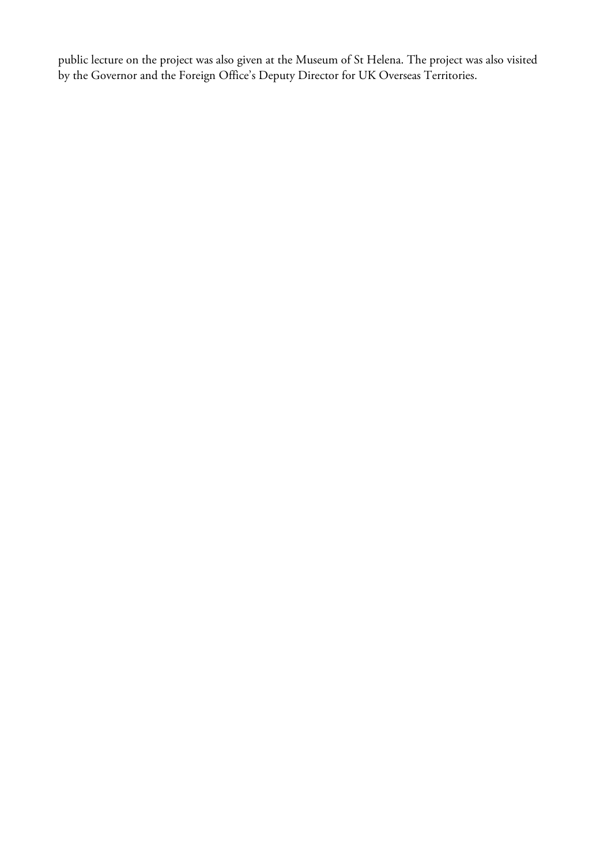public lecture on the project was also given at the Museum of St Helena. The project was also visited by the Governor and the Foreign Office's Deputy Director for UK Overseas Territories.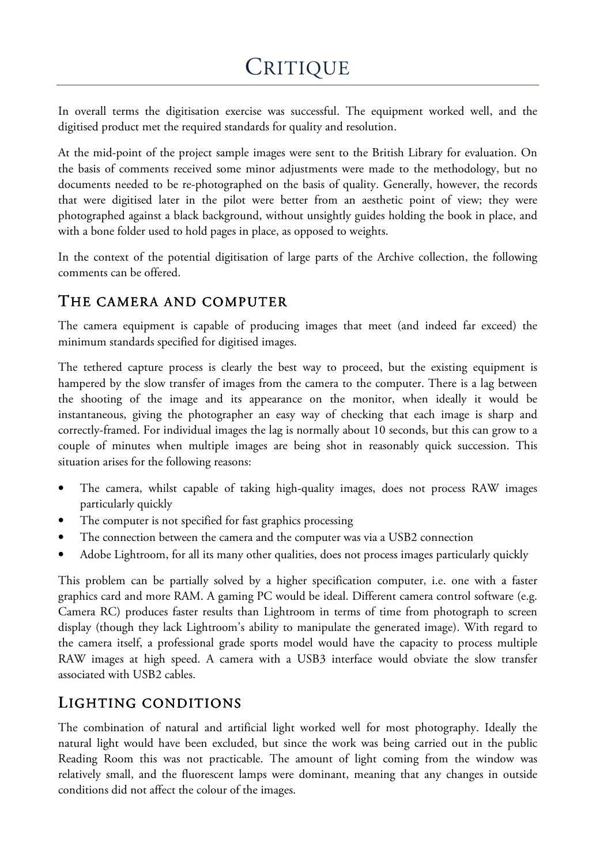# **CRITIQUE**

In overall terms the digitisation exercise was successful. The equipment worked well, and the digitised product met the required standards for quality and resolution.

At the mid-point of the project sample images were sent to the British Library for evaluation. On the basis of comments received some minor adjustments were made to the methodology, but no documents needed to be re-photographed on the basis of quality. Generally, however, the records that were digitised later in the pilot were better from an aesthetic point of view; they were photographed against a black background, without unsightly guides holding the book in place, and with a bone folder used to hold pages in place, as opposed to weights.

In the context of the potential digitisation of large parts of the Archive collection, the following comments can be offered.

## THE CAMERA AND COMPUTER

The camera equipment is capable of producing images that meet (and indeed far exceed) the minimum standards specified for digitised images.

The tethered capture process is clearly the best way to proceed, but the existing equipment is hampered by the slow transfer of images from the camera to the computer. There is a lag between the shooting of the image and its appearance on the monitor, when ideally it would be instantaneous, giving the photographer an easy way of checking that each image is sharp and correctly-framed. For individual images the lag is normally about 10 seconds, but this can grow to a couple of minutes when multiple images are being shot in reasonably quick succession. This situation arises for the following reasons:

- The camera, whilst capable of taking high-quality images, does not process RAW images particularly quickly
- The computer is not specified for fast graphics processing
- The connection between the camera and the computer was via a USB2 connection
- Adobe Lightroom, for all its many other qualities, does not process images particularly quickly

This problem can be partially solved by a higher specification computer, i.e. one with a faster graphics card and more RAM. A gaming PC would be ideal. Different camera control software (e.g. Camera RC) produces faster results than Lightroom in terms of time from photograph to screen display (though they lack Lightroom's ability to manipulate the generated image). With regard to the camera itself, a professional grade sports model would have the capacity to process multiple RAW images at high speed. A camera with a USB3 interface would obviate the slow transfer associated with USB2 cables.

## LIGHTING CONDITIONS

The combination of natural and artificial light worked well for most photography. Ideally the natural light would have been excluded, but since the work was being carried out in the public Reading Room this was not practicable. The amount of light coming from the window was relatively small, and the fluorescent lamps were dominant, meaning that any changes in outside conditions did not affect the colour of the images.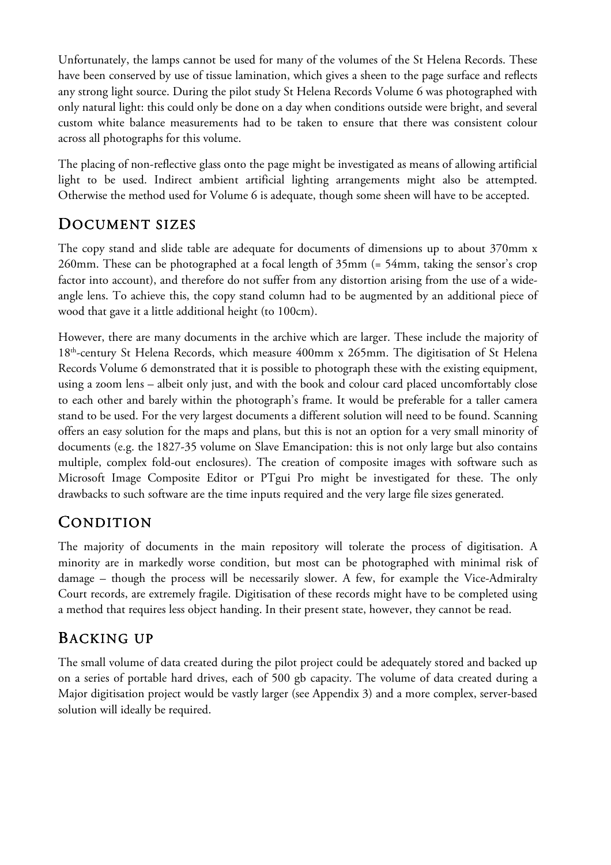Unfortunately, the lamps cannot be used for many of the volumes of the St Helena Records. These have been conserved by use of tissue lamination, which gives a sheen to the page surface and reflects any strong light source. During the pilot study St Helena Records Volume 6 was photographed with only natural light: this could only be done on a day when conditions outside were bright, and several custom white balance measurements had to be taken to ensure that there was consistent colour across all photographs for this volume.

The placing of non-reflective glass onto the page might be investigated as means of allowing artificial light to be used. Indirect ambient artificial lighting arrangements might also be attempted. Otherwise the method used for Volume 6 is adequate, though some sheen will have to be accepted.

## DOCUMENT SIZES

The copy stand and slide table are adequate for documents of dimensions up to about 370mm x 260mm. These can be photographed at a focal length of 35mm (= 54mm, taking the sensor's crop factor into account), and therefore do not suffer from any distortion arising from the use of a wideangle lens. To achieve this, the copy stand column had to be augmented by an additional piece of wood that gave it a little additional height (to 100cm).

However, there are many documents in the archive which are larger. These include the majority of 18<sup>th</sup>-century St Helena Records, which measure 400mm x 265mm. The digitisation of St Helena Records Volume 6 demonstrated that it is possible to photograph these with the existing equipment, using a zoom lens – albeit only just, and with the book and colour card placed uncomfortably close to each other and barely within the photograph's frame. It would be preferable for a taller camera stand to be used. For the very largest documents a different solution will need to be found. Scanning offers an easy solution for the maps and plans, but this is not an option for a very small minority of documents (e.g. the 1827-35 volume on Slave Emancipation: this is not only large but also contains multiple, complex fold-out enclosures). The creation of composite images with software such as Microsoft Image Composite Editor or PTgui Pro might be investigated for these. The only drawbacks to such software are the time inputs required and the very large file sizes generated.

## **CONDITION**

The majority of documents in the main repository will tolerate the process of digitisation. A minority are in markedly worse condition, but most can be photographed with minimal risk of damage – though the process will be necessarily slower. A few, for example the Vice-Admiralty Court records, are extremely fragile. Digitisation of these records might have to be completed using a method that requires less object handing. In their present state, however, they cannot be read.

## BACKING UP

The small volume of data created during the pilot project could be adequately stored and backed up on a series of portable hard drives, each of 500 gb capacity. The volume of data created during a Major digitisation project would be vastly larger (see Appendix 3) and a more complex, server-based solution will ideally be required.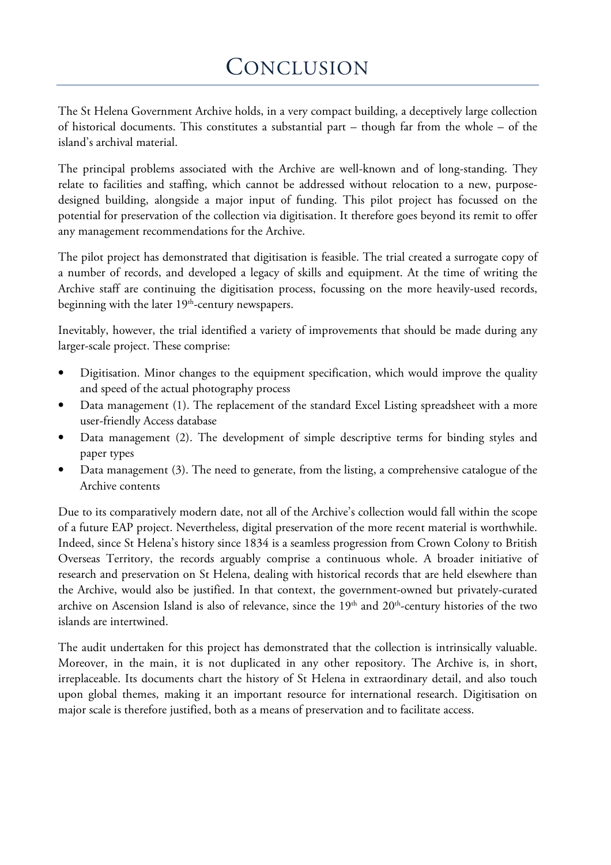The St Helena Government Archive holds, in a very compact building, a deceptively large collection of historical documents. This constitutes a substantial part – though far from the whole – of the island's archival material.

The principal problems associated with the Archive are well-known and of long-standing. They relate to facilities and staffing, which cannot be addressed without relocation to a new, purposedesigned building, alongside a major input of funding. This pilot project has focussed on the potential for preservation of the collection via digitisation. It therefore goes beyond its remit to offer any management recommendations for the Archive.

The pilot project has demonstrated that digitisation is feasible. The trial created a surrogate copy of a number of records, and developed a legacy of skills and equipment. At the time of writing the Archive staff are continuing the digitisation process, focussing on the more heavily-used records, beginning with the later  $19<sup>th</sup>$ -century newspapers.

Inevitably, however, the trial identified a variety of improvements that should be made during any larger-scale project. These comprise:

- Digitisation. Minor changes to the equipment specification, which would improve the quality and speed of the actual photography process
- Data management (1). The replacement of the standard Excel Listing spreadsheet with a more user-friendly Access database
- Data management (2). The development of simple descriptive terms for binding styles and paper types
- Data management (3). The need to generate, from the listing, a comprehensive catalogue of the Archive contents

Due to its comparatively modern date, not all of the Archive's collection would fall within the scope of a future EAP project. Nevertheless, digital preservation of the more recent material is worthwhile. Indeed, since St Helena's history since 1834 is a seamless progression from Crown Colony to British Overseas Territory, the records arguably comprise a continuous whole. A broader initiative of research and preservation on St Helena, dealing with historical records that are held elsewhere than the Archive, would also be justified. In that context, the government-owned but privately-curated archive on Ascension Island is also of relevance, since the 19<sup>th</sup> and 20<sup>th</sup>-century histories of the two islands are intertwined.

The audit undertaken for this project has demonstrated that the collection is intrinsically valuable. Moreover, in the main, it is not duplicated in any other repository. The Archive is, in short, irreplaceable. Its documents chart the history of St Helena in extraordinary detail, and also touch upon global themes, making it an important resource for international research. Digitisation on major scale is therefore justified, both as a means of preservation and to facilitate access.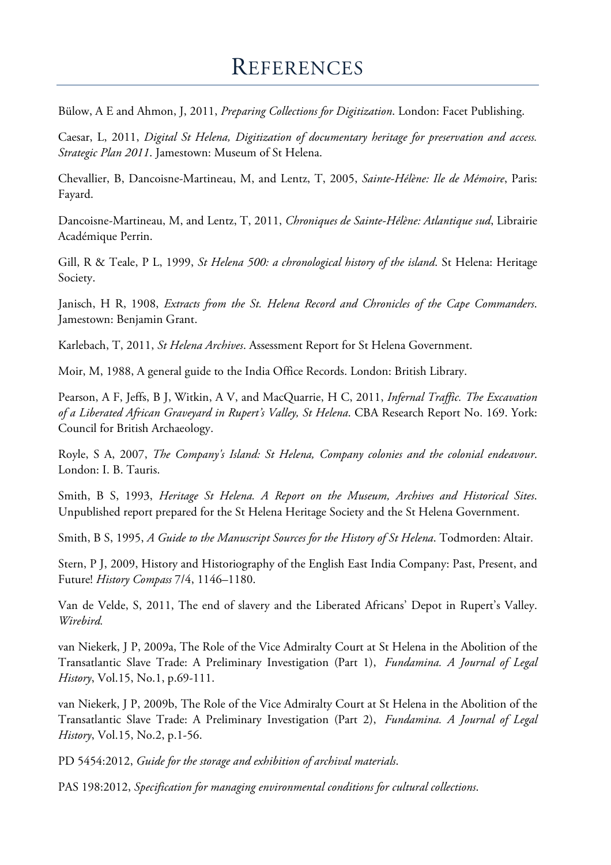Bülow, A E and Ahmon, J, 2011, *Preparing Collections for Digitization*. London: Facet Publishing.

Caesar, L, 2011, *Digital St Helena, Digitization of documentary heritage for preservation and access. Strategic Plan 2011*. Jamestown: Museum of St Helena.

Chevallier, B, Dancoisne-Martineau, M, and Lentz, T, 2005, *Sainte-Hélène: Ile de Mémoire*, Paris: Fayard.

Dancoisne-Martineau, M, and Lentz, T, 2011, *Chroniques de Sainte-Hélène: Atlantique sud*, Librairie Académique Perrin.

Gill, R & Teale, P L, 1999, *St Helena 500: a chronological history of the island*. St Helena: Heritage Society.

Janisch, H R, 1908, *Extracts from the St. Helena Record and Chronicles of the Cape Commanders*. Jamestown: Benjamin Grant.

Karlebach, T, 2011, *St Helena Archives*. Assessment Report for St Helena Government.

Moir, M, 1988, A general guide to the India Office Records. London: British Library.

Pearson, A F, Jeffs, B J, Witkin, A V, and MacQuarrie, H C, 2011, *Infernal Traffic. The Excavation of a Liberated African Graveyard in Rupert's Valley, St Helena*. CBA Research Report No. 169. York: Council for British Archaeology.

Royle, S A, 2007, *The Company's Island: St Helena, Company colonies and the colonial endeavour*. London: I. B. Tauris.

Smith, B S, 1993, *Heritage St Helena. A Report on the Museum, Archives and Historical Sites*. Unpublished report prepared for the St Helena Heritage Society and the St Helena Government.

Smith, B S, 1995, *A Guide to the Manuscript Sources for the History of St Helena*. Todmorden: Altair.

Stern, P J, 2009, History and Historiography of the English East India Company: Past, Present, and Future! *History Compass* 7/4, 1146–1180.

Van de Velde, S, 2011, The end of slavery and the Liberated Africans' Depot in Rupert's Valley. *Wirebird.*

van Niekerk, J P, 2009a, The Role of the Vice Admiralty Court at St Helena in the Abolition of the Transatlantic Slave Trade: A Preliminary Investigation (Part 1), *Fundamina. A Journal of Legal History*, Vol.15, No.1, p.69-111.

van Niekerk, J P, 2009b, The Role of the Vice Admiralty Court at St Helena in the Abolition of the Transatlantic Slave Trade: A Preliminary Investigation (Part 2), *Fundamina. A Journal of Legal History*, Vol.15, No.2, p.1-56.

PD 5454:2012, *Guide for the storage and exhibition of archival materials*.

PAS 198:2012, *Specification for managing environmental conditions for cultural collections*.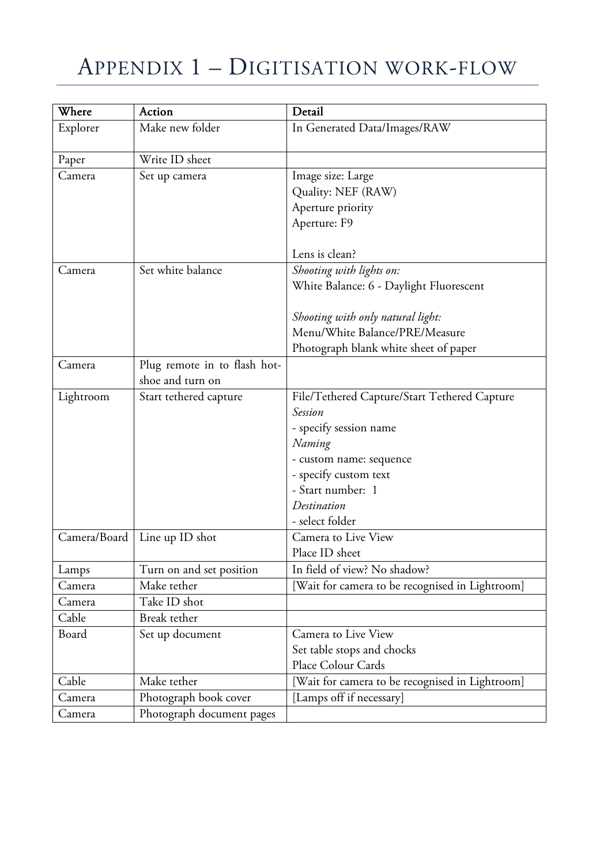# APPENDIX 1 – DIGITISATION WORK-FLOW

| Where        | Action                       | Detail                                          |
|--------------|------------------------------|-------------------------------------------------|
| Explorer     | Make new folder              | In Generated Data/Images/RAW                    |
|              |                              |                                                 |
| Paper        | Write ID sheet               |                                                 |
| Camera       | Set up camera                | Image size: Large                               |
|              |                              | Quality: NEF (RAW)                              |
|              |                              | Aperture priority                               |
|              |                              | Aperture: F9                                    |
|              |                              |                                                 |
|              |                              | Lens is clean?                                  |
| Camera       | Set white balance            | Shooting with lights on:                        |
|              |                              | White Balance: 6 - Daylight Fluorescent         |
|              |                              |                                                 |
|              |                              | Shooting with only natural light:               |
|              |                              | Menu/White Balance/PRE/Measure                  |
|              |                              | Photograph blank white sheet of paper           |
| Camera       | Plug remote in to flash hot- |                                                 |
|              | shoe and turn on             |                                                 |
| Lightroom    | Start tethered capture       | File/Tethered Capture/Start Tethered Capture    |
|              |                              | <b>Session</b>                                  |
|              |                              | - specify session name                          |
|              |                              | Naming                                          |
|              |                              | - custom name: sequence                         |
|              |                              | - specify custom text                           |
|              |                              | - Start number: 1                               |
|              |                              | Destination                                     |
|              |                              | - select folder                                 |
| Camera/Board | Line up ID shot              | Camera to Live View                             |
|              |                              | Place ID sheet                                  |
| Lamps        | Turn on and set position     | In field of view? No shadow?                    |
| Camera       | Make tether                  | [Wait for camera to be recognised in Lightroom] |
| Camera       | Take ID shot                 |                                                 |
| Cable        | Break tether                 |                                                 |
| Board        | Set up document              | Camera to Live View                             |
|              |                              | Set table stops and chocks                      |
|              |                              | Place Colour Cards                              |
| Cable        | Make tether                  | [Wait for camera to be recognised in Lightroom] |
| Camera       | Photograph book cover        | [Lamps off if necessary]                        |
| Camera       | Photograph document pages    |                                                 |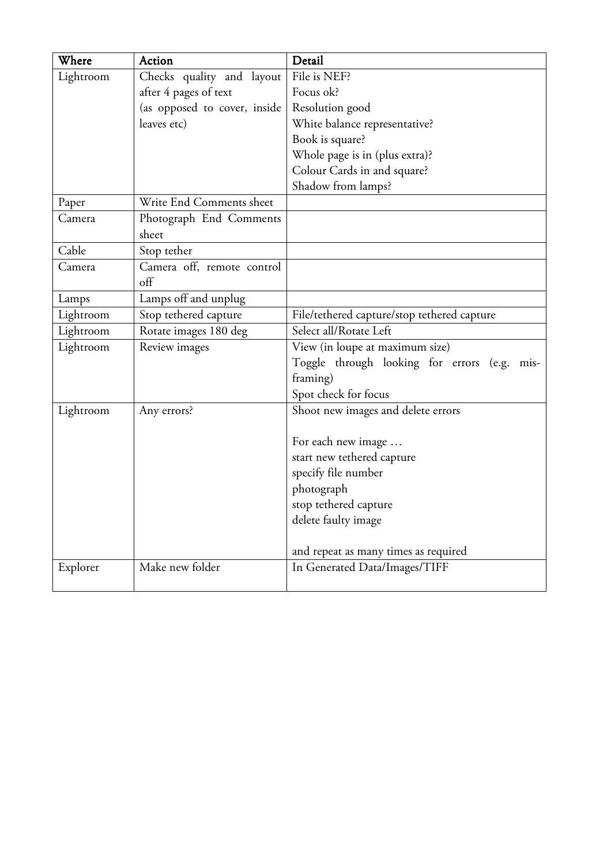| Where     | Action                       | Detail                                          |
|-----------|------------------------------|-------------------------------------------------|
| Lightroom | Checks quality and layout    | File is NEF?                                    |
|           | after 4 pages of text        | Focus ok?                                       |
|           | (as opposed to cover, inside | Resolution good                                 |
|           | leaves etc)                  | White balance representative?                   |
|           |                              | Book is square?                                 |
|           |                              | Whole page is in (plus extra)?                  |
|           |                              | Colour Cards in and square?                     |
|           |                              | Shadow from lamps?                              |
| Paper     | Write End Comments sheet     |                                                 |
| Camera    | Photograph End Comments      |                                                 |
|           | sheet                        |                                                 |
| Cable     | Stop tether                  |                                                 |
| Camera    | Camera off, remote control   |                                                 |
|           | off                          |                                                 |
| Lamps     | Lamps off and unplug         |                                                 |
| Lightroom | Stop tethered capture        | File/tethered capture/stop tethered capture     |
| Lightroom | Rotate images 180 deg        | Select all/Rotate Left                          |
| Lightroom | Review images                | View (in loupe at maximum size)                 |
|           |                              | Toggle through looking for errors (e.g.<br>mis- |
|           |                              | framing)                                        |
|           |                              | Spot check for focus                            |
| Lightroom | Any errors?                  | Shoot new images and delete errors              |
|           |                              |                                                 |
|           |                              | For each new image                              |
|           |                              | start new tethered capture                      |
|           |                              | specify file number                             |
|           |                              | photograph                                      |
|           |                              | stop tethered capture                           |
|           |                              | delete faulty image                             |
|           |                              |                                                 |
|           |                              | and repeat as many times as required            |
| Explorer  | Make new folder              | In Generated Data/Images/TIFF                   |
|           |                              |                                                 |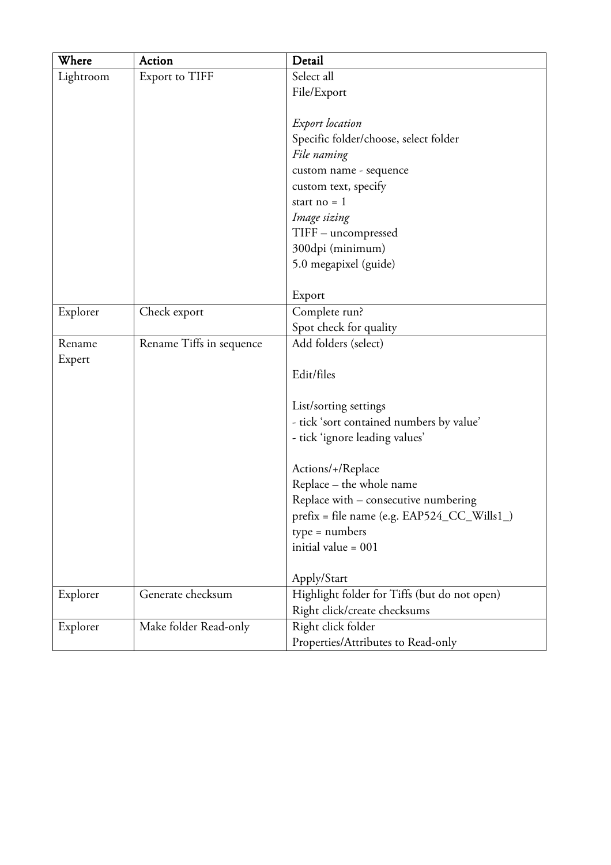| Where     | Action                   | Detail                                       |
|-----------|--------------------------|----------------------------------------------|
| Lightroom | Export to TIFF           | Select all                                   |
|           |                          | File/Export                                  |
|           |                          |                                              |
|           |                          | <b>Export</b> location                       |
|           |                          | Specific folder/choose, select folder        |
|           |                          | File naming                                  |
|           |                          | custom name - sequence                       |
|           |                          | custom text, specify                         |
|           |                          | start no $= 1$                               |
|           |                          | Image sizing                                 |
|           |                          | TIFF - uncompressed                          |
|           |                          | 300dpi (minimum)                             |
|           |                          | 5.0 megapixel (guide)                        |
|           |                          |                                              |
|           |                          | Export                                       |
| Explorer  | Check export             | Complete run?                                |
|           |                          | Spot check for quality                       |
| Rename    | Rename Tiffs in sequence | Add folders (select)                         |
| Expert    |                          |                                              |
|           |                          | Edit/files                                   |
|           |                          |                                              |
|           |                          | List/sorting settings                        |
|           |                          | - tick 'sort contained numbers by value'     |
|           |                          | - tick 'ignore leading values'               |
|           |                          |                                              |
|           |                          | Actions/+/Replace                            |
|           |                          | Replace - the whole name                     |
|           |                          | Replace with – consecutive numbering         |
|           |                          | prefix = file name (e.g. EAP524_CC_Wills1_)  |
|           |                          | $type = numbers$<br>initial value = $001$    |
|           |                          |                                              |
|           |                          | Apply/Start                                  |
| Explorer  | Generate checksum        | Highlight folder for Tiffs (but do not open) |
|           |                          | Right click/create checksums                 |
| Explorer  | Make folder Read-only    | Right click folder                           |
|           |                          | Properties/Attributes to Read-only           |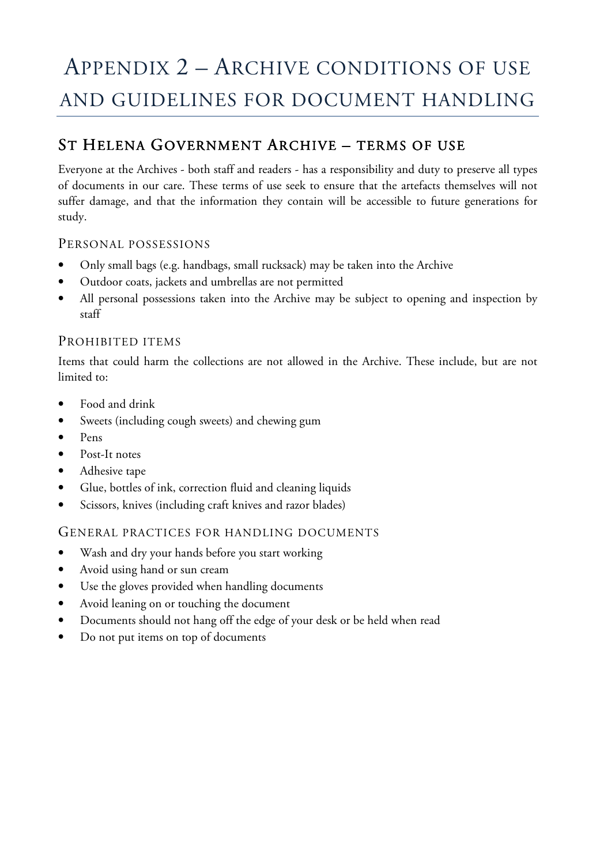# APPENDIX 2 – ARCHIVE CONDITIONS OF USE AND GUIDELINES FOR DOCUMENT HANDLING

## ST HELENA GOVERNMENT ARCHIVE - TERMS OF USE

Everyone at the Archives - both staff and readers - has a responsibility and duty to preserve all types of documents in our care. These terms of use seek to ensure that the artefacts themselves will not suffer damage, and that the information they contain will be accessible to future generations for study.

#### PERSONAL POSSESSIONS

- Only small bags (e.g. handbags, small rucksack) may be taken into the Archive
- Outdoor coats, jackets and umbrellas are not permitted
- All personal possessions taken into the Archive may be subject to opening and inspection by staff

#### PROHIBITED ITEMS

Items that could harm the collections are not allowed in the Archive. These include, but are not limited to:

- Food and drink
- Sweets (including cough sweets) and chewing gum
- Pens
- Post-It notes
- Adhesive tape
- Glue, bottles of ink, correction fluid and cleaning liquids
- Scissors, knives (including craft knives and razor blades)

#### GENERAL PRACTICES FOR HANDLING DOCUMENTS

- Wash and dry your hands before you start working
- Avoid using hand or sun cream
- Use the gloves provided when handling documents
- Avoid leaning on or touching the document
- Documents should not hang off the edge of your desk or be held when read
- Do not put items on top of documents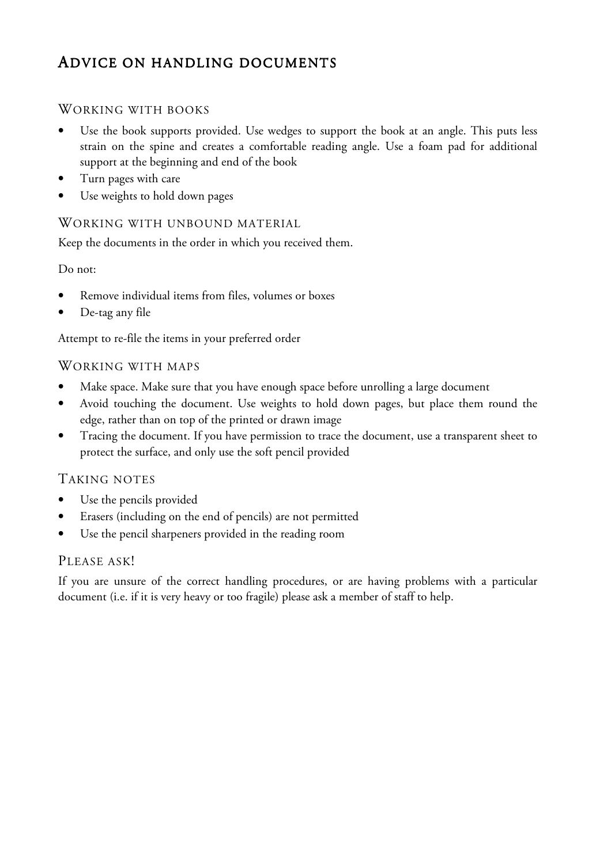## ADVICE ON HANDLING DOCUMENTS

### WORKING WITH BOOKS

- Use the book supports provided. Use wedges to support the book at an angle. This puts less strain on the spine and creates a comfortable reading angle. Use a foam pad for additional support at the beginning and end of the book
- Turn pages with care
- Use weights to hold down pages

#### WORKING WITH UNBOUND MATERIAL

Keep the documents in the order in which you received them.

#### Do not:

- Remove individual items from files, volumes or boxes
- De-tag any file

Attempt to re-file the items in your preferred order

#### WORKING WITH MAPS

- Make space. Make sure that you have enough space before unrolling a large document
- Avoid touching the document. Use weights to hold down pages, but place them round the edge, rather than on top of the printed or drawn image
- Tracing the document. If you have permission to trace the document, use a transparent sheet to protect the surface, and only use the soft pencil provided

### TAKING NOTES

- Use the pencils provided
- Erasers (including on the end of pencils) are not permitted
- Use the pencil sharpeners provided in the reading room

#### PLEASE ASK!

If you are unsure of the correct handling procedures, or are having problems with a particular document (i.e. if it is very heavy or too fragile) please ask a member of staff to help.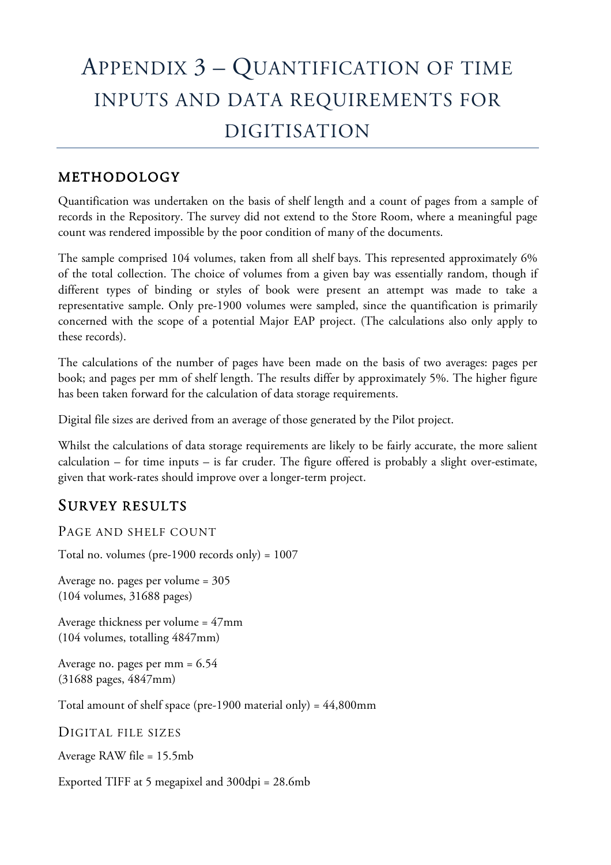# APPENDIX 3 – QUANTIFICATION OF TIME INPUTS AND DATA REQUIREMENTS FOR DIGITISATION

## METHODOLOGY

Quantification was undertaken on the basis of shelf length and a count of pages from a sample of records in the Repository. The survey did not extend to the Store Room, where a meaningful page count was rendered impossible by the poor condition of many of the documents.

The sample comprised 104 volumes, taken from all shelf bays. This represented approximately 6% of the total collection. The choice of volumes from a given bay was essentially random, though if different types of binding or styles of book were present an attempt was made to take a representative sample. Only pre-1900 volumes were sampled, since the quantification is primarily concerned with the scope of a potential Major EAP project. (The calculations also only apply to these records).

The calculations of the number of pages have been made on the basis of two averages: pages per book; and pages per mm of shelf length. The results differ by approximately 5%. The higher figure has been taken forward for the calculation of data storage requirements.

Digital file sizes are derived from an average of those generated by the Pilot project.

Whilst the calculations of data storage requirements are likely to be fairly accurate, the more salient calculation – for time inputs – is far cruder. The figure offered is probably a slight over-estimate, given that work-rates should improve over a longer-term project.

## SURVEY RESULTS

PAGE AND SHELF COUNT

Total no. volumes (pre-1900 records only) = 1007

Average no. pages per volume = 305 (104 volumes, 31688 pages)

Average thickness per volume = 47mm (104 volumes, totalling 4847mm)

Average no. pages per mm = 6.54 (31688 pages, 4847mm)

Total amount of shelf space (pre-1900 material only) =  $44,800$ mm

DIGITAL FILE SIZES

Average RAW file = 15.5mb

Exported TIFF at 5 megapixel and 300dpi = 28.6mb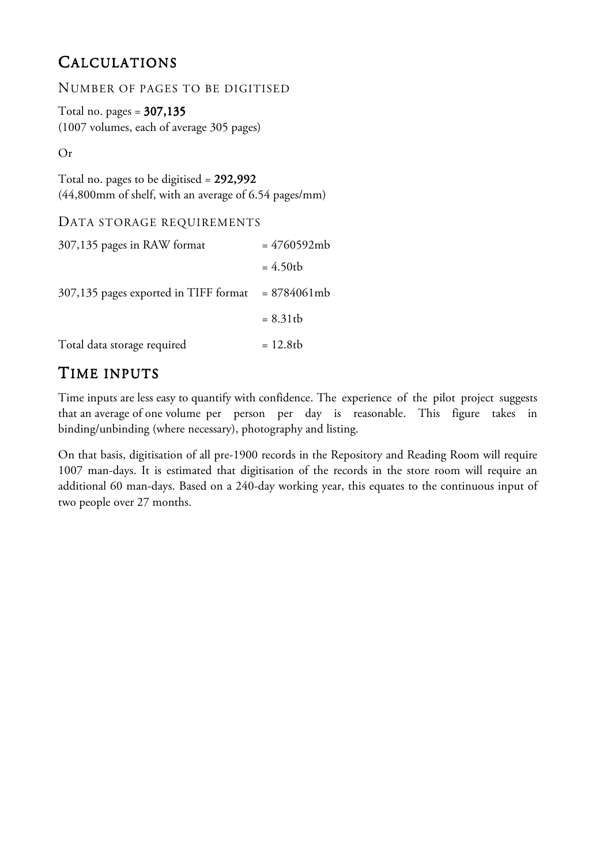## CALCULATIONS

NUMBER OF PAGES TO BE DIGITISED

Total no. pages  $= 307,135$ (1007 volumes, each of average 305 pages)

Or

Total no. pages to be digitised = 292,992 (44,800mm of shelf, with an average of 6.54 pages/mm)

#### DATA STORAGE REQUIREMENTS

| 307,135 pages in RAW format                           | $= 4760592mb$ |
|-------------------------------------------------------|---------------|
|                                                       | $= 4.50$ tb   |
| $307,135$ pages exported in TIFF format = $8784061mb$ |               |
|                                                       | $= 8.31$ tb   |
| Total data storage required                           | $= 12.8$ tb   |

## TIME INPUTS

Time inputs are less easy to quantify with confidence. The experience of the pilot project suggests that an average of one volume per person per day is reasonable. This figure takes in binding/unbinding (where necessary), photography and listing.

On that basis, digitisation of all pre-1900 records in the Repository and Reading Room will require 1007 man-days. It is estimated that digitisation of the records in the store room will require an additional 60 man-days. Based on a 240-day working year, this equates to the continuous input of two people over 27 months.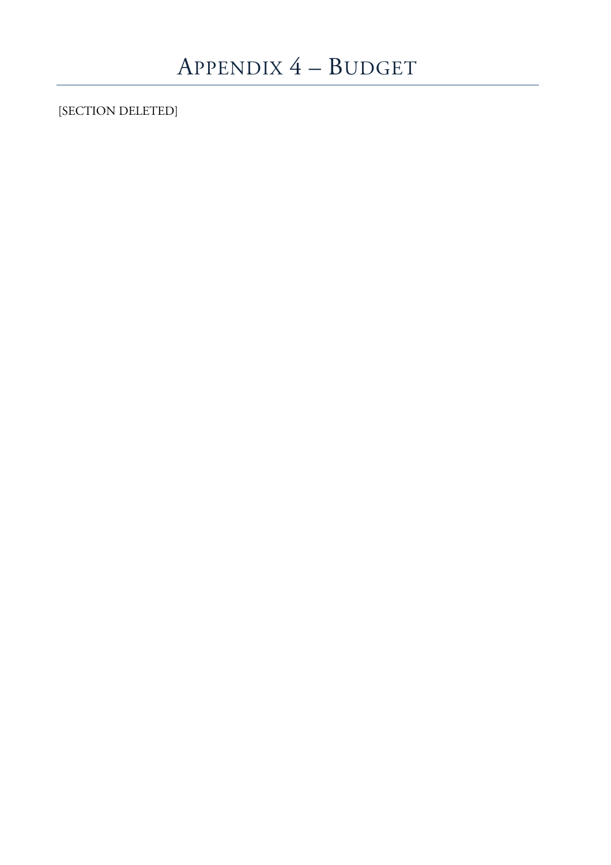[SECTION DELETED]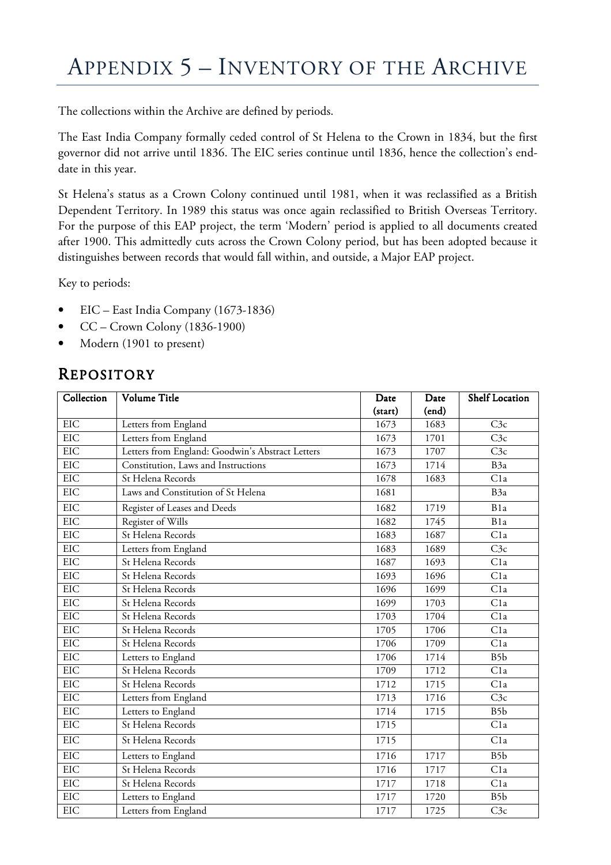## APPENDIX 5 – INVENTORY OF THE ARCHIVE

The collections within the Archive are defined by periods.

The East India Company formally ceded control of St Helena to the Crown in 1834, but the first governor did not arrive until 1836. The EIC series continue until 1836, hence the collection's enddate in this year.

St Helena's status as a Crown Colony continued until 1981, when it was reclassified as a British Dependent Territory. In 1989 this status was once again reclassified to British Overseas Territory. For the purpose of this EAP project, the term 'Modern' period is applied to all documents created after 1900. This admittedly cuts across the Crown Colony period, but has been adopted because it distinguishes between records that would fall within, and outside, a Major EAP project.

Key to periods:

- EIC East India Company (1673-1836)
- CC Crown Colony (1836-1900)
- Modern (1901 to present)

## REPOSITORY

| Collection | Volume Title                                     | Date    | Date  | <b>Shelf Location</b> |
|------------|--------------------------------------------------|---------|-------|-----------------------|
|            |                                                  | (start) | (end) |                       |
| <b>EIC</b> | Letters from England                             | 1673    | 1683  | C3c                   |
| <b>EIC</b> | Letters from England                             | 1673    | 1701  | C3c                   |
| EIC        | Letters from England: Goodwin's Abstract Letters | 1673    | 1707  | C3c                   |
| <b>EIC</b> | Constitution, Laws and Instructions              | 1673    | 1714  | B <sub>3a</sub>       |
| <b>EIC</b> | St Helena Records                                | 1678    | 1683  | Cla                   |
| <b>EIC</b> | Laws and Constitution of St Helena               | 1681    |       | B <sub>3a</sub>       |
| <b>EIC</b> | Register of Leases and Deeds                     | 1682    | 1719  | B <sub>1</sub> a      |
| <b>EIC</b> | Register of Wills                                | 1682    | 1745  | B <sub>1</sub> a      |
| <b>EIC</b> | St Helena Records                                | 1683    | 1687  | C1a                   |
| EIC        | Letters from England                             | 1683    | 1689  | C3c                   |
| <b>EIC</b> | St Helena Records                                | 1687    | 1693  | C <sub>1</sub> a      |
| <b>EIC</b> | St Helena Records                                | 1693    | 1696  | C1a                   |
| <b>EIC</b> | St Helena Records                                | 1696    | 1699  | C <sub>1</sub> a      |
| <b>EIC</b> | St Helena Records                                | 1699    | 1703  | C <sub>1</sub> a      |
| <b>EIC</b> | St Helena Records                                | 1703    | 1704  | C1a                   |
| EIC        | St Helena Records                                | 1705    | 1706  | C <sub>1</sub> a      |
| <b>EIC</b> | St Helena Records                                | 1706    | 1709  | C1a                   |
| EIC        | Letters to England                               | 1706    | 1714  | B <sub>5</sub> b      |
| <b>EIC</b> | St Helena Records                                | 1709    | 1712  | C1a                   |
| <b>EIC</b> | St Helena Records                                | 1712    | 1715  | Cla                   |
| <b>EIC</b> | Letters from England                             | 1713    | 1716  | C3c                   |
| <b>EIC</b> | Letters to England                               | 1714    | 1715  | B5b                   |
| EIC        | St Helena Records                                | 1715    |       | Cla                   |
| <b>EIC</b> | St Helena Records                                | 1715    |       | Cla                   |
| <b>EIC</b> | Letters to England                               | 1716    | 1717  | B <sub>5</sub> b      |
| <b>EIC</b> | St Helena Records                                | 1716    | 1717  | C1a                   |
| <b>EIC</b> | St Helena Records                                | 1717    | 1718  | C1a                   |
| EIC        | Letters to England                               | 1717    | 1720  | B5b                   |
| <b>EIC</b> | Letters from England                             | 1717    | 1725  | C3c                   |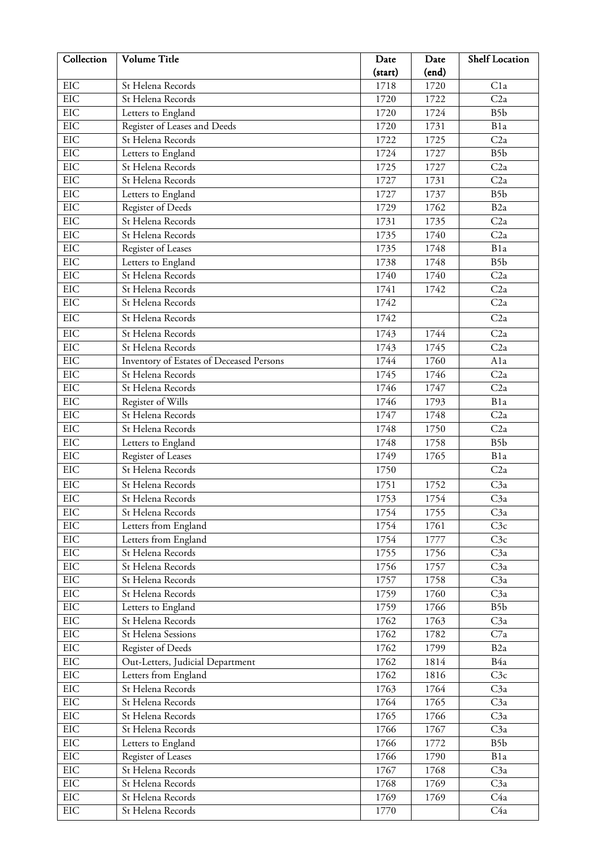| Collection | Volume Title                             | Date    | Date  | <b>Shelf Location</b> |
|------------|------------------------------------------|---------|-------|-----------------------|
|            |                                          | (start) | (end) |                       |
| EIC        | St Helena Records                        | 1718    | 1720  | C <sub>1</sub> a      |
| EIC        | St Helena Records                        | 1720    | 1722  | C2a                   |
| EIC        | Letters to England                       | 1720    | 1724  | B5b                   |
| EIC        | Register of Leases and Deeds             | 1720    | 1731  | B1a                   |
| EIC        | St Helena Records                        | 1722    | 1725  | C2a                   |
| EIC        | Letters to England                       | 1724    | 1727  | B <sub>5</sub> b      |
| <b>EIC</b> | St Helena Records                        | 1725    | 1727  | C2a                   |
| EIC        | St Helena Records                        | 1727    | 1731  | C2a                   |
| EIC        | Letters to England                       | 1727    | 1737  | B <sub>5</sub> b      |
| EIC        | Register of Deeds                        | 1729    | 1762  | B <sub>2</sub> a      |
| <b>EIC</b> | St Helena Records                        | 1731    | 1735  | C2a                   |
| EIC        | St Helena Records                        | 1735    | 1740  | C2a                   |
| EIC        | Register of Leases                       | 1735    | 1748  | B1a                   |
| EIC        | Letters to England                       | 1738    | 1748  | B <sub>5</sub> b      |
| <b>EIC</b> | St Helena Records                        | 1740    | 1740  | C2a                   |
| <b>EIC</b> | St Helena Records                        | 1741    | 1742  | C2a                   |
| EIC        | St Helena Records                        | 1742    |       | C2a                   |
| <b>EIC</b> | St Helena Records                        | 1742    |       | C2a                   |
| EIC        | St Helena Records                        | 1743    | 1744  | C2a                   |
| EIC        | St Helena Records                        | 1743    | 1745  | C2a                   |
| EIC        | Inventory of Estates of Deceased Persons | 1744    | 1760  | Ala                   |
| <b>EIC</b> | St Helena Records                        | 1745    | 1746  | C2a                   |
| EIC        | St Helena Records                        | 1746    | 1747  | C2a                   |
| EIC        | Register of Wills                        | 1746    | 1793  | B1a                   |
| EIC        | St Helena Records                        | 1747    | 1748  | C2a                   |
| EIC        | St Helena Records                        | 1748    | 1750  | C2a                   |
| <b>EIC</b> | Letters to England                       | 1748    | 1758  | B5b                   |
| <b>EIC</b> | Register of Leases                       | 1749    | 1765  | B1a                   |
| EIC        | St Helena Records                        | 1750    |       | C2a                   |
| <b>EIC</b> | St Helena Records                        | 1751    | 1752  | C <sub>3a</sub>       |
| <b>EIC</b> | St Helena Records                        | 1753    | 1754  | C3a                   |
| EIC        | St Helena Records                        | 1754    | 1755  | C3a                   |
| EIC        | Letters from England                     | 1754    | 1761  | C3c                   |
| EIC        | Letters from England                     | 1754    | 1777  | C3c                   |
| EIC        | St Helena Records                        | 1755    | 1756  | C3a                   |
| <b>EIC</b> | St Helena Records                        | 1756    | 1757  | C3a                   |
| EIC        | St Helena Records                        | 1757    | 1758  | C <sub>3a</sub>       |
| $\rm EIC$  | St Helena Records                        | 1759    | 1760  | C3a                   |
| EIC        | Letters to England                       | 1759    | 1766  | B5b                   |
| EIC        | St Helena Records                        | 1762    | 1763  | C3a                   |
| EIC        | St Helena Sessions                       | 1762    | 1782  | C7a                   |
| $\rm EIC$  | Register of Deeds                        | 1762    | 1799  | B <sub>2</sub> a      |
| EIC        | Out-Letters, Judicial Department         | 1762    | 1814  | B4a                   |
| EIC        | Letters from England                     | 1762    | 1816  | C3c                   |
| EIC        | St Helena Records                        | 1763    | 1764  | C3a                   |
| EIC        | St Helena Records                        | 1764    | 1765  | C3a                   |
| EIC        | St Helena Records                        | 1765    | 1766  | C <sub>3a</sub>       |
| $\rm EIC$  | St Helena Records                        | 1766    | 1767  | C <sub>3a</sub>       |
| $\rm EIC$  | Letters to England                       | 1766    | 1772  | B5b                   |
| <b>EIC</b> | Register of Leases                       | 1766    | 1790  | B1a                   |
| <b>EIC</b> | St Helena Records                        | 1767    | 1768  | C <sub>3a</sub>       |
| EIC        | St Helena Records                        | 1768    | 1769  | C <sub>3a</sub>       |
| EIC        | St Helena Records                        | 1769    | 1769  | C4a                   |
| EIC        | St Helena Records                        | 1770    |       | C4a                   |
|            |                                          |         |       |                       |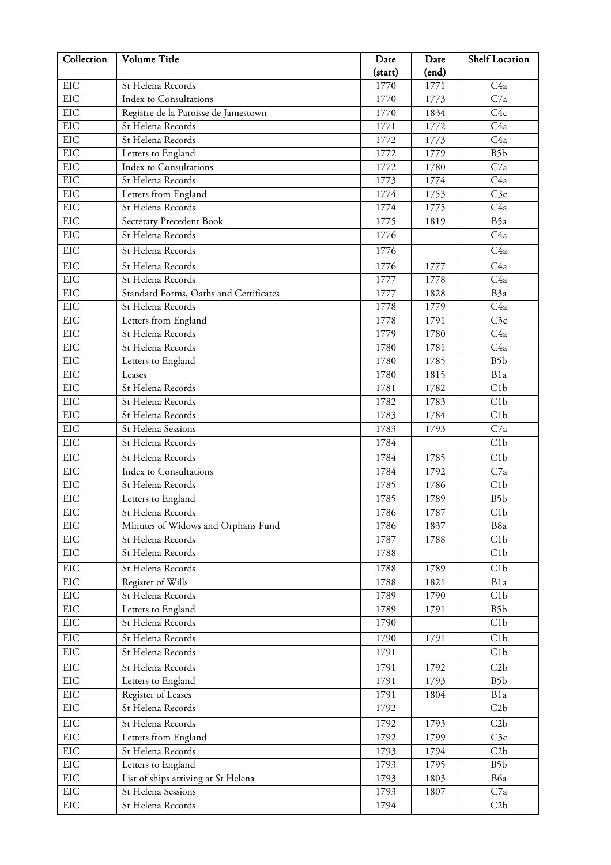| Collection | Volume Title                           | Date    | Date  | <b>Shelf Location</b> |
|------------|----------------------------------------|---------|-------|-----------------------|
|            |                                        | (start) | (end) |                       |
| EIC        | St Helena Records                      | 1770    | 1771  | C <sub>4a</sub>       |
| EIC        | <b>Index to Consultations</b>          | 1770    | 1773  | C7a                   |
| EIC        | Registre de la Paroisse de Jamestown   | 1770    | 1834  | C <sub>4c</sub>       |
| EIC        | St Helena Records                      | 1771    | 1772  | C <sub>4a</sub>       |
| EIC        | St Helena Records                      | 1772    | 1773  | C <sub>4a</sub>       |
| <b>EIC</b> | Letters to England                     | 1772    | 1779  | B <sub>5</sub> b      |
| EIC        | <b>Index to Consultations</b>          | 1772    | 1780  | C7a                   |
| EIC        | St Helena Records                      | 1773    | 1774  | C <sub>4a</sub>       |
| EIC        | Letters from England                   | 1774    | 1753  | C3c                   |
| EIC        | St Helena Records                      | 1774    | 1775  | C <sub>4a</sub>       |
| EIC        | Secretary Precedent Book               | 1775    | 1819  | B5a                   |
| EIC        | St Helena Records                      | 1776    |       | C <sub>4a</sub>       |
| EIC        | St Helena Records                      | 1776    |       | C <sub>4a</sub>       |
| <b>EIC</b> | St Helena Records                      | 1776    | 1777  | C <sub>4a</sub>       |
| EIC        | St Helena Records                      | 1777    | 1778  | C <sub>4a</sub>       |
| EIC        | Standard Forms, Oaths and Certificates | 1777    | 1828  | B3a                   |
| EIC        | St Helena Records                      | 1778    | 1779  | C <sub>4a</sub>       |
| <b>EIC</b> | Letters from England                   | 1778    | 1791  | C3c                   |
| EIC        | St Helena Records                      | 1779    | 1780  | C <sub>4a</sub>       |
| EIC        | St Helena Records                      | 1780    | 1781  | C <sub>4a</sub>       |
| EIC        | Letters to England                     | 1780    | 1785  | B5b                   |
| EIC        | Leases                                 | 1780    | 1815  | B1a                   |
| EIC        | St Helena Records                      | 1781    | 1782  | C1b                   |
| EIC        | St Helena Records                      | 1782    | 1783  | C1b                   |
| EIC        | St Helena Records                      | 1783    | 1784  | C1b                   |
| EIC        | St Helena Sessions                     | 1783    | 1793  | C7a                   |
| EIC        | St Helena Records                      | 1784    |       | C1b                   |
| EIC        | St Helena Records                      | 1784    | 1785  | C1b                   |
| EIC        | Index to Consultations                 | 1784    | 1792  | C7a                   |
| EIC        | St Helena Records                      | 1785    | 1786  | C1b                   |
| EIC        | Letters to England                     | 1785    | 1789  | B <sub>5</sub> b      |
| EIC        | St Helena Records                      | 1786    | 1787  | C1b                   |
| EIC        | Minutes of Widows and Orphans Fund     | 1786    | 1837  | B8a                   |
| EIC        | St Helena Records                      | 1787    | 1788  | C1b                   |
| EIC        | St Helena Records                      | 1788    |       | C1b                   |
| EIC        | St Helena Records                      | 1788    | 1789  | C1b                   |
| EIC        | Register of Wills                      | 1788    | 1821  | B1a                   |
| EIC        | St Helena Records                      | 1789    | 1790  | C1b                   |
| EIC        | Letters to England                     | 1789    | 1791  | B5b                   |
| $\rm EIC$  | St Helena Records                      | 1790    |       | C1b                   |
| EIC        | St Helena Records                      | 1790    | 1791  | C1b                   |
| EIC        | St Helena Records                      | 1791    |       | C1b                   |
| EIC        | St Helena Records                      | 1791    | 1792  | C2b                   |
| EIC        | Letters to England                     | 1791    | 1793  | B5b                   |
| EIC        | Register of Leases                     | 1791    | 1804  | B1a                   |
| EIC        | St Helena Records                      | 1792    |       | C2b                   |
| EIC        | St Helena Records                      | 1792    | 1793  | C2b                   |
| EIC        | Letters from England                   | 1792    | 1799  | C3c                   |
| EIC        | St Helena Records                      | 1793    | 1794  | C2b                   |
| EIC        | Letters to England                     | 1793    | 1795  | B <sub>5</sub> b      |
| EIC        | List of ships arriving at St Helena    | 1793    | 1803  | B6a                   |
| EIC        | St Helena Sessions                     | 1793    | 1807  | C7a                   |
| EIC        | St Helena Records                      | 1794    |       | C2b                   |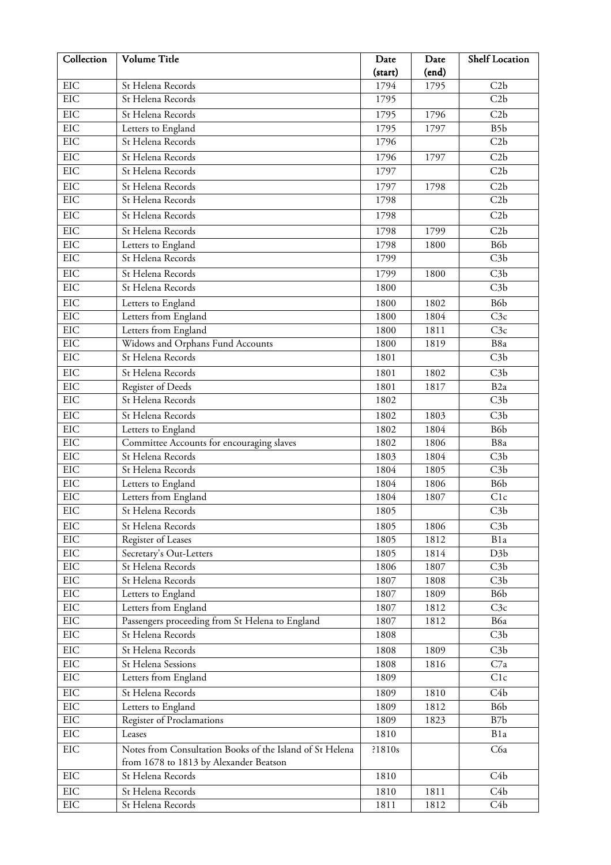| EIC<br>1794<br>1795<br>C2b<br>St Helena Records<br>EIC<br>St Helena Records<br>C2b<br>1795<br>EIC<br>St Helena Records<br>1796<br>C2b<br>1795<br>EIC<br>1795<br>B5b<br>Letters to England<br>1797<br><b>EIC</b><br>C2b<br>St Helena Records<br>1796<br><b>EIC</b><br>C2b<br>St Helena Records<br>1796<br>1797<br><b>EIC</b><br>St Helena Records<br>1797<br>C2b<br>EIC<br>St Helena Records<br>C2b<br>1797<br>1798<br>EIC<br>St Helena Records<br>C2b<br>1798<br>EIC<br>C2b<br>St Helena Records<br>1798<br>EIC<br>C2b<br>St Helena Records<br>1798<br>1799<br><b>EIC</b><br>B6b<br>Letters to England<br>1798<br>1800<br>EIC<br>C3b<br>St Helena Records<br>1799<br><b>EIC</b><br>C3b<br>St Helena Records<br>1799<br>1800<br>EIC<br>C3b<br>St Helena Records<br>1800<br>EIC<br>B6b<br>Letters to England<br>1800<br>1802<br>EIC<br>Letters from England<br>1800<br>1804<br>C3c<br><b>EIC</b><br>Letters from England<br>1811<br>C3c<br>1800<br>Widows and Orphans Fund Accounts<br><b>EIC</b><br>1800<br>1819<br>B8a<br><b>EIC</b><br>C3b<br>St Helena Records<br>1801<br><b>EIC</b><br>C3b<br>St Helena Records<br>1802<br>1801<br><b>EIC</b><br>B <sub>2a</sub><br>Register of Deeds<br>1801<br>1817<br><b>EIC</b><br>St Helena Records<br>C3b<br>1802<br>EIC<br>C3b<br>St Helena Records<br>1803<br>1802<br><b>EIC</b><br>Letters to England<br>B6b<br>1804<br>1802<br>EIC<br>Committee Accounts for encouraging slaves<br>1802<br>1806<br>B8a<br>EIC<br>St Helena Records<br>C3b<br>1804<br>1803<br>EIC<br>C3b<br>1804<br>St Helena Records<br>1805<br>EIC<br>B6b<br>1806<br>Letters to England<br>1804<br>EIC<br>Letters from England<br>C1c<br>1804<br>1807<br>EIC<br>C3b<br>St Helena Records<br>1805<br>EIC<br>St Helena Records<br>1806<br>C3b<br>1805<br>EIC<br>Register of Leases<br>1805<br>1812<br>B1a<br>EIC<br>Secretary's Out-Letters<br>1805<br>1814<br>D <sub>3</sub> b<br><b>EIC</b><br>St Helena Records<br>C3b<br>1806<br>1807<br>EIC<br>St Helena Records<br>C3b<br>1807<br>1808<br>EIC<br>Letters to England<br>1807<br>1809<br>B6 <sub>b</sub><br>EIC<br>Letters from England<br>1807<br>1812<br>C3c<br>Passengers proceeding from St Helena to England<br>EIC<br>B6a<br>1807<br>1812<br>EIC<br>St Helena Records<br>C3b<br>1808<br>EIC<br>St Helena Records<br>1809<br>C <sub>3</sub> b<br>1808<br>EIC<br>C7a<br>St Helena Sessions<br>1808<br>1816<br>EIC<br>Letters from England<br>1809<br>C1c<br>EIC<br>St Helena Records<br>C <sub>4</sub> b<br>1809<br>1810<br>EIC<br>Letters to England<br>B6b<br>1809<br>1812<br>EIC<br>Register of Proclamations<br>B7b<br>1809<br>1823<br>EIC<br>B1a<br>Leases<br>1810<br>EIC<br>Notes from Consultation Books of the Island of St Helena<br>C6a<br>?1810s<br>from 1678 to 1813 by Alexander Beatson<br>EIC<br>St Helena Records<br>C <sub>4</sub> b<br>1810<br><b>EIC</b><br>C <sub>4</sub> b<br>St Helena Records<br>1810<br>1811<br>$\rm EIC$<br>St Helena Records<br>C4b<br>1812<br>1811 | Collection | Volume Title | Date    | Date  | <b>Shelf Location</b> |
|-------------------------------------------------------------------------------------------------------------------------------------------------------------------------------------------------------------------------------------------------------------------------------------------------------------------------------------------------------------------------------------------------------------------------------------------------------------------------------------------------------------------------------------------------------------------------------------------------------------------------------------------------------------------------------------------------------------------------------------------------------------------------------------------------------------------------------------------------------------------------------------------------------------------------------------------------------------------------------------------------------------------------------------------------------------------------------------------------------------------------------------------------------------------------------------------------------------------------------------------------------------------------------------------------------------------------------------------------------------------------------------------------------------------------------------------------------------------------------------------------------------------------------------------------------------------------------------------------------------------------------------------------------------------------------------------------------------------------------------------------------------------------------------------------------------------------------------------------------------------------------------------------------------------------------------------------------------------------------------------------------------------------------------------------------------------------------------------------------------------------------------------------------------------------------------------------------------------------------------------------------------------------------------------------------------------------------------------------------------------------------------------------------------------------------------------------------------------------------------------------------------------------------------------------------------------------------------------------------------------------------------------------------------------------------------------------------------------------------------------------------------------------------------------------------------------------------------------------------------------------------------------------------------------------------------------------------------------|------------|--------------|---------|-------|-----------------------|
|                                                                                                                                                                                                                                                                                                                                                                                                                                                                                                                                                                                                                                                                                                                                                                                                                                                                                                                                                                                                                                                                                                                                                                                                                                                                                                                                                                                                                                                                                                                                                                                                                                                                                                                                                                                                                                                                                                                                                                                                                                                                                                                                                                                                                                                                                                                                                                                                                                                                                                                                                                                                                                                                                                                                                                                                                                                                                                                                                                   |            |              | (start) | (end) |                       |
|                                                                                                                                                                                                                                                                                                                                                                                                                                                                                                                                                                                                                                                                                                                                                                                                                                                                                                                                                                                                                                                                                                                                                                                                                                                                                                                                                                                                                                                                                                                                                                                                                                                                                                                                                                                                                                                                                                                                                                                                                                                                                                                                                                                                                                                                                                                                                                                                                                                                                                                                                                                                                                                                                                                                                                                                                                                                                                                                                                   |            |              |         |       |                       |
|                                                                                                                                                                                                                                                                                                                                                                                                                                                                                                                                                                                                                                                                                                                                                                                                                                                                                                                                                                                                                                                                                                                                                                                                                                                                                                                                                                                                                                                                                                                                                                                                                                                                                                                                                                                                                                                                                                                                                                                                                                                                                                                                                                                                                                                                                                                                                                                                                                                                                                                                                                                                                                                                                                                                                                                                                                                                                                                                                                   |            |              |         |       |                       |
|                                                                                                                                                                                                                                                                                                                                                                                                                                                                                                                                                                                                                                                                                                                                                                                                                                                                                                                                                                                                                                                                                                                                                                                                                                                                                                                                                                                                                                                                                                                                                                                                                                                                                                                                                                                                                                                                                                                                                                                                                                                                                                                                                                                                                                                                                                                                                                                                                                                                                                                                                                                                                                                                                                                                                                                                                                                                                                                                                                   |            |              |         |       |                       |
|                                                                                                                                                                                                                                                                                                                                                                                                                                                                                                                                                                                                                                                                                                                                                                                                                                                                                                                                                                                                                                                                                                                                                                                                                                                                                                                                                                                                                                                                                                                                                                                                                                                                                                                                                                                                                                                                                                                                                                                                                                                                                                                                                                                                                                                                                                                                                                                                                                                                                                                                                                                                                                                                                                                                                                                                                                                                                                                                                                   |            |              |         |       |                       |
|                                                                                                                                                                                                                                                                                                                                                                                                                                                                                                                                                                                                                                                                                                                                                                                                                                                                                                                                                                                                                                                                                                                                                                                                                                                                                                                                                                                                                                                                                                                                                                                                                                                                                                                                                                                                                                                                                                                                                                                                                                                                                                                                                                                                                                                                                                                                                                                                                                                                                                                                                                                                                                                                                                                                                                                                                                                                                                                                                                   |            |              |         |       |                       |
|                                                                                                                                                                                                                                                                                                                                                                                                                                                                                                                                                                                                                                                                                                                                                                                                                                                                                                                                                                                                                                                                                                                                                                                                                                                                                                                                                                                                                                                                                                                                                                                                                                                                                                                                                                                                                                                                                                                                                                                                                                                                                                                                                                                                                                                                                                                                                                                                                                                                                                                                                                                                                                                                                                                                                                                                                                                                                                                                                                   |            |              |         |       |                       |
|                                                                                                                                                                                                                                                                                                                                                                                                                                                                                                                                                                                                                                                                                                                                                                                                                                                                                                                                                                                                                                                                                                                                                                                                                                                                                                                                                                                                                                                                                                                                                                                                                                                                                                                                                                                                                                                                                                                                                                                                                                                                                                                                                                                                                                                                                                                                                                                                                                                                                                                                                                                                                                                                                                                                                                                                                                                                                                                                                                   |            |              |         |       |                       |
|                                                                                                                                                                                                                                                                                                                                                                                                                                                                                                                                                                                                                                                                                                                                                                                                                                                                                                                                                                                                                                                                                                                                                                                                                                                                                                                                                                                                                                                                                                                                                                                                                                                                                                                                                                                                                                                                                                                                                                                                                                                                                                                                                                                                                                                                                                                                                                                                                                                                                                                                                                                                                                                                                                                                                                                                                                                                                                                                                                   |            |              |         |       |                       |
|                                                                                                                                                                                                                                                                                                                                                                                                                                                                                                                                                                                                                                                                                                                                                                                                                                                                                                                                                                                                                                                                                                                                                                                                                                                                                                                                                                                                                                                                                                                                                                                                                                                                                                                                                                                                                                                                                                                                                                                                                                                                                                                                                                                                                                                                                                                                                                                                                                                                                                                                                                                                                                                                                                                                                                                                                                                                                                                                                                   |            |              |         |       |                       |
|                                                                                                                                                                                                                                                                                                                                                                                                                                                                                                                                                                                                                                                                                                                                                                                                                                                                                                                                                                                                                                                                                                                                                                                                                                                                                                                                                                                                                                                                                                                                                                                                                                                                                                                                                                                                                                                                                                                                                                                                                                                                                                                                                                                                                                                                                                                                                                                                                                                                                                                                                                                                                                                                                                                                                                                                                                                                                                                                                                   |            |              |         |       |                       |
|                                                                                                                                                                                                                                                                                                                                                                                                                                                                                                                                                                                                                                                                                                                                                                                                                                                                                                                                                                                                                                                                                                                                                                                                                                                                                                                                                                                                                                                                                                                                                                                                                                                                                                                                                                                                                                                                                                                                                                                                                                                                                                                                                                                                                                                                                                                                                                                                                                                                                                                                                                                                                                                                                                                                                                                                                                                                                                                                                                   |            |              |         |       |                       |
|                                                                                                                                                                                                                                                                                                                                                                                                                                                                                                                                                                                                                                                                                                                                                                                                                                                                                                                                                                                                                                                                                                                                                                                                                                                                                                                                                                                                                                                                                                                                                                                                                                                                                                                                                                                                                                                                                                                                                                                                                                                                                                                                                                                                                                                                                                                                                                                                                                                                                                                                                                                                                                                                                                                                                                                                                                                                                                                                                                   |            |              |         |       |                       |
|                                                                                                                                                                                                                                                                                                                                                                                                                                                                                                                                                                                                                                                                                                                                                                                                                                                                                                                                                                                                                                                                                                                                                                                                                                                                                                                                                                                                                                                                                                                                                                                                                                                                                                                                                                                                                                                                                                                                                                                                                                                                                                                                                                                                                                                                                                                                                                                                                                                                                                                                                                                                                                                                                                                                                                                                                                                                                                                                                                   |            |              |         |       |                       |
|                                                                                                                                                                                                                                                                                                                                                                                                                                                                                                                                                                                                                                                                                                                                                                                                                                                                                                                                                                                                                                                                                                                                                                                                                                                                                                                                                                                                                                                                                                                                                                                                                                                                                                                                                                                                                                                                                                                                                                                                                                                                                                                                                                                                                                                                                                                                                                                                                                                                                                                                                                                                                                                                                                                                                                                                                                                                                                                                                                   |            |              |         |       |                       |
|                                                                                                                                                                                                                                                                                                                                                                                                                                                                                                                                                                                                                                                                                                                                                                                                                                                                                                                                                                                                                                                                                                                                                                                                                                                                                                                                                                                                                                                                                                                                                                                                                                                                                                                                                                                                                                                                                                                                                                                                                                                                                                                                                                                                                                                                                                                                                                                                                                                                                                                                                                                                                                                                                                                                                                                                                                                                                                                                                                   |            |              |         |       |                       |
|                                                                                                                                                                                                                                                                                                                                                                                                                                                                                                                                                                                                                                                                                                                                                                                                                                                                                                                                                                                                                                                                                                                                                                                                                                                                                                                                                                                                                                                                                                                                                                                                                                                                                                                                                                                                                                                                                                                                                                                                                                                                                                                                                                                                                                                                                                                                                                                                                                                                                                                                                                                                                                                                                                                                                                                                                                                                                                                                                                   |            |              |         |       |                       |
|                                                                                                                                                                                                                                                                                                                                                                                                                                                                                                                                                                                                                                                                                                                                                                                                                                                                                                                                                                                                                                                                                                                                                                                                                                                                                                                                                                                                                                                                                                                                                                                                                                                                                                                                                                                                                                                                                                                                                                                                                                                                                                                                                                                                                                                                                                                                                                                                                                                                                                                                                                                                                                                                                                                                                                                                                                                                                                                                                                   |            |              |         |       |                       |
|                                                                                                                                                                                                                                                                                                                                                                                                                                                                                                                                                                                                                                                                                                                                                                                                                                                                                                                                                                                                                                                                                                                                                                                                                                                                                                                                                                                                                                                                                                                                                                                                                                                                                                                                                                                                                                                                                                                                                                                                                                                                                                                                                                                                                                                                                                                                                                                                                                                                                                                                                                                                                                                                                                                                                                                                                                                                                                                                                                   |            |              |         |       |                       |
|                                                                                                                                                                                                                                                                                                                                                                                                                                                                                                                                                                                                                                                                                                                                                                                                                                                                                                                                                                                                                                                                                                                                                                                                                                                                                                                                                                                                                                                                                                                                                                                                                                                                                                                                                                                                                                                                                                                                                                                                                                                                                                                                                                                                                                                                                                                                                                                                                                                                                                                                                                                                                                                                                                                                                                                                                                                                                                                                                                   |            |              |         |       |                       |
|                                                                                                                                                                                                                                                                                                                                                                                                                                                                                                                                                                                                                                                                                                                                                                                                                                                                                                                                                                                                                                                                                                                                                                                                                                                                                                                                                                                                                                                                                                                                                                                                                                                                                                                                                                                                                                                                                                                                                                                                                                                                                                                                                                                                                                                                                                                                                                                                                                                                                                                                                                                                                                                                                                                                                                                                                                                                                                                                                                   |            |              |         |       |                       |
|                                                                                                                                                                                                                                                                                                                                                                                                                                                                                                                                                                                                                                                                                                                                                                                                                                                                                                                                                                                                                                                                                                                                                                                                                                                                                                                                                                                                                                                                                                                                                                                                                                                                                                                                                                                                                                                                                                                                                                                                                                                                                                                                                                                                                                                                                                                                                                                                                                                                                                                                                                                                                                                                                                                                                                                                                                                                                                                                                                   |            |              |         |       |                       |
|                                                                                                                                                                                                                                                                                                                                                                                                                                                                                                                                                                                                                                                                                                                                                                                                                                                                                                                                                                                                                                                                                                                                                                                                                                                                                                                                                                                                                                                                                                                                                                                                                                                                                                                                                                                                                                                                                                                                                                                                                                                                                                                                                                                                                                                                                                                                                                                                                                                                                                                                                                                                                                                                                                                                                                                                                                                                                                                                                                   |            |              |         |       |                       |
|                                                                                                                                                                                                                                                                                                                                                                                                                                                                                                                                                                                                                                                                                                                                                                                                                                                                                                                                                                                                                                                                                                                                                                                                                                                                                                                                                                                                                                                                                                                                                                                                                                                                                                                                                                                                                                                                                                                                                                                                                                                                                                                                                                                                                                                                                                                                                                                                                                                                                                                                                                                                                                                                                                                                                                                                                                                                                                                                                                   |            |              |         |       |                       |
|                                                                                                                                                                                                                                                                                                                                                                                                                                                                                                                                                                                                                                                                                                                                                                                                                                                                                                                                                                                                                                                                                                                                                                                                                                                                                                                                                                                                                                                                                                                                                                                                                                                                                                                                                                                                                                                                                                                                                                                                                                                                                                                                                                                                                                                                                                                                                                                                                                                                                                                                                                                                                                                                                                                                                                                                                                                                                                                                                                   |            |              |         |       |                       |
|                                                                                                                                                                                                                                                                                                                                                                                                                                                                                                                                                                                                                                                                                                                                                                                                                                                                                                                                                                                                                                                                                                                                                                                                                                                                                                                                                                                                                                                                                                                                                                                                                                                                                                                                                                                                                                                                                                                                                                                                                                                                                                                                                                                                                                                                                                                                                                                                                                                                                                                                                                                                                                                                                                                                                                                                                                                                                                                                                                   |            |              |         |       |                       |
|                                                                                                                                                                                                                                                                                                                                                                                                                                                                                                                                                                                                                                                                                                                                                                                                                                                                                                                                                                                                                                                                                                                                                                                                                                                                                                                                                                                                                                                                                                                                                                                                                                                                                                                                                                                                                                                                                                                                                                                                                                                                                                                                                                                                                                                                                                                                                                                                                                                                                                                                                                                                                                                                                                                                                                                                                                                                                                                                                                   |            |              |         |       |                       |
|                                                                                                                                                                                                                                                                                                                                                                                                                                                                                                                                                                                                                                                                                                                                                                                                                                                                                                                                                                                                                                                                                                                                                                                                                                                                                                                                                                                                                                                                                                                                                                                                                                                                                                                                                                                                                                                                                                                                                                                                                                                                                                                                                                                                                                                                                                                                                                                                                                                                                                                                                                                                                                                                                                                                                                                                                                                                                                                                                                   |            |              |         |       |                       |
|                                                                                                                                                                                                                                                                                                                                                                                                                                                                                                                                                                                                                                                                                                                                                                                                                                                                                                                                                                                                                                                                                                                                                                                                                                                                                                                                                                                                                                                                                                                                                                                                                                                                                                                                                                                                                                                                                                                                                                                                                                                                                                                                                                                                                                                                                                                                                                                                                                                                                                                                                                                                                                                                                                                                                                                                                                                                                                                                                                   |            |              |         |       |                       |
|                                                                                                                                                                                                                                                                                                                                                                                                                                                                                                                                                                                                                                                                                                                                                                                                                                                                                                                                                                                                                                                                                                                                                                                                                                                                                                                                                                                                                                                                                                                                                                                                                                                                                                                                                                                                                                                                                                                                                                                                                                                                                                                                                                                                                                                                                                                                                                                                                                                                                                                                                                                                                                                                                                                                                                                                                                                                                                                                                                   |            |              |         |       |                       |
|                                                                                                                                                                                                                                                                                                                                                                                                                                                                                                                                                                                                                                                                                                                                                                                                                                                                                                                                                                                                                                                                                                                                                                                                                                                                                                                                                                                                                                                                                                                                                                                                                                                                                                                                                                                                                                                                                                                                                                                                                                                                                                                                                                                                                                                                                                                                                                                                                                                                                                                                                                                                                                                                                                                                                                                                                                                                                                                                                                   |            |              |         |       |                       |
|                                                                                                                                                                                                                                                                                                                                                                                                                                                                                                                                                                                                                                                                                                                                                                                                                                                                                                                                                                                                                                                                                                                                                                                                                                                                                                                                                                                                                                                                                                                                                                                                                                                                                                                                                                                                                                                                                                                                                                                                                                                                                                                                                                                                                                                                                                                                                                                                                                                                                                                                                                                                                                                                                                                                                                                                                                                                                                                                                                   |            |              |         |       |                       |
|                                                                                                                                                                                                                                                                                                                                                                                                                                                                                                                                                                                                                                                                                                                                                                                                                                                                                                                                                                                                                                                                                                                                                                                                                                                                                                                                                                                                                                                                                                                                                                                                                                                                                                                                                                                                                                                                                                                                                                                                                                                                                                                                                                                                                                                                                                                                                                                                                                                                                                                                                                                                                                                                                                                                                                                                                                                                                                                                                                   |            |              |         |       |                       |
|                                                                                                                                                                                                                                                                                                                                                                                                                                                                                                                                                                                                                                                                                                                                                                                                                                                                                                                                                                                                                                                                                                                                                                                                                                                                                                                                                                                                                                                                                                                                                                                                                                                                                                                                                                                                                                                                                                                                                                                                                                                                                                                                                                                                                                                                                                                                                                                                                                                                                                                                                                                                                                                                                                                                                                                                                                                                                                                                                                   |            |              |         |       |                       |
|                                                                                                                                                                                                                                                                                                                                                                                                                                                                                                                                                                                                                                                                                                                                                                                                                                                                                                                                                                                                                                                                                                                                                                                                                                                                                                                                                                                                                                                                                                                                                                                                                                                                                                                                                                                                                                                                                                                                                                                                                                                                                                                                                                                                                                                                                                                                                                                                                                                                                                                                                                                                                                                                                                                                                                                                                                                                                                                                                                   |            |              |         |       |                       |
|                                                                                                                                                                                                                                                                                                                                                                                                                                                                                                                                                                                                                                                                                                                                                                                                                                                                                                                                                                                                                                                                                                                                                                                                                                                                                                                                                                                                                                                                                                                                                                                                                                                                                                                                                                                                                                                                                                                                                                                                                                                                                                                                                                                                                                                                                                                                                                                                                                                                                                                                                                                                                                                                                                                                                                                                                                                                                                                                                                   |            |              |         |       |                       |
|                                                                                                                                                                                                                                                                                                                                                                                                                                                                                                                                                                                                                                                                                                                                                                                                                                                                                                                                                                                                                                                                                                                                                                                                                                                                                                                                                                                                                                                                                                                                                                                                                                                                                                                                                                                                                                                                                                                                                                                                                                                                                                                                                                                                                                                                                                                                                                                                                                                                                                                                                                                                                                                                                                                                                                                                                                                                                                                                                                   |            |              |         |       |                       |
|                                                                                                                                                                                                                                                                                                                                                                                                                                                                                                                                                                                                                                                                                                                                                                                                                                                                                                                                                                                                                                                                                                                                                                                                                                                                                                                                                                                                                                                                                                                                                                                                                                                                                                                                                                                                                                                                                                                                                                                                                                                                                                                                                                                                                                                                                                                                                                                                                                                                                                                                                                                                                                                                                                                                                                                                                                                                                                                                                                   |            |              |         |       |                       |
|                                                                                                                                                                                                                                                                                                                                                                                                                                                                                                                                                                                                                                                                                                                                                                                                                                                                                                                                                                                                                                                                                                                                                                                                                                                                                                                                                                                                                                                                                                                                                                                                                                                                                                                                                                                                                                                                                                                                                                                                                                                                                                                                                                                                                                                                                                                                                                                                                                                                                                                                                                                                                                                                                                                                                                                                                                                                                                                                                                   |            |              |         |       |                       |
|                                                                                                                                                                                                                                                                                                                                                                                                                                                                                                                                                                                                                                                                                                                                                                                                                                                                                                                                                                                                                                                                                                                                                                                                                                                                                                                                                                                                                                                                                                                                                                                                                                                                                                                                                                                                                                                                                                                                                                                                                                                                                                                                                                                                                                                                                                                                                                                                                                                                                                                                                                                                                                                                                                                                                                                                                                                                                                                                                                   |            |              |         |       |                       |
|                                                                                                                                                                                                                                                                                                                                                                                                                                                                                                                                                                                                                                                                                                                                                                                                                                                                                                                                                                                                                                                                                                                                                                                                                                                                                                                                                                                                                                                                                                                                                                                                                                                                                                                                                                                                                                                                                                                                                                                                                                                                                                                                                                                                                                                                                                                                                                                                                                                                                                                                                                                                                                                                                                                                                                                                                                                                                                                                                                   |            |              |         |       |                       |
|                                                                                                                                                                                                                                                                                                                                                                                                                                                                                                                                                                                                                                                                                                                                                                                                                                                                                                                                                                                                                                                                                                                                                                                                                                                                                                                                                                                                                                                                                                                                                                                                                                                                                                                                                                                                                                                                                                                                                                                                                                                                                                                                                                                                                                                                                                                                                                                                                                                                                                                                                                                                                                                                                                                                                                                                                                                                                                                                                                   |            |              |         |       |                       |
|                                                                                                                                                                                                                                                                                                                                                                                                                                                                                                                                                                                                                                                                                                                                                                                                                                                                                                                                                                                                                                                                                                                                                                                                                                                                                                                                                                                                                                                                                                                                                                                                                                                                                                                                                                                                                                                                                                                                                                                                                                                                                                                                                                                                                                                                                                                                                                                                                                                                                                                                                                                                                                                                                                                                                                                                                                                                                                                                                                   |            |              |         |       |                       |
|                                                                                                                                                                                                                                                                                                                                                                                                                                                                                                                                                                                                                                                                                                                                                                                                                                                                                                                                                                                                                                                                                                                                                                                                                                                                                                                                                                                                                                                                                                                                                                                                                                                                                                                                                                                                                                                                                                                                                                                                                                                                                                                                                                                                                                                                                                                                                                                                                                                                                                                                                                                                                                                                                                                                                                                                                                                                                                                                                                   |            |              |         |       |                       |
|                                                                                                                                                                                                                                                                                                                                                                                                                                                                                                                                                                                                                                                                                                                                                                                                                                                                                                                                                                                                                                                                                                                                                                                                                                                                                                                                                                                                                                                                                                                                                                                                                                                                                                                                                                                                                                                                                                                                                                                                                                                                                                                                                                                                                                                                                                                                                                                                                                                                                                                                                                                                                                                                                                                                                                                                                                                                                                                                                                   |            |              |         |       |                       |
|                                                                                                                                                                                                                                                                                                                                                                                                                                                                                                                                                                                                                                                                                                                                                                                                                                                                                                                                                                                                                                                                                                                                                                                                                                                                                                                                                                                                                                                                                                                                                                                                                                                                                                                                                                                                                                                                                                                                                                                                                                                                                                                                                                                                                                                                                                                                                                                                                                                                                                                                                                                                                                                                                                                                                                                                                                                                                                                                                                   |            |              |         |       |                       |
|                                                                                                                                                                                                                                                                                                                                                                                                                                                                                                                                                                                                                                                                                                                                                                                                                                                                                                                                                                                                                                                                                                                                                                                                                                                                                                                                                                                                                                                                                                                                                                                                                                                                                                                                                                                                                                                                                                                                                                                                                                                                                                                                                                                                                                                                                                                                                                                                                                                                                                                                                                                                                                                                                                                                                                                                                                                                                                                                                                   |            |              |         |       |                       |
|                                                                                                                                                                                                                                                                                                                                                                                                                                                                                                                                                                                                                                                                                                                                                                                                                                                                                                                                                                                                                                                                                                                                                                                                                                                                                                                                                                                                                                                                                                                                                                                                                                                                                                                                                                                                                                                                                                                                                                                                                                                                                                                                                                                                                                                                                                                                                                                                                                                                                                                                                                                                                                                                                                                                                                                                                                                                                                                                                                   |            |              |         |       |                       |
|                                                                                                                                                                                                                                                                                                                                                                                                                                                                                                                                                                                                                                                                                                                                                                                                                                                                                                                                                                                                                                                                                                                                                                                                                                                                                                                                                                                                                                                                                                                                                                                                                                                                                                                                                                                                                                                                                                                                                                                                                                                                                                                                                                                                                                                                                                                                                                                                                                                                                                                                                                                                                                                                                                                                                                                                                                                                                                                                                                   |            |              |         |       |                       |
|                                                                                                                                                                                                                                                                                                                                                                                                                                                                                                                                                                                                                                                                                                                                                                                                                                                                                                                                                                                                                                                                                                                                                                                                                                                                                                                                                                                                                                                                                                                                                                                                                                                                                                                                                                                                                                                                                                                                                                                                                                                                                                                                                                                                                                                                                                                                                                                                                                                                                                                                                                                                                                                                                                                                                                                                                                                                                                                                                                   |            |              |         |       |                       |
|                                                                                                                                                                                                                                                                                                                                                                                                                                                                                                                                                                                                                                                                                                                                                                                                                                                                                                                                                                                                                                                                                                                                                                                                                                                                                                                                                                                                                                                                                                                                                                                                                                                                                                                                                                                                                                                                                                                                                                                                                                                                                                                                                                                                                                                                                                                                                                                                                                                                                                                                                                                                                                                                                                                                                                                                                                                                                                                                                                   |            |              |         |       |                       |
|                                                                                                                                                                                                                                                                                                                                                                                                                                                                                                                                                                                                                                                                                                                                                                                                                                                                                                                                                                                                                                                                                                                                                                                                                                                                                                                                                                                                                                                                                                                                                                                                                                                                                                                                                                                                                                                                                                                                                                                                                                                                                                                                                                                                                                                                                                                                                                                                                                                                                                                                                                                                                                                                                                                                                                                                                                                                                                                                                                   |            |              |         |       |                       |
|                                                                                                                                                                                                                                                                                                                                                                                                                                                                                                                                                                                                                                                                                                                                                                                                                                                                                                                                                                                                                                                                                                                                                                                                                                                                                                                                                                                                                                                                                                                                                                                                                                                                                                                                                                                                                                                                                                                                                                                                                                                                                                                                                                                                                                                                                                                                                                                                                                                                                                                                                                                                                                                                                                                                                                                                                                                                                                                                                                   |            |              |         |       |                       |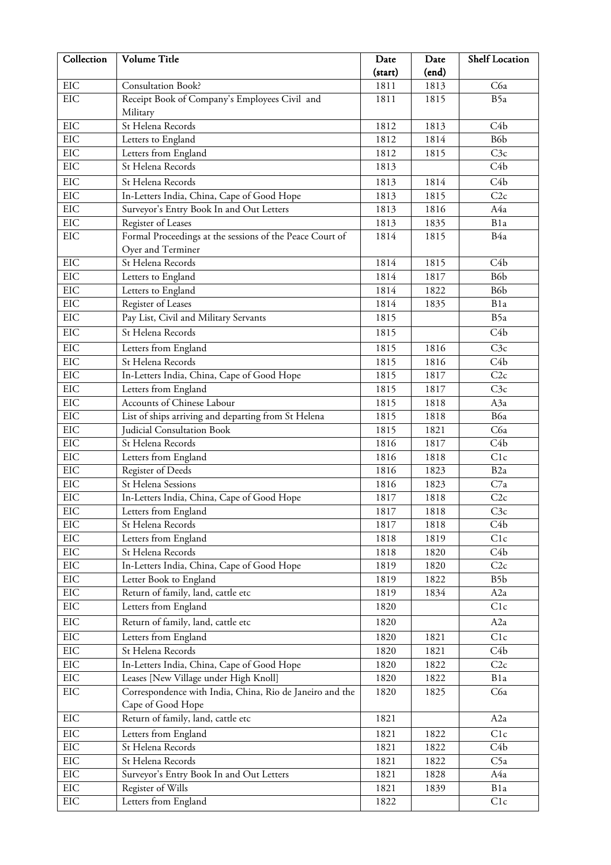| Collection | Volume Title                                                                  | Date    | Date  | <b>Shelf Location</b> |
|------------|-------------------------------------------------------------------------------|---------|-------|-----------------------|
|            |                                                                               | (start) | (end) |                       |
| EIC        | <b>Consultation Book?</b>                                                     | 1811    | 1813  | C6a                   |
| <b>EIC</b> | Receipt Book of Company's Employees Civil and                                 | 1811    | 1815  | B5a                   |
|            | Military                                                                      |         |       |                       |
| EIC        | St Helena Records                                                             | 1812    | 1813  | C <sub>4</sub> b      |
| EIC        | Letters to England                                                            | 1812    | 1814  | B6 <sub>b</sub>       |
| EIC        | Letters from England                                                          | 1812    | 1815  | C3c                   |
| <b>EIC</b> | St Helena Records                                                             | 1813    |       | C <sub>4</sub> b      |
| EIC        | St Helena Records                                                             | 1813    | 1814  | C <sub>4</sub> b      |
| <b>EIC</b> | In-Letters India, China, Cape of Good Hope                                    | 1813    | 1815  | C2c                   |
| <b>EIC</b> | Surveyor's Entry Book In and Out Letters                                      | 1813    | 1816  | A4a                   |
| EIC        | Register of Leases                                                            | 1813    | 1835  | B1a                   |
| EIC        | Formal Proceedings at the sessions of the Peace Court of                      | 1814    | 1815  | B4a                   |
|            | Oyer and Terminer                                                             |         |       |                       |
| <b>EIC</b> | St Helena Records                                                             | 1814    | 1815  | C <sub>4</sub> b      |
| EIC        | Letters to England                                                            | 1814    | 1817  | B6b                   |
| <b>EIC</b> | Letters to England                                                            | 1814    | 1822  | B6b                   |
| <b>EIC</b> | Register of Leases                                                            | 1814    | 1835  | B <sub>1</sub> a      |
| EIC        | Pay List, Civil and Military Servants                                         | 1815    |       | B5a                   |
| <b>EIC</b> | St Helena Records                                                             | 1815    |       | C <sub>4</sub> b      |
| EIC        | Letters from England                                                          | 1815    | 1816  | C3c                   |
| EIC        | St Helena Records                                                             | 1815    | 1816  | C <sub>4</sub> b      |
| EIC        | In-Letters India, China, Cape of Good Hope                                    | 1815    | 1817  | C2c                   |
| EIC        | Letters from England                                                          | 1815    | 1817  | C3c                   |
| EIC        | Accounts of Chinese Labour                                                    | 1815    | 1818  | A3a                   |
| <b>EIC</b> | List of ships arriving and departing from St Helena                           | 1815    | 1818  | B6a                   |
| <b>EIC</b> | Judicial Consultation Book                                                    | 1815    | 1821  | C6a                   |
| <b>EIC</b> | St Helena Records                                                             | 1816    | 1817  | C <sub>4</sub> b      |
| EIC        | Letters from England                                                          | 1816    | 1818  | C1c                   |
| EIC        | Register of Deeds                                                             | 1816    | 1823  | B <sub>2</sub> a      |
| EIC        | St Helena Sessions                                                            | 1816    | 1823  | C7a                   |
| EIC        | In-Letters India, China, Cape of Good Hope                                    | 1817    | 1818  | C2c                   |
| EIC        | Letters from England                                                          | 1817    | 1818  | C3c                   |
| EIC        | St Helena Records                                                             | 1817    | 1818  | C4b                   |
| $\rm EIC$  | Letters from England                                                          | 1818    | 1819  | C1c                   |
| $\rm EIC$  | St Helena Records                                                             | 1818    | 1820  | C4b                   |
| EIC        | In-Letters India, China, Cape of Good Hope                                    | 1819    | 1820  | C2c                   |
| EIC        | Letter Book to England                                                        | 1819    | 1822  | B5b                   |
| $\rm EIC$  | Return of family, land, cattle etc                                            | 1819    | 1834  | A <sub>2</sub> a      |
| $\rm EIC$  | Letters from England                                                          | 1820    |       | C1c                   |
| EIC        | Return of family, land, cattle etc                                            | 1820    |       | A <sub>2</sub> a      |
| EIC        | Letters from England                                                          | 1820    | 1821  | C1c                   |
| EIC        | St Helena Records                                                             | 1820    | 1821  | C <sub>4</sub> b      |
| EIC        | In-Letters India, China, Cape of Good Hope                                    | 1820    | 1822  | C2c                   |
| EIC        | Leases [New Village under High Knoll]                                         | 1820    | 1822  | B1a                   |
| $\rm EIC$  | Correspondence with India, China, Rio de Janeiro and the<br>Cape of Good Hope | 1820    | 1825  | C6a                   |
| EIC        | Return of family, land, cattle etc                                            | 1821    |       | A <sub>2</sub> a      |
| <b>EIC</b> | Letters from England                                                          | 1821    | 1822  | C1c                   |
| $\rm EIC$  | St Helena Records                                                             | 1821    | 1822  | C4b                   |
| $\rm EIC$  | St Helena Records                                                             | 1821    | 1822  | C5a                   |
| EIC        | Surveyor's Entry Book In and Out Letters                                      | 1821    | 1828  | A4a                   |
| EIC        | Register of Wills                                                             | 1821    | 1839  | B1a                   |
| EIC        | Letters from England                                                          | 1822    |       | C1c                   |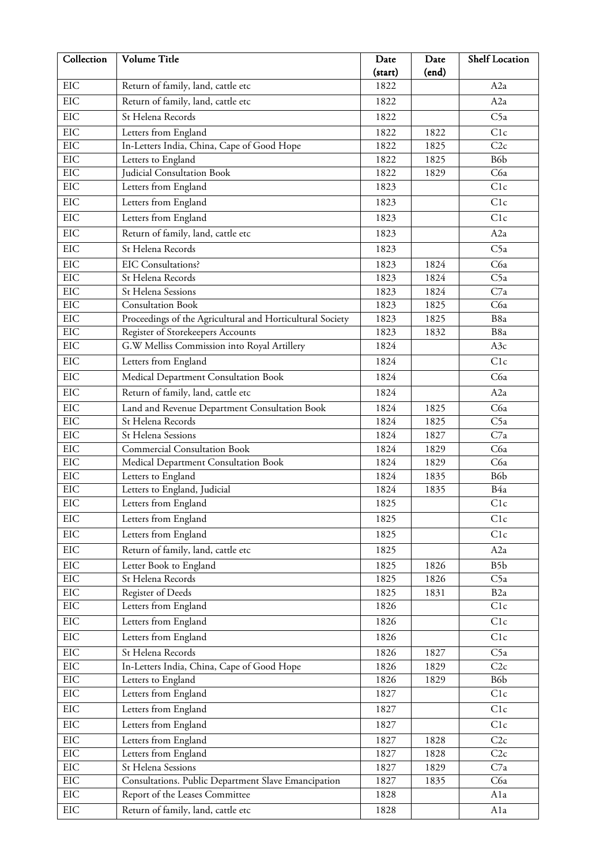| Collection | Volume Title                                              | Date    | Date  | <b>Shelf Location</b> |
|------------|-----------------------------------------------------------|---------|-------|-----------------------|
|            |                                                           | (start) | (end) |                       |
| EIC        | Return of family, land, cattle etc                        | 1822    |       | A2a                   |
| <b>EIC</b> | Return of family, land, cattle etc                        | 1822    |       | A <sub>2</sub> a      |
| <b>EIC</b> | St Helena Records                                         | 1822    |       | C <sub>5a</sub>       |
| EIC        | Letters from England                                      | 1822    | 1822  | C1c                   |
| EIC        | In-Letters India, China, Cape of Good Hope                | 1822    | 1825  | C2c                   |
| <b>EIC</b> | Letters to England                                        | 1822    | 1825  | B6b                   |
| EIC        | Judicial Consultation Book                                | 1822    | 1829  | C6a                   |
| EIC        | Letters from England                                      | 1823    |       | C1c                   |
| EIC        | Letters from England                                      | 1823    |       | C1c                   |
| EIC        | Letters from England                                      | 1823    |       | C1c                   |
| <b>EIC</b> | Return of family, land, cattle etc                        | 1823    |       | A <sub>2</sub> a      |
| EIC        | St Helena Records                                         | 1823    |       | C5a                   |
| <b>EIC</b> | <b>EIC Consultations?</b>                                 | 1823    | 1824  | C6a                   |
| EIC        | St Helena Records                                         | 1823    | 1824  | C5a                   |
| EIC        | St Helena Sessions                                        | 1823    | 1824  | C7a                   |
| EIC        | <b>Consultation Book</b>                                  | 1823    | 1825  | C6a                   |
| <b>EIC</b> | Proceedings of the Agricultural and Horticultural Society | 1823    | 1825  | B8a                   |
| <b>EIC</b> | Register of Storekeepers Accounts                         | 1823    | 1832  | B <sub>8a</sub>       |
| EIC        | G.W Melliss Commission into Royal Artillery               | 1824    |       | A3c                   |
| EIC        | Letters from England                                      | 1824    |       | C1c                   |
| <b>EIC</b> | Medical Department Consultation Book                      | 1824    |       | C6a                   |
| <b>EIC</b> | Return of family, land, cattle etc                        | 1824    |       | A <sub>2</sub> a      |
| EIC        | Land and Revenue Department Consultation Book             | 1824    | 1825  | C6a                   |
| EIC        | St Helena Records                                         | 1824    | 1825  | C5a                   |
| EIC        | St Helena Sessions                                        | 1824    | 1827  | C7a                   |
| EIC        | <b>Commercial Consultation Book</b>                       | 1824    | 1829  | C6a                   |
| EIC        | Medical Department Consultation Book                      | 1824    | 1829  | C6a                   |
| EIC        | Letters to England                                        | 1824    | 1835  | B6 <sub>b</sub>       |
| EIC        | Letters to England, Judicial                              | 1824    | 1835  | B4a                   |
| <b>EIC</b> | Letters from England                                      | 1825    |       | C1c                   |
| EIC        | Letters from England                                      | 1825    |       | C1c                   |
| EIC        | Letters from England                                      | 1825    |       | C1c                   |
| EIC        | Return of family, land, cattle etc                        | 1825    |       | A <sub>2</sub> a      |
| EIC        | Letter Book to England                                    | 1825    | 1826  | B5b                   |
| EIC        | St Helena Records                                         | 1825    | 1826  | C5a                   |
| $\rm EIC$  | Register of Deeds                                         | 1825    | 1831  | B <sub>2</sub> a      |
| EIC        | Letters from England                                      | 1826    |       | C1c                   |
| EIC        | Letters from England                                      | 1826    |       | C1c                   |
| EIC        | Letters from England                                      | 1826    |       | C1c                   |
| EIC        | St Helena Records                                         | 1826    | 1827  | C5a                   |
| EIC        | In-Letters India, China, Cape of Good Hope                | 1826    | 1829  | C2c                   |
| $\rm EIC$  | Letters to England                                        | 1826    | 1829  | B6b                   |
| $\rm EIC$  | Letters from England                                      | 1827    |       | C1c                   |
| EIC        | Letters from England                                      | 1827    |       | C1c                   |
| EIC        | Letters from England                                      | 1827    |       | C1c                   |
| EIC        | Letters from England                                      | 1827    | 1828  | C2c                   |
| EIC        | Letters from England                                      | 1827    | 1828  | C2c                   |
| $\rm EIC$  | St Helena Sessions                                        | 1827    | 1829  | C7a                   |
| EIC        | Consultations. Public Department Slave Emancipation       | 1827    | 1835  | C6a                   |
| $\rm EIC$  | Report of the Leases Committee                            | 1828    |       | Ala                   |
| $\rm EIC$  | Return of family, land, cattle etc                        | 1828    |       | Ala                   |
|            |                                                           |         |       |                       |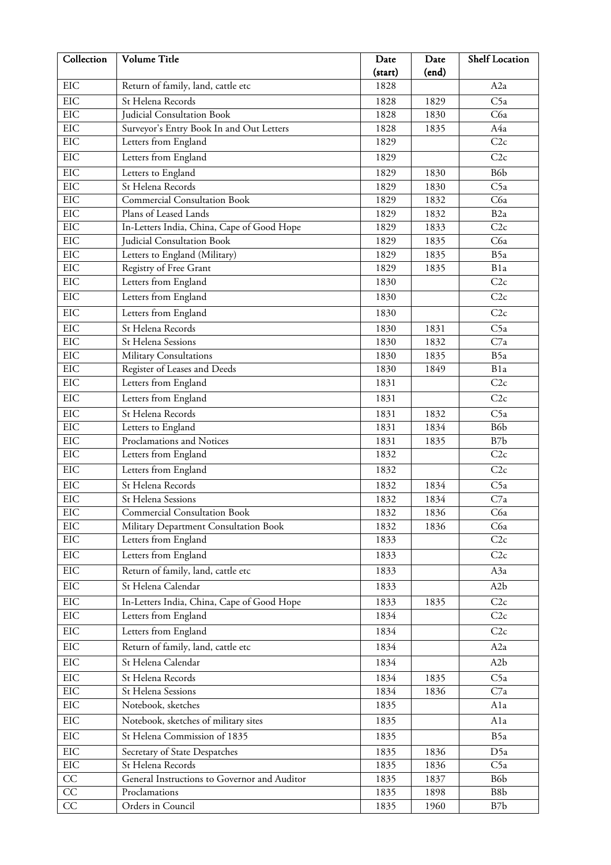| Collection | Volume Title                                   | Date         | Date  | <b>Shelf Location</b> |
|------------|------------------------------------------------|--------------|-------|-----------------------|
|            |                                                | (start)      | (end) |                       |
| EIC        | Return of family, land, cattle etc             | 1828         |       | A <sub>2</sub> a      |
| <b>EIC</b> | St Helena Records                              | 1828         | 1829  | C5a                   |
| EIC        | Judicial Consultation Book                     | 1828         | 1830  | C6a                   |
| EIC        | Surveyor's Entry Book In and Out Letters       | 1828         | 1835  | A4a                   |
| EIC        | Letters from England                           | 1829         |       | C2c                   |
| EIC        | Letters from England                           | 1829         |       | C2c                   |
| EIC        | Letters to England                             | 1829         | 1830  | B6b                   |
| EIC        | St Helena Records                              | 1829         | 1830  | C5a                   |
| EIC        | <b>Commercial Consultation Book</b>            | 1829         | 1832  | C6a                   |
| EIC        | Plans of Leased Lands                          | 1829         | 1832  | B <sub>2a</sub>       |
| <b>EIC</b> | In-Letters India, China, Cape of Good Hope     | 1829         | 1833  | C2c                   |
| EIC<br>EIC | Judicial Consultation Book                     | 1829         | 1835  | C6a                   |
| EIC        | Letters to England (Military)                  | 1829         | 1835  | B5a<br>B1a            |
| EIC        | Registry of Free Grant<br>Letters from England | 1829<br>1830 | 1835  | C2c                   |
| EIC        |                                                |              |       | C2c                   |
|            | Letters from England                           | 1830         |       |                       |
| EIC        | Letters from England                           | 1830         |       | C2c                   |
| EIC        | St Helena Records                              | 1830         | 1831  | C5a                   |
| <b>EIC</b> | St Helena Sessions                             | 1830         | 1832  | C7a                   |
| EIC        | Military Consultations                         | 1830         | 1835  | B5a                   |
| <b>EIC</b> | Register of Leases and Deeds                   | 1830         | 1849  | B1a                   |
| EIC        | Letters from England                           | 1831         |       | C2c                   |
| EIC        | Letters from England                           | 1831         |       | C2c                   |
| EIC        | St Helena Records                              | 1831         | 1832  | C5a                   |
| EIC        | Letters to England                             | 1831         | 1834  | B6b                   |
| EIC        | Proclamations and Notices                      | 1831         | 1835  | B7b                   |
| EIC        | Letters from England                           | 1832         |       | C2c                   |
| EIC        | Letters from England                           | 1832         |       | C2c                   |
| <b>EIC</b> | St Helena Records                              | 1832         | 1834  | C5a                   |
| EIC        | St Helena Sessions                             | 1832         | 1834  | C7a                   |
| EIC        | <b>Commercial Consultation Book</b>            | 1832         | 1836  | C6a                   |
| EIC        | Military Department Consultation Book          | 1832         | 1836  | C6a                   |
| EIC        | Letters from England                           | 1833         |       | C2c                   |
| EIC        | Letters from England                           | 1833         |       | C2c                   |
| EIC        | Return of family, land, cattle etc             | 1833         |       | A3a                   |
| <b>EIC</b> | St Helena Calendar                             | 1833         |       | A <sub>2</sub> b      |
| EIC        | In-Letters India, China, Cape of Good Hope     | 1833         | 1835  | C2c                   |
| EIC        | Letters from England                           | 1834         |       | C2c                   |
| EIC        | Letters from England                           | 1834         |       | C2c                   |
| EIC        | Return of family, land, cattle etc             | 1834         |       | A <sub>2</sub> a      |
| EIC        | St Helena Calendar                             | 1834         |       | A <sub>2</sub> b      |
| <b>EIC</b> | St Helena Records                              | 1834         | 1835  | C5a                   |
| EIC        | St Helena Sessions                             | 1834         | 1836  | C7a                   |
| EIC        | Notebook, sketches                             | 1835         |       | Ala                   |
| EIC        | Notebook, sketches of military sites           | 1835         |       | Ala                   |
| EIC        | St Helena Commission of 1835                   | 1835         |       | B5a                   |
| <b>EIC</b> | Secretary of State Despatches                  | 1835         | 1836  | D5a                   |
| EIC        | St Helena Records                              | 1835         | 1836  | C5a                   |
| CC         | General Instructions to Governor and Auditor   | 1835         | 1837  | B6 <sub>b</sub>       |
| CC         | Proclamations                                  | 1835         | 1898  | B8b                   |
| CC         | Orders in Council                              | 1835         | 1960  | B7b                   |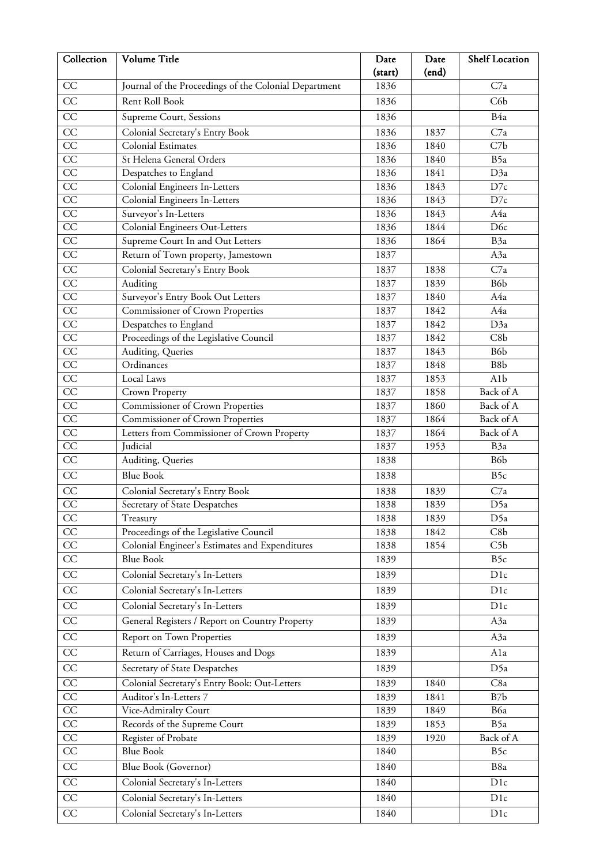| Collection                         | Volume Title                                                                           | Date         | Date         | Shelf Location         |
|------------------------------------|----------------------------------------------------------------------------------------|--------------|--------------|------------------------|
|                                    |                                                                                        | (start)      | (end)        |                        |
| CC                                 | Journal of the Proceedings of the Colonial Department                                  | 1836         |              | C7a                    |
| CC                                 | Rent Roll Book                                                                         | 1836         |              | C6b                    |
| CC                                 | Supreme Court, Sessions                                                                | 1836         |              | B4a                    |
| CC                                 | Colonial Secretary's Entry Book                                                        | 1836         | 1837         | C7a                    |
| CC                                 | Colonial Estimates                                                                     | 1836         | 1840         | C7b                    |
| $\overline{CC}$                    | St Helena General Orders                                                               | 1836         | 1840         | B5a                    |
| $\overline{CC}$                    | Despatches to England                                                                  | 1836         | 1841         | D3a                    |
| $\overline{CC}$                    | Colonial Engineers In-Letters                                                          | 1836         | 1843         | D7c                    |
| $\overline{CC}$                    | Colonial Engineers In-Letters                                                          | 1836         | 1843         | D7c                    |
| $\overline{CC}$                    | Surveyor's In-Letters                                                                  | 1836         | 1843         | A4a                    |
| $\overline{CC}$                    | Colonial Engineers Out-Letters                                                         | 1836         | 1844         | D <sub>6c</sub>        |
| $\overline{CC}$                    | Supreme Court In and Out Letters                                                       | 1836         | 1864         | B3a                    |
| CC                                 | Return of Town property, Jamestown                                                     | 1837         |              | A3a                    |
| $\overline{CC}$                    | Colonial Secretary's Entry Book                                                        | 1837         | 1838         | C7a                    |
| $\overline{CC}$                    | Auditing                                                                               | 1837         | 1839         | B6b                    |
| $\overline{CC}$                    | Surveyor's Entry Book Out Letters                                                      | 1837         | 1840         | A4a                    |
| CC                                 | Commissioner of Crown Properties                                                       | 1837         | 1842         | A4a                    |
| CC                                 | Despatches to England                                                                  | 1837         | 1842         | D3a                    |
| $\overline{CC}$                    | Proceedings of the Legislative Council                                                 | 1837         | 1842         | C8b                    |
| CC                                 | Auditing, Queries                                                                      | 1837         | 1843         | B6b                    |
| $\overline{CC}$                    | Ordinances                                                                             | 1837         | 1848         | B8b                    |
| CC                                 | Local Laws                                                                             | 1837         | 1853         | A <sub>1</sub> b       |
| CC                                 | Crown Property                                                                         | 1837         | 1858         | Back of A              |
| $\overline{CC}$<br>$\overline{CC}$ | Commissioner of Crown Properties                                                       | 1837         | 1860         | Back of A              |
| $\overline{CC}$                    | <b>Commissioner of Crown Properties</b><br>Letters from Commissioner of Crown Property | 1837<br>1837 | 1864<br>1864 | Back of A<br>Back of A |
| CC                                 | Judicial                                                                               | 1837         | 1953         | B <sub>3a</sub>        |
| CC                                 | Auditing, Queries                                                                      | 1838         |              | B6b                    |
| $\overline{CC}$                    | <b>Blue Book</b>                                                                       | 1838         |              | B <sub>5c</sub>        |
| CC                                 | Colonial Secretary's Entry Book                                                        | 1838         | 1839         | C7a                    |
| $\overline{CC}$                    | Secretary of State Despatches                                                          | 1838         | 1839         | D5a                    |
| CC                                 | Treasury                                                                               | 1838         | 1839         | D5a                    |
| CC                                 | Proceedings of the Legislative Council                                                 | 1838         | 1842         | C8b                    |
| $\rm CC$                           | Colonial Engineer's Estimates and Expenditures                                         | 1838         | 1854         | C <sub>5</sub> b       |
| $\overline{CC}$                    | <b>Blue Book</b>                                                                       | 1839         |              | B5c                    |
| CC                                 | Colonial Secretary's In-Letters                                                        | 1839         |              | D1c                    |
| $\overline{CC}$                    | Colonial Secretary's In-Letters                                                        |              |              | D1c                    |
|                                    |                                                                                        | 1839         |              |                        |
| $\overline{CC}$                    | Colonial Secretary's In-Letters                                                        | 1839         |              | D1c                    |
| $\overline{CC}$                    | General Registers / Report on Country Property                                         | 1839         |              | A3a                    |
| $\overline{CC}$                    | Report on Town Properties                                                              | 1839         |              | A3a                    |
| $\overline{CC}$                    | Return of Carriages, Houses and Dogs                                                   | 1839         |              | Ala                    |
| CC                                 | Secretary of State Despatches                                                          | 1839         |              | D5a                    |
| $\overline{CC}$                    | Colonial Secretary's Entry Book: Out-Letters                                           | 1839         | 1840         | C8a                    |
| $\overline{CC}$                    | Auditor's In-Letters 7                                                                 | 1839         | 1841         | B7b                    |
| $\rm CC$                           | Vice-Admiralty Court                                                                   | 1839         | 1849         | B6a                    |
| CC                                 | Records of the Supreme Court                                                           | 1839         | 1853         | B5a                    |
| $\overline{CC}$                    | Register of Probate                                                                    | 1839         | 1920         | Back of A              |
| CC                                 | <b>Blue Book</b>                                                                       | 1840         |              | B5c                    |
| CC                                 | Blue Book (Governor)                                                                   | 1840         |              | B8a                    |
| $\overline{CC}$                    | Colonial Secretary's In-Letters                                                        | 1840         |              | D1c                    |
| CC                                 | Colonial Secretary's In-Letters                                                        | 1840         |              | D <sub>1</sub> c       |
| $\overline{CC}$                    | Colonial Secretary's In-Letters                                                        | 1840         |              | D1c                    |
|                                    |                                                                                        |              |              |                        |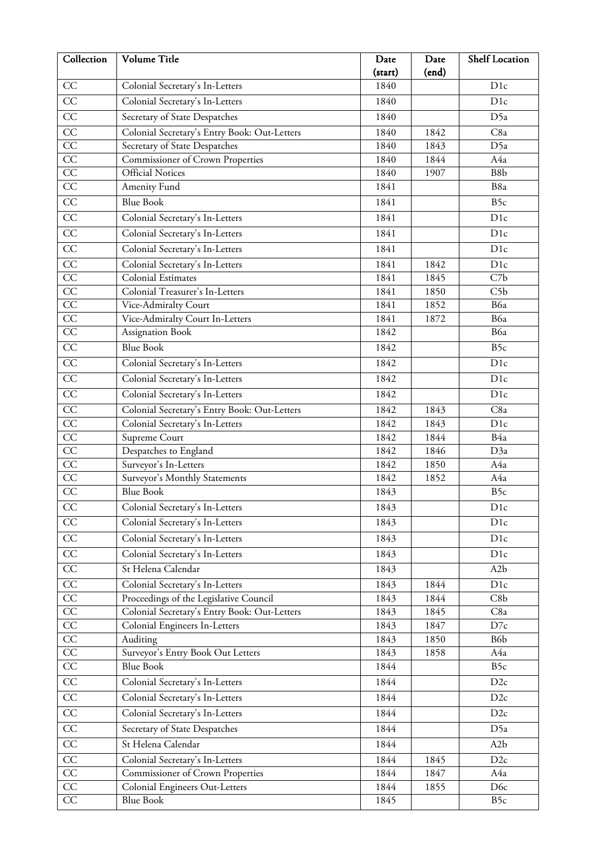| Collection      | Volume Title                                 | Date    | Date  | <b>Shelf Location</b> |
|-----------------|----------------------------------------------|---------|-------|-----------------------|
|                 |                                              | (start) | (end) |                       |
| CC              | Colonial Secretary's In-Letters              | 1840    |       | D <sub>1c</sub>       |
| CC              | Colonial Secretary's In-Letters              | 1840    |       | D1c                   |
| $\overline{CC}$ | Secretary of State Despatches                | 1840    |       | D5a                   |
| CC              | Colonial Secretary's Entry Book: Out-Letters | 1840    | 1842  | C8a                   |
| $\overline{CC}$ | Secretary of State Despatches                | 1840    | 1843  | D5a                   |
| $\overline{CC}$ | Commissioner of Crown Properties             | 1840    | 1844  | A4a                   |
| $\overline{CC}$ | <b>Official Notices</b>                      | 1840    | 1907  | B8b                   |
| $\overline{CC}$ | Amenity Fund                                 | 1841    |       | B8a                   |
| $\overline{CC}$ | <b>Blue Book</b>                             | 1841    |       | B <sub>5c</sub>       |
| CC              | Colonial Secretary's In-Letters              | 1841    |       | D1c                   |
| CC              | Colonial Secretary's In-Letters              | 1841    |       | D <sub>1c</sub>       |
| CC              | Colonial Secretary's In-Letters              | 1841    |       | D1c                   |
| $\overline{CC}$ | Colonial Secretary's In-Letters              | 1841    | 1842  | D <sub>1c</sub>       |
| $\overline{CC}$ | Colonial Estimates                           | 1841    | 1845  | C7b                   |
| CC              | Colonial Treasurer's In-Letters              | 1841    | 1850  | C5b                   |
| CC              | Vice-Admiralty Court                         | 1841    | 1852  | B6a                   |
| $\overline{CC}$ | Vice-Admiralty Court In-Letters              | 1841    | 1872  | B6a                   |
| $\overline{CC}$ | Assignation Book                             | 1842    |       | B6a                   |
| CC              | <b>Blue Book</b>                             | 1842    |       | B5c                   |
| $\overline{CC}$ | Colonial Secretary's In-Letters              | 1842    |       | D <sub>1c</sub>       |
| CC              | Colonial Secretary's In-Letters              | 1842    |       | D <sub>1c</sub>       |
| $\overline{CC}$ | Colonial Secretary's In-Letters              | 1842    |       | D <sub>1c</sub>       |
| CC              | Colonial Secretary's Entry Book: Out-Letters | 1842    | 1843  | C8a                   |
| CC              | Colonial Secretary's In-Letters              | 1842    | 1843  | D1c                   |
| $\overline{CC}$ | Supreme Court                                | 1842    | 1844  | B4a                   |
| $\overline{CC}$ | Despatches to England                        | 1842    | 1846  | D3a                   |
| CC              | Surveyor's In-Letters                        | 1842    | 1850  | A4a                   |
| CC              | Surveyor's Monthly Statements                | 1842    | 1852  | A4a                   |
| $\overline{CC}$ | <b>Blue Book</b>                             | 1843    |       | B5c                   |
| CC              | Colonial Secretary's In-Letters              | 1843    |       | D1c                   |
| CC              | Colonial Secretary's In-Letters              | 1843    |       | D1c                   |
| CC              | Colonial Secretary's In-Letters              | 1843    |       | D1c                   |
| $\overline{CC}$ | Colonial Secretary's In-Letters              | 1843    |       | D1c                   |
| CC              | St Helena Calendar                           | 1843    |       | A <sub>2</sub> b      |
| $\overline{CC}$ | Colonial Secretary's In-Letters              | 1843    | 1844  | D <sub>1c</sub>       |
| $\overline{CC}$ | Proceedings of the Legislative Council       | 1843    | 1844  | C8b                   |
| $\rm CC$        | Colonial Secretary's Entry Book: Out-Letters | 1843    | 1845  | C8a                   |
| $\rm CC$        | Colonial Engineers In-Letters                | 1843    | 1847  | D7c                   |
| $\overline{CC}$ | Auditing                                     | 1843    | 1850  | B6b                   |
| $\overline{CC}$ | Surveyor's Entry Book Out Letters            | 1843    | 1858  | A4a                   |
| CC              | <b>Blue Book</b>                             | 1844    |       | B5c                   |
| $\overline{CC}$ | Colonial Secretary's In-Letters              | 1844    |       | D2c                   |
| CC              | Colonial Secretary's In-Letters              | 1844    |       | D2c                   |
| $\overline{CC}$ | Colonial Secretary's In-Letters              | 1844    |       | D2c                   |
| $\overline{CC}$ | Secretary of State Despatches                | 1844    |       | D5a                   |
| $\overline{CC}$ | St Helena Calendar                           | 1844    |       | A <sub>2</sub> b      |
| $\overline{CC}$ | Colonial Secretary's In-Letters              | 1844    | 1845  | D2c                   |
| CC              | Commissioner of Crown Properties             | 1844    | 1847  | A4a                   |
| $\overline{CC}$ | Colonial Engineers Out-Letters               | 1844    | 1855  | D <sub>6</sub> c      |
| $\overline{CC}$ | <b>Blue Book</b>                             | 1845    |       | B5c                   |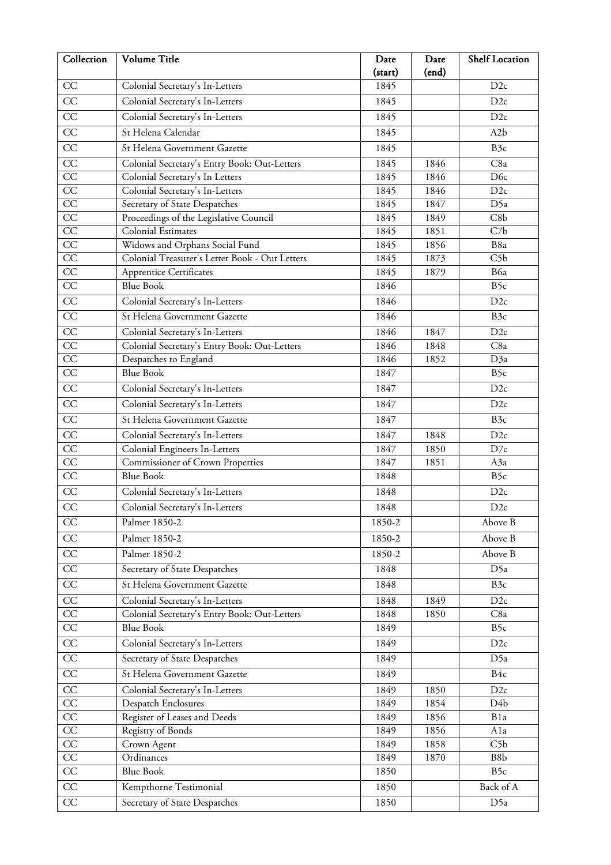| Collection            | Volume Title                                                                    | Date         | Date         | Shelf Location   |
|-----------------------|---------------------------------------------------------------------------------|--------------|--------------|------------------|
|                       |                                                                                 | (start)      | (end)        |                  |
| CC                    | Colonial Secretary's In-Letters                                                 | 1845         |              | D2c              |
| CC                    | Colonial Secretary's In-Letters                                                 | 1845         |              | D2c              |
| $\overline{CC}$       | Colonial Secretary's In-Letters                                                 | 1845         |              | D2c              |
| CC                    | St Helena Calendar                                                              | 1845         |              | A <sub>2</sub> b |
| CC                    | St Helena Government Gazette                                                    | 1845         |              | B3c              |
| CC                    | Colonial Secretary's Entry Book: Out-Letters                                    | 1845         | 1846         | C8a              |
| $\overline{CC}$       | Colonial Secretary's In Letters                                                 | 1845         | 1846         | D <sub>6c</sub>  |
| $\overline{CC}$       | Colonial Secretary's In-Letters                                                 | 1845         | 1846         | D2c              |
| $\overline{CC}$       | Secretary of State Despatches                                                   | 1845         | 1847         | D5a              |
| CC                    | Proceedings of the Legislative Council                                          | 1845         | 1849         | C8b              |
| CC                    | Colonial Estimates                                                              | 1845         | 1851         | C7b              |
| $\overline{CC}$       | Widows and Orphans Social Fund                                                  | 1845         | 1856         | B8a              |
| $\overline{CC}$       | Colonial Treasurer's Letter Book - Out Letters                                  | 1845         | 1873         | C5b              |
| CC                    | Apprentice Certificates                                                         | 1845         | 1879         | B6a              |
| $\overline{CC}$       | <b>Blue Book</b>                                                                | 1846         |              | B5c              |
| $\overline{CC}$       | Colonial Secretary's In-Letters                                                 | 1846         |              | D2c              |
| CC                    | St Helena Government Gazette                                                    | 1846         |              | B <sub>3c</sub>  |
| CC                    | Colonial Secretary's In-Letters                                                 | 1846         | 1847         | D2c              |
| CC                    | Colonial Secretary's Entry Book: Out-Letters                                    | 1846         | 1848         | C8a              |
| CC                    | Despatches to England                                                           | 1846         | 1852         | D3a              |
| $\overline{CC}$       | <b>Blue Book</b>                                                                | 1847         |              | B5c              |
| $\overline{CC}$       | Colonial Secretary's In-Letters                                                 | 1847         |              | D2c              |
| $\overline{CC}$       | Colonial Secretary's In-Letters                                                 | 1847         |              | D2c              |
| $\overline{CC}$       | St Helena Government Gazette                                                    | 1847         |              | B3c              |
| CC                    | Colonial Secretary's In-Letters                                                 | 1847         | 1848         | D2c              |
| CC                    | Colonial Engineers In-Letters                                                   | 1847         | 1850         | D7c              |
| CC                    | <b>Commissioner of Crown Properties</b>                                         | 1847         | 1851         | A3a              |
| CC                    | <b>Blue Book</b>                                                                | 1848         |              | B5c              |
| $\overline{CC}$       | Colonial Secretary's In-Letters                                                 | 1848         |              | D2c              |
| $\overline{CC}$       | Colonial Secretary's In-Letters                                                 | 1848         |              | D2c              |
| CC                    | Palmer 1850-2                                                                   | 1850-2       |              | Above B          |
| CC                    | Palmer 1850-2                                                                   | 1850-2       |              | Above B          |
| $\overline{CC}$       | Palmer 1850-2                                                                   | 1850-2       |              | Above B          |
| CC                    | Secretary of State Despatches                                                   | 1848         |              | D5a              |
| $\overline{CC}$       | St Helena Government Gazette                                                    | 1848         |              | B3c              |
|                       |                                                                                 | 1848         |              |                  |
| CC<br>CC              | Colonial Secretary's In-Letters<br>Colonial Secretary's Entry Book: Out-Letters | 1848         | 1849<br>1850 | D2c<br>C8a       |
| $\overline{CC}$       | <b>Blue Book</b>                                                                | 1849         |              | B5c              |
| CC                    | Colonial Secretary's In-Letters                                                 | 1849         |              | D2c              |
|                       |                                                                                 |              |              |                  |
| $\overline{CC}$       | Secretary of State Despatches                                                   | 1849         |              | D5a              |
| CC                    | St Helena Government Gazette                                                    | 1849         |              | B4c              |
| $\overline{CC}$       | Colonial Secretary's In-Letters                                                 | 1849         | 1850         | D2c              |
| $\overline{CC}$       | <b>Despatch Enclosures</b>                                                      | 1849         | 1854         | D4b              |
| CC                    | Register of Leases and Deeds                                                    | 1849         | 1856         | B1a              |
| CC<br>$\overline{CC}$ | Registry of Bonds                                                               | 1849         | 1856         | Ala              |
| $\overline{CC}$       | Crown Agent<br>Ordinances                                                       | 1849<br>1849 | 1858<br>1870 | C5b<br>B8b       |
| $\overline{CC}$       | <b>Blue Book</b>                                                                | 1850         |              | B5c              |
| CC                    |                                                                                 |              |              |                  |
|                       | Kempthorne Testimonial                                                          | 1850         |              | Back of A        |
| $\overline{CC}$       | Secretary of State Despatches                                                   | 1850         |              | D5a              |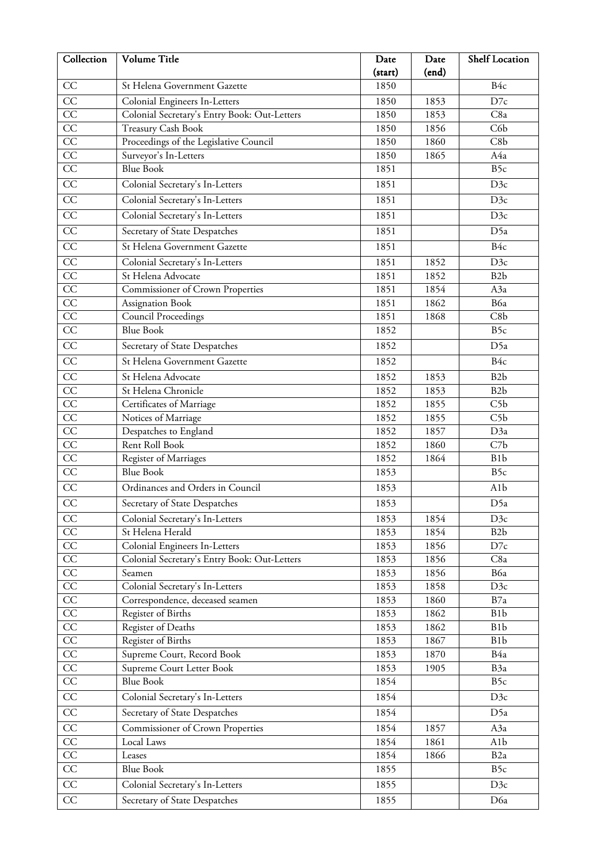| Collection      | Volume Title                                 | Date    | Date  | <b>Shelf Location</b> |
|-----------------|----------------------------------------------|---------|-------|-----------------------|
|                 |                                              | (start) | (end) |                       |
| CC              | St Helena Government Gazette                 | 1850    |       | B <sub>4c</sub>       |
| CC              | Colonial Engineers In-Letters                | 1850    | 1853  | D7c                   |
| CC              | Colonial Secretary's Entry Book: Out-Letters | 1850    | 1853  | C8a                   |
| CC              | Treasury Cash Book                           | 1850    | 1856  | C6b                   |
| CC              | Proceedings of the Legislative Council       | 1850    | 1860  | C8b                   |
| $\overline{CC}$ | Surveyor's In-Letters                        | 1850    | 1865  | A4a                   |
| $\overline{CC}$ | <b>Blue Book</b>                             | 1851    |       | B <sub>5c</sub>       |
| $\overline{CC}$ | Colonial Secretary's In-Letters              | 1851    |       | D3c                   |
| $\overline{CC}$ | Colonial Secretary's In-Letters              | 1851    |       | D3c                   |
| $\overline{CC}$ | Colonial Secretary's In-Letters              | 1851    |       | D3c                   |
| CC              | Secretary of State Despatches                | 1851    |       | D5a                   |
| CC              | St Helena Government Gazette                 | 1851    |       | B4c                   |
| CC              | Colonial Secretary's In-Letters              | 1851    | 1852  | D3c                   |
| $\overline{CC}$ | St Helena Advocate                           | 1851    | 1852  | B <sub>2</sub> b      |
| $\overline{CC}$ | <b>Commissioner of Crown Properties</b>      | 1851    | 1854  | A3a                   |
| $\overline{CC}$ | Assignation Book                             | 1851    | 1862  | B6a                   |
| CC              | <b>Council Proceedings</b>                   | 1851    | 1868  | C8b                   |
| CC              | <b>Blue Book</b>                             | 1852    |       | B5c                   |
| $\overline{CC}$ | Secretary of State Despatches                | 1852    |       | D5a                   |
| $\overline{CC}$ | St Helena Government Gazette                 | 1852    |       | B4c                   |
| CC              | St Helena Advocate                           | 1852    | 1853  | B2b                   |
| CC              | St Helena Chronicle                          | 1852    | 1853  | B <sub>2</sub> b      |
| CC              | Certificates of Marriage                     | 1852    | 1855  | C5b                   |
| $\overline{CC}$ | Notices of Marriage                          | 1852    | 1855  | C5b                   |
| $\overline{CC}$ | Despatches to England                        | 1852    | 1857  | D3a                   |
| $\overline{CC}$ | Rent Roll Book                               | 1852    | 1860  | C7b                   |
| CC              | Register of Marriages                        | 1852    | 1864  | B <sub>1</sub> b      |
| $\overline{CC}$ | <b>Blue Book</b>                             | 1853    |       | B5c                   |
| $\overline{CC}$ | Ordinances and Orders in Council             | 1853    |       | A1b                   |
| CC              | Secretary of State Despatches                | 1853    |       | D5a                   |
| CC              | Colonial Secretary's In-Letters              | 1853    | 1854  | D3c                   |
| CC              | St Helena Herald                             | 1853    | 1854  | B <sub>2</sub> b      |
| $\rm CC$        | Colonial Engineers In-Letters                | 1853    | 1856  | D7c                   |
| $\overline{CC}$ | Colonial Secretary's Entry Book: Out-Letters | 1853    | 1856  | C8a                   |
| $\overline{CC}$ | Seamen                                       | 1853    | 1856  | B6a                   |
| $\overline{CC}$ | Colonial Secretary's In-Letters              | 1853    | 1858  | D3c                   |
| $\rm CC$        | Correspondence, deceased seamen              | 1853    | 1860  | B7a                   |
| CC              | Register of Births                           | 1853    | 1862  | B <sub>1</sub> b      |
| $\overline{CC}$ | Register of Deaths                           | 1853    | 1862  | B <sub>1</sub> b      |
| $\overline{CC}$ | Register of Births                           | 1853    | 1867  | B <sub>1</sub> b      |
| $\overline{CC}$ | Supreme Court, Record Book                   | 1853    | 1870  | B4a                   |
| $\rm CC$        | Supreme Court Letter Book                    | 1853    | 1905  | B3a                   |
| $\overline{CC}$ | <b>Blue Book</b>                             | 1854    |       | B5c                   |
| $\overline{CC}$ | Colonial Secretary's In-Letters              | 1854    |       | D3c                   |
| $\overline{CC}$ | Secretary of State Despatches                | 1854    |       | D5a                   |
| $\overline{CC}$ | Commissioner of Crown Properties             | 1854    | 1857  | A3a                   |
| $\rm CC$        | Local Laws                                   | 1854    | 1861  | A <sub>1</sub> b      |
| CC              | Leases                                       | 1854    | 1866  | B <sub>2</sub> a      |
| $\overline{CC}$ | <b>Blue Book</b>                             | 1855    |       | B5c                   |
| $\overline{CC}$ | Colonial Secretary's In-Letters              | 1855    |       | D3c                   |
| $\overline{CC}$ | Secretary of State Despatches                | 1855    |       | D6a                   |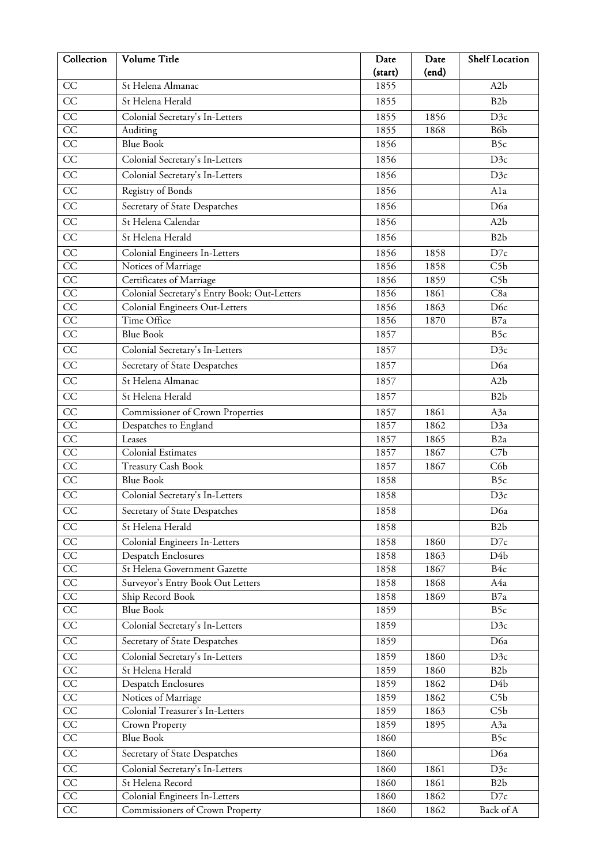| Collection      | Volume Title                                 | Date    | Date  | Shelf Location   |
|-----------------|----------------------------------------------|---------|-------|------------------|
|                 |                                              | (start) | (end) |                  |
| CC              | St Helena Almanac                            | 1855    |       | A <sub>2</sub> b |
| CC              | St Helena Herald                             | 1855    |       | B <sub>2</sub> b |
| $\overline{CC}$ | Colonial Secretary's In-Letters              | 1855    | 1856  | D3c              |
| $\overline{CC}$ | Auditing                                     | 1855    | 1868  | B6b              |
| $\overline{CC}$ | <b>Blue Book</b>                             | 1856    |       | B5c              |
| $\overline{CC}$ | Colonial Secretary's In-Letters              | 1856    |       | D3c              |
| CC              | Colonial Secretary's In-Letters              | 1856    |       | D3c              |
| $\overline{CC}$ | Registry of Bonds                            | 1856    |       | Ala              |
| CC              | Secretary of State Despatches                | 1856    |       | D6a              |
| $\overline{CC}$ | St Helena Calendar                           | 1856    |       | A <sub>2</sub> b |
| CC              | St Helena Herald                             | 1856    |       | B <sub>2</sub> b |
| $\overline{CC}$ | Colonial Engineers In-Letters                | 1856    | 1858  | D7c              |
| $\overline{CC}$ | Notices of Marriage                          | 1856    | 1858  | C5b              |
| CC              | Certificates of Marriage                     | 1856    | 1859  | C5b              |
| CC              | Colonial Secretary's Entry Book: Out-Letters | 1856    | 1861  | C8a              |
| $\overline{CC}$ | Colonial Engineers Out-Letters               | 1856    | 1863  | D <sub>6c</sub>  |
| $\overline{CC}$ | Time Office                                  | 1856    | 1870  | B7a              |
| $\overline{CC}$ | <b>Blue Book</b>                             | 1857    |       | B <sub>5c</sub>  |
| $\overline{CC}$ | Colonial Secretary's In-Letters              | 1857    |       | D3c              |
| $\overline{CC}$ | Secretary of State Despatches                | 1857    |       | D6a              |
| $\overline{CC}$ | St Helena Almanac                            | 1857    |       | A <sub>2</sub> b |
| $\overline{CC}$ | St Helena Herald                             | 1857    |       | B <sub>2</sub> b |
| CC              | <b>Commissioner of Crown Properties</b>      | 1857    | 1861  | A3a              |
| $\overline{CC}$ | Despatches to England                        | 1857    | 1862  | D3a              |
| $\overline{CC}$ | Leases                                       | 1857    | 1865  | B <sub>2</sub> a |
| CC              | <b>Colonial Estimates</b>                    | 1857    | 1867  | C7b              |
| CC              | Treasury Cash Book                           | 1857    | 1867  | C6b              |
| $\overline{CC}$ | <b>Blue Book</b>                             | 1858    |       | B5c              |
| CC              | Colonial Secretary's In-Letters              | 1858    |       | D3c              |
| $\rm CC$        | Secretary of State Despatches                | 1858    |       | D6a              |
| CC              | St Helena Herald                             | 1858    |       | B <sub>2</sub> b |
| CC              | Colonial Engineers In-Letters                | 1858    | 1860  | D7c              |
| $\overline{CC}$ | <b>Despatch Enclosures</b>                   | 1858    | 1863  | D4b              |
| $\rm CC$        | St Helena Government Gazette                 | 1858    | 1867  | B4c              |
| CC              | Surveyor's Entry Book Out Letters            | 1858    | 1868  | A4a              |
| $\overline{CC}$ | Ship Record Book                             | 1858    | 1869  | B7a              |
| CC              | <b>Blue Book</b>                             | 1859    |       | B5c              |
| $\overline{CC}$ | Colonial Secretary's In-Letters              | 1859    |       | D3c              |
| $\overline{CC}$ | Secretary of State Despatches                | 1859    |       | D6a              |
| CC              | Colonial Secretary's In-Letters              | 1859    | 1860  | D3c              |
| $\overline{CC}$ | St Helena Herald                             | 1859    | 1860  | B <sub>2</sub> b |
| $\overline{CC}$ | <b>Despatch Enclosures</b>                   | 1859    | 1862  | D4b              |
| $\overline{CC}$ | Notices of Marriage                          | 1859    | 1862  | C5b              |
| $\rm CC$        | Colonial Treasurer's In-Letters              | 1859    | 1863  | C <sub>5</sub> b |
| CC              | Crown Property                               | 1859    | 1895  | A3a              |
| $\overline{CC}$ | <b>Blue Book</b>                             | 1860    |       | B5c              |
| CC              | Secretary of State Despatches                | 1860    |       | D6a              |
| $\overline{CC}$ | Colonial Secretary's In-Letters              | 1860    | 1861  | D3c              |
| $\overline{CC}$ | St Helena Record                             | 1860    | 1861  | B <sub>2</sub> b |
| $\overline{CC}$ | Colonial Engineers In-Letters                | 1860    | 1862  | D7c              |
| CC              | Commissioners of Crown Property              | 1860    | 1862  | Back of A        |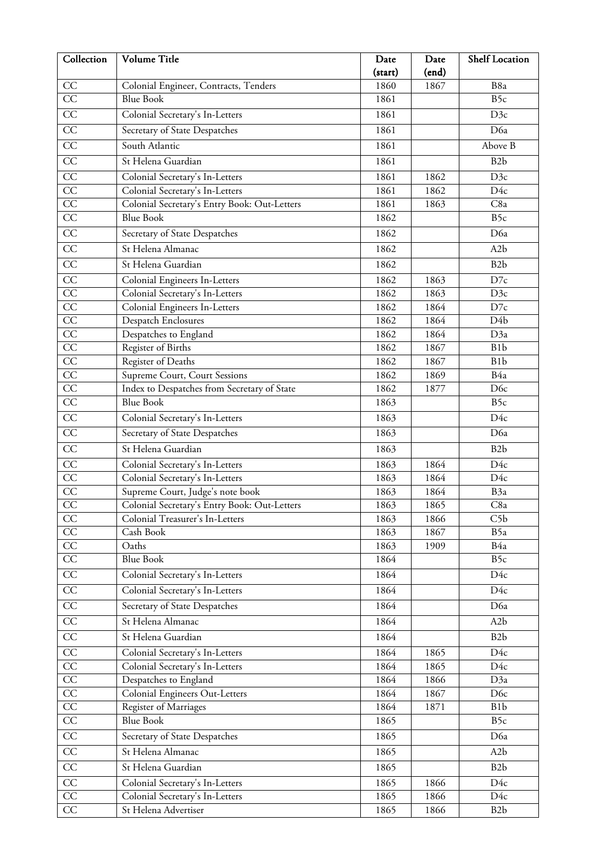| Collection            | Volume Title                                 | Date         | Date  | <b>Shelf Location</b> |
|-----------------------|----------------------------------------------|--------------|-------|-----------------------|
|                       |                                              | (start)      | (end) |                       |
| CC                    | Colonial Engineer, Contracts, Tenders        | 1860         | 1867  | B8a                   |
| $\overline{CC}$       | <b>Blue Book</b>                             | 1861         |       | B5c                   |
| CC                    | Colonial Secretary's In-Letters              | 1861         |       | D3c                   |
| $\overline{CC}$       | Secretary of State Despatches                | 1861         |       | D6a                   |
| CC                    | South Atlantic                               | 1861         |       | Above B               |
| $\overline{CC}$       | St Helena Guardian                           | 1861         |       | B <sub>2</sub> b      |
| $\overline{CC}$       | Colonial Secretary's In-Letters              | 1861         | 1862  | D3c                   |
| $\overline{CC}$       | Colonial Secretary's In-Letters              | 1861         | 1862  | D4c                   |
| $\overline{CC}$       | Colonial Secretary's Entry Book: Out-Letters | 1861         | 1863  | C8a                   |
| CC                    | <b>Blue Book</b>                             | 1862         |       | B <sub>5c</sub>       |
| $\overline{CC}$       | Secretary of State Despatches                | 1862         |       | D6a                   |
| CC                    | St Helena Almanac                            | 1862         |       | A <sub>2</sub> b      |
| CC                    | St Helena Guardian                           | 1862         |       | B <sub>2</sub> b      |
| CC                    | Colonial Engineers In-Letters                | 1862         | 1863  | D7c                   |
| CC                    | Colonial Secretary's In-Letters              | 1862         | 1863  | D3c                   |
| CC                    | Colonial Engineers In-Letters                | 1862         | 1864  | D7c                   |
| CC                    | <b>Despatch Enclosures</b>                   | 1862         | 1864  | D <sub>4</sub> b      |
| $\overline{CC}$       | Despatches to England                        | 1862         | 1864  | D3a                   |
| CC                    | Register of Births                           | 1862         | 1867  | B <sub>1</sub> b      |
| CC                    | Register of Deaths                           | 1862         | 1867  | B <sub>1</sub> b      |
| CC                    | Supreme Court, Court Sessions                | 1862         | 1869  | B4a                   |
| $\overline{CC}$       | Index to Despatches from Secretary of State  | 1862         | 1877  | D <sub>6c</sub>       |
| CC                    | <b>Blue Book</b>                             | 1863         |       | B5c                   |
| $\overline{CC}$       | Colonial Secretary's In-Letters              | 1863         |       | D4c                   |
| $\overline{CC}$       | Secretary of State Despatches                | 1863         |       | D6a                   |
| $\overline{CC}$       | St Helena Guardian                           | 1863         |       | B <sub>2</sub> b      |
| CC                    | Colonial Secretary's In-Letters              | 1863         | 1864  | D4c                   |
| CC                    | Colonial Secretary's In-Letters              | 1863         | 1864  | D4c                   |
| CC                    | Supreme Court, Judge's note book             | 1863         | 1864  | B3a                   |
| $\overline{CC}$       | Colonial Secretary's Entry Book: Out-Letters | 1863         | 1865  | C8a                   |
| CC                    | Colonial Treasurer's In-Letters              | 1863         | 1866  | C5b                   |
| CC                    | Cash Book                                    | 1863         | 1867  | B5a                   |
| CC<br>$\overline{CC}$ | Oaths<br><b>Blue Book</b>                    | 1863<br>1864 | 1909  | B4a<br>B5c            |
| CC                    |                                              |              |       |                       |
|                       | Colonial Secretary's In-Letters              | 1864         |       | D4c                   |
| $\overline{CC}$       | Colonial Secretary's In-Letters              | 1864         |       | D4c                   |
| CC                    | Secretary of State Despatches                | 1864         |       | D6a                   |
| $\overline{CC}$       | St Helena Almanac                            | 1864         |       | A <sub>2</sub> b      |
| CC                    | St Helena Guardian                           | 1864         |       | B <sub>2</sub> b      |
| $\overline{CC}$       | Colonial Secretary's In-Letters              | 1864         | 1865  | D4c                   |
| $\overline{CC}$       | Colonial Secretary's In-Letters              | 1864         | 1865  | D4c                   |
| CC                    | Despatches to England                        | 1864         | 1866  | D3a                   |
| CC                    | Colonial Engineers Out-Letters               | 1864         | 1867  | D <sub>6</sub> c      |
| $\overline{CC}$       | Register of Marriages                        | 1864         | 1871  | B <sub>1</sub> b      |
| $\overline{CC}$       | <b>Blue Book</b>                             | 1865         |       | B5c                   |
| CC                    | Secretary of State Despatches                | 1865         |       | D6a                   |
| CC                    | St Helena Almanac                            | 1865         |       | A <sub>2</sub> b      |
| CC                    | St Helena Guardian                           | 1865         |       | B <sub>2</sub> b      |
| $\overline{CC}$       | Colonial Secretary's In-Letters              | 1865         | 1866  | D4c                   |
| $\overline{CC}$       | Colonial Secretary's In-Letters              | 1865         | 1866  | D4c                   |
| $\overline{CC}$       | St Helena Advertiser                         | 1865         | 1866  | B <sub>2</sub> b      |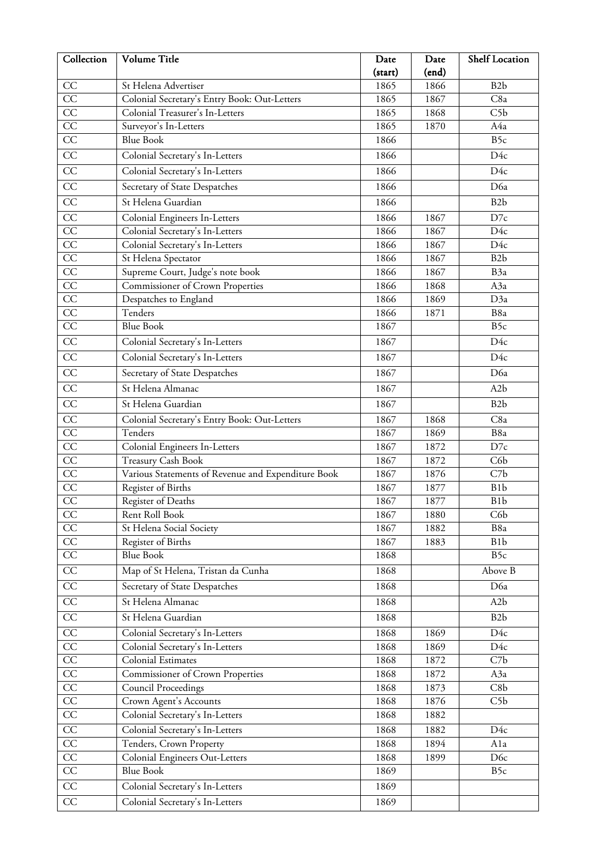| Collection      | Volume Title                                       | Date    | Date  | <b>Shelf Location</b> |
|-----------------|----------------------------------------------------|---------|-------|-----------------------|
|                 |                                                    | (start) | (end) |                       |
| CC              | St Helena Advertiser                               | 1865    | 1866  | B <sub>2</sub> b      |
| $\overline{CC}$ | Colonial Secretary's Entry Book: Out-Letters       | 1865    | 1867  | C8a                   |
| CC              | Colonial Treasurer's In-Letters                    | 1865    | 1868  | C5b                   |
| CC              | Surveyor's In-Letters                              | 1865    | 1870  | A4a                   |
| $\overline{CC}$ | <b>Blue Book</b>                                   | 1866    |       | B5c                   |
| $\overline{CC}$ | Colonial Secretary's In-Letters                    | 1866    |       | D4c                   |
| CC              | Colonial Secretary's In-Letters                    | 1866    |       | D4c                   |
| CC              | Secretary of State Despatches                      | 1866    |       | D6a                   |
| CC              | St Helena Guardian                                 | 1866    |       | B <sub>2</sub> b      |
| CC              | Colonial Engineers In-Letters                      | 1866    | 1867  | D7c                   |
| CC              | Colonial Secretary's In-Letters                    | 1866    | 1867  | D4c                   |
| CC              | Colonial Secretary's In-Letters                    | 1866    | 1867  | D4c                   |
| CC              | St Helena Spectator                                | 1866    | 1867  | B <sub>2</sub> b      |
| $\overline{CC}$ | Supreme Court, Judge's note book                   | 1866    | 1867  | B <sub>3a</sub>       |
| CC              | Commissioner of Crown Properties                   | 1866    | 1868  | A3a                   |
| CC              | Despatches to England                              | 1866    | 1869  | D3a                   |
| CC              | Tenders                                            | 1866    | 1871  | B8a                   |
| $\overline{CC}$ | <b>Blue Book</b>                                   | 1867    |       | B5c                   |
| CC              | Colonial Secretary's In-Letters                    | 1867    |       | D4c                   |
| $\overline{CC}$ | Colonial Secretary's In-Letters                    | 1867    |       | D4c                   |
| $\overline{CC}$ | Secretary of State Despatches                      | 1867    |       | D6a                   |
| $\overline{CC}$ | St Helena Almanac                                  | 1867    |       | A <sub>2</sub> b      |
| CC              | St Helena Guardian                                 | 1867    |       | B <sub>2</sub> b      |
| $\overline{CC}$ | Colonial Secretary's Entry Book: Out-Letters       | 1867    | 1868  | C8a                   |
| CC              | Tenders                                            | 1867    | 1869  | B8a                   |
| CC              | Colonial Engineers In-Letters                      | 1867    | 1872  | D7c                   |
| $\overline{CC}$ | <b>Treasury Cash Book</b>                          | 1867    | 1872  | C6b                   |
| $\overline{CC}$ | Various Statements of Revenue and Expenditure Book | 1867    | 1876  | C7b                   |
| CC              | Register of Births                                 | 1867    | 1877  | B <sub>1</sub> b      |
| CC              | Register of Deaths                                 | 1867    | 1877  | B <sub>1</sub> b      |
| CC              | Rent Roll Book                                     | 1867    | 1880  | C6 <sub>b</sub>       |
| CC              | St Helena Social Society                           | 1867    | 1882  | B8a                   |
| $\overline{CC}$ | Register of Births                                 | 1867    | 1883  | B <sub>1</sub> b      |
| $\overline{CC}$ | <b>Blue Book</b>                                   | 1868    |       | B5c                   |
| $\overline{CC}$ | Map of St Helena, Tristan da Cunha                 | 1868    |       | Above B               |
| CC              | Secretary of State Despatches                      | 1868    |       | D6a                   |
| $\overline{CC}$ | St Helena Almanac                                  | 1868    |       | A2b                   |
| $\overline{CC}$ | St Helena Guardian                                 | 1868    |       | B <sub>2</sub> b      |
| $\overline{CC}$ | Colonial Secretary's In-Letters                    | 1868    | 1869  | D4c                   |
| $\overline{CC}$ | Colonial Secretary's In-Letters                    | 1868    | 1869  | D4c                   |
| CC              | Colonial Estimates                                 | 1868    | 1872  | C7b                   |
| $\overline{CC}$ | Commissioner of Crown Properties                   | 1868    | 1872  | A3a                   |
| $\overline{CC}$ | <b>Council Proceedings</b>                         | 1868    | 1873  | C8b                   |
| $\overline{CC}$ | Crown Agent's Accounts                             | 1868    | 1876  | C5b                   |
| $\overline{CC}$ | Colonial Secretary's In-Letters                    | 1868    | 1882  |                       |
| $\rm CC$        | Colonial Secretary's In-Letters                    | 1868    | 1882  | D4c                   |
| $\overline{CC}$ | Tenders, Crown Property                            | 1868    | 1894  | Ala                   |
| $\overline{CC}$ | Colonial Engineers Out-Letters                     | 1868    | 1899  | D <sub>6c</sub>       |
| $\overline{CC}$ | <b>Blue Book</b>                                   | 1869    |       | B5c                   |
| $\overline{CC}$ | Colonial Secretary's In-Letters                    | 1869    |       |                       |
| $\overline{CC}$ | Colonial Secretary's In-Letters                    | 1869    |       |                       |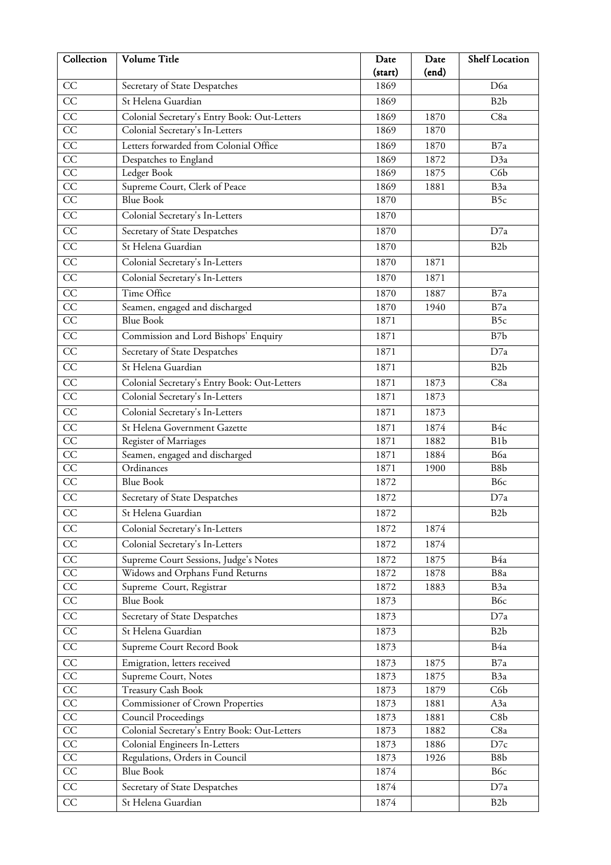| Collection      | Volume Title                                 | Date    | Date  | Shelf Location   |
|-----------------|----------------------------------------------|---------|-------|------------------|
|                 |                                              | (start) | (end) |                  |
| CC              | Secretary of State Despatches                | 1869    |       | D6a              |
| CC              | St Helena Guardian                           | 1869    |       | B <sub>2</sub> b |
| CC              | Colonial Secretary's Entry Book: Out-Letters | 1869    | 1870  | C8a              |
| $\overline{CC}$ | Colonial Secretary's In-Letters              | 1869    | 1870  |                  |
| CC              | Letters forwarded from Colonial Office       | 1869    | 1870  | B7a              |
| $\overline{CC}$ | Despatches to England                        | 1869    | 1872  | D3a              |
| CC              | Ledger Book                                  | 1869    | 1875  | C6b              |
| $\overline{CC}$ | Supreme Court, Clerk of Peace                | 1869    | 1881  | B3a              |
| $\overline{CC}$ | <b>Blue Book</b>                             | 1870    |       | B5c              |
| $\overline{CC}$ | Colonial Secretary's In-Letters              | 1870    |       |                  |
| CC              | Secretary of State Despatches                | 1870    |       | D7a              |
| $\overline{CC}$ | St Helena Guardian                           | 1870    |       | B <sub>2</sub> b |
| $\overline{CC}$ | Colonial Secretary's In-Letters              | 1870    | 1871  |                  |
| $\overline{CC}$ | Colonial Secretary's In-Letters              | 1870    | 1871  |                  |
| CC              | Time Office                                  | 1870    | 1887  | B7a              |
| CC              | Seamen, engaged and discharged               | 1870    | 1940  | B7a              |
| $\overline{CC}$ | <b>Blue Book</b>                             | 1871    |       | B5c              |
| $\overline{CC}$ | Commission and Lord Bishops' Enquiry         | 1871    |       | B7b              |
| $\overline{CC}$ | Secretary of State Despatches                | 1871    |       | D7a              |
| CC              | St Helena Guardian                           | 1871    |       | B <sub>2</sub> b |
| CC              | Colonial Secretary's Entry Book: Out-Letters | 1871    | 1873  | C8a              |
| CC              | Colonial Secretary's In-Letters              | 1871    | 1873  |                  |
| CC              | Colonial Secretary's In-Letters              | 1871    | 1873  |                  |
| CC              | St Helena Government Gazette                 | 1871    | 1874  | B <sub>4c</sub>  |
| CC              | Register of Marriages                        | 1871    | 1882  | B <sub>1</sub> b |
| $\overline{CC}$ | Seamen, engaged and discharged               | 1871    | 1884  | B6a              |
| CC              | Ordinances                                   | 1871    | 1900  | B8b              |
| $\overline{CC}$ | <b>Blue Book</b>                             | 1872    |       | B6c              |
| $\overline{CC}$ | Secretary of State Despatches                | 1872    |       | D7a              |
| $\overline{CC}$ | St Helena Guardian                           | 1872    |       | B2b              |
| CC              | Colonial Secretary's In-Letters              | 1872    | 1874  |                  |
| CC              | Colonial Secretary's In-Letters              | 1872    | 1874  |                  |
| $\overline{CC}$ | Supreme Court Sessions, Judge's Notes        | 1872    | 1875  | B4a              |
| $\overline{CC}$ | Widows and Orphans Fund Returns              | 1872    | 1878  | B8a              |
| $\overline{CC}$ | Supreme Court, Registrar                     | 1872    | 1883  | B <sub>3a</sub>  |
| $\overline{CC}$ | <b>Blue Book</b>                             | 1873    |       | B6c              |
| $\overline{CC}$ | Secretary of State Despatches                | 1873    |       | D7a              |
| CC              | St Helena Guardian                           | 1873    |       | B <sub>2</sub> b |
| $\overline{CC}$ | Supreme Court Record Book                    | 1873    |       | B4a              |
| CC              | Emigration, letters received                 | 1873    | 1875  | B7a              |
| CC              | Supreme Court, Notes                         | 1873    | 1875  | B3a              |
| $\overline{CC}$ | <b>Treasury Cash Book</b>                    | 1873    | 1879  | C6b              |
| $\overline{CC}$ | Commissioner of Crown Properties             | 1873    | 1881  | A3a              |
| CC              | <b>Council Proceedings</b>                   | 1873    | 1881  | C8b              |
| CC              | Colonial Secretary's Entry Book: Out-Letters | 1873    | 1882  | C8a              |
| $\overline{CC}$ | Colonial Engineers In-Letters                | 1873    | 1886  | $D7c$            |
| $\overline{CC}$ | Regulations, Orders in Council               | 1873    | 1926  | B8b              |
| $\overline{CC}$ | <b>Blue Book</b>                             | 1874    |       | B6c              |
| CC              | Secretary of State Despatches                | 1874    |       | D7a              |
| $\overline{CC}$ | St Helena Guardian                           | 1874    |       | B <sub>2</sub> b |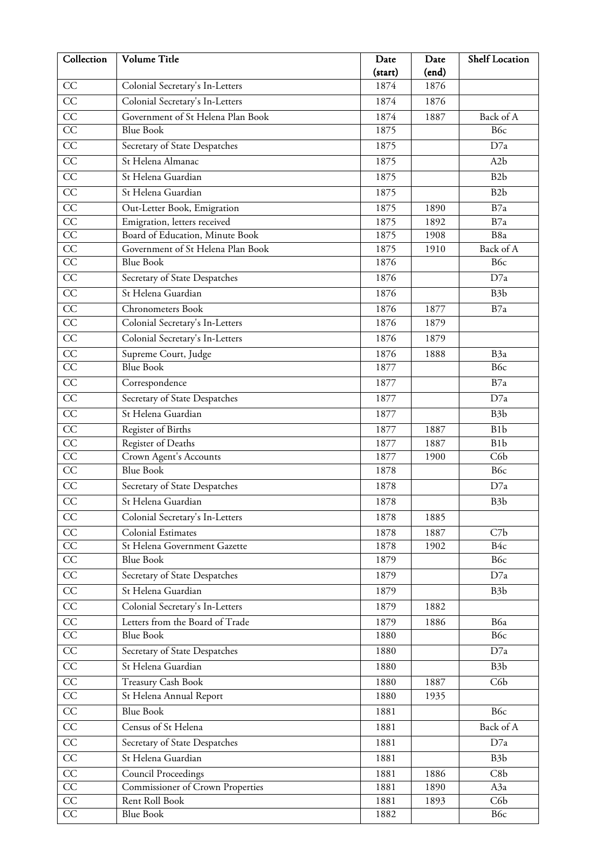| Collection      | Volume Title                                                   | Date    | Date  | Shelf Location   |
|-----------------|----------------------------------------------------------------|---------|-------|------------------|
|                 |                                                                | (start) | (end) |                  |
| CC              | Colonial Secretary's In-Letters                                | 1874    | 1876  |                  |
| CC              | Colonial Secretary's In-Letters                                | 1874    | 1876  |                  |
| $\overline{CC}$ | Government of St Helena Plan Book                              | 1874    | 1887  | Back of A        |
| $\overline{CC}$ | <b>Blue Book</b>                                               | 1875    |       | B6c              |
| CC              | Secretary of State Despatches                                  | 1875    |       | D7a              |
| $\overline{CC}$ | St Helena Almanac                                              | 1875    |       | A <sub>2</sub> b |
| $\overline{CC}$ | St Helena Guardian                                             | 1875    |       | B <sub>2</sub> b |
| $\overline{CC}$ | St Helena Guardian                                             | 1875    |       | B <sub>2</sub> b |
| $\overline{CC}$ | Out-Letter Book, Emigration                                    | 1875    | 1890  | B7a              |
| $\overline{CC}$ | Emigration, letters received                                   | 1875    | 1892  | B7a              |
| $\overline{CC}$ | Board of Education, Minute Book                                | 1875    | 1908  | B8a              |
| CC              | Government of St Helena Plan Book                              | 1875    | 1910  | Back of A        |
| $\overline{CC}$ | <b>Blue Book</b>                                               | 1876    |       | B6c              |
| $\overline{CC}$ | Secretary of State Despatches                                  | 1876    |       | D7a              |
| CC              | St Helena Guardian                                             | 1876    |       | B <sub>3</sub> b |
| $\overline{CC}$ | Chronometers Book                                              | 1876    | 1877  | B7a              |
| $\overline{CC}$ | Colonial Secretary's In-Letters                                | 1876    | 1879  |                  |
| $\overline{CC}$ | Colonial Secretary's In-Letters                                | 1876    | 1879  |                  |
| CC              | Supreme Court, Judge                                           | 1876    | 1888  | B3a              |
| CC              | <b>Blue Book</b>                                               | 1877    |       | B6c              |
| $\overline{CC}$ | Correspondence                                                 | 1877    |       | B7a              |
| CC              | Secretary of State Despatches                                  | 1877    |       | D7a              |
| $\overline{CC}$ | St Helena Guardian                                             | 1877    |       | B <sub>3</sub> b |
| $\overline{CC}$ | Register of Births                                             | 1877    | 1887  | B <sub>1</sub> b |
| $\overline{CC}$ | Register of Deaths                                             | 1877    | 1887  | B <sub>1</sub> b |
| $\overline{CC}$ | Crown Agent's Accounts                                         | 1877    | 1900  | C6b              |
| $\overline{CC}$ | <b>Blue Book</b>                                               | 1878    |       | B6c              |
| $\overline{CC}$ | Secretary of State Despatches                                  | 1878    |       | D7a              |
| CC              | St Helena Guardian                                             | 1878    |       | B <sub>3</sub> b |
| CC              | Colonial Secretary's In-Letters                                | 1878    | 1885  |                  |
| CC              | Colonial Estimates                                             | 1878    | 1887  | C7b              |
| $\overline{CC}$ | St Helena Government Gazette                                   | 1878    | 1902  | B4c              |
| $\overline{CC}$ | <b>Blue Book</b>                                               | 1879    |       | B6c              |
| CC              | Secretary of State Despatches                                  | 1879    |       | D7a              |
| $\overline{CC}$ | St Helena Guardian                                             | 1879    |       | B <sub>3</sub> b |
| CC              | Colonial Secretary's In-Letters                                | 1879    | 1882  |                  |
| $\overline{CC}$ | Letters from the Board of Trade                                | 1879    | 1886  | B6a              |
| $\overline{CC}$ | <b>Blue Book</b>                                               | 1880    |       | B6c              |
| $\overline{CC}$ | Secretary of State Despatches                                  | 1880    |       | D7a              |
| $\overline{CC}$ | St Helena Guardian                                             | 1880    |       | B <sub>3</sub> b |
| $\overline{CC}$ | <b>Treasury Cash Book</b>                                      | 1880    | 1887  | C6b              |
| $\overline{CC}$ | St Helena Annual Report                                        | 1880    | 1935  |                  |
| $\overline{CC}$ | <b>Blue Book</b>                                               | 1881    |       | B6c              |
| $\overline{CC}$ | Census of St Helena                                            | 1881    |       | Back of A        |
| CC              | Secretary of State Despatches                                  | 1881    |       | D7a              |
| $\overline{CC}$ | St Helena Guardian                                             | 1881    |       | B <sub>3</sub> b |
| CC              |                                                                | 1881    | 1886  | C8b              |
| $\overline{CC}$ | <b>Council Proceedings</b><br>Commissioner of Crown Properties | 1881    | 1890  | A3a              |
| $\overline{CC}$ | Rent Roll Book                                                 | 1881    | 1893  | C6b              |
| CC              | <b>Blue Book</b>                                               | 1882    |       | B6c              |
|                 |                                                                |         |       |                  |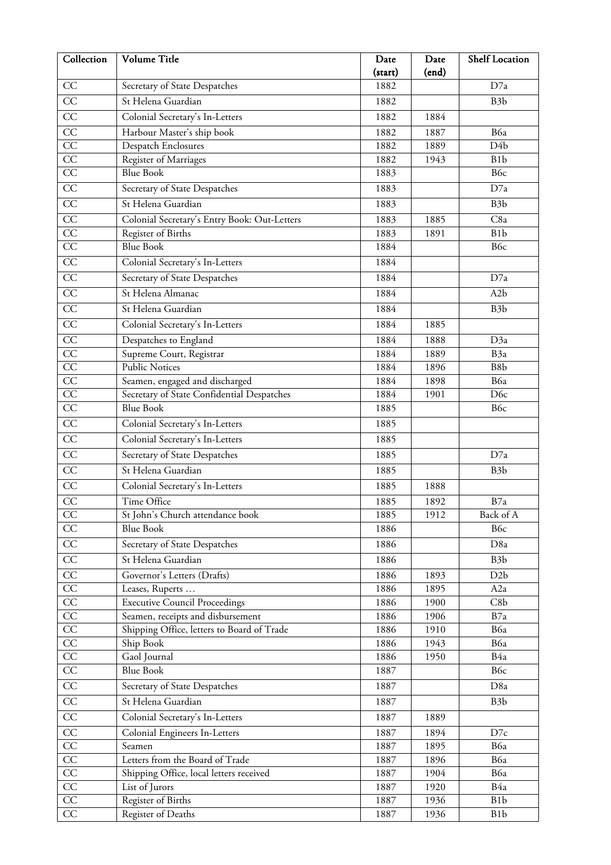| Collection      | Volume Title                                 | Date    | Date  | <b>Shelf Location</b> |
|-----------------|----------------------------------------------|---------|-------|-----------------------|
|                 |                                              | (start) | (end) |                       |
| CC              | Secretary of State Despatches                | 1882    |       | D7a                   |
| CC              | St Helena Guardian                           | 1882    |       | B <sub>3</sub> b      |
| CC              | Colonial Secretary's In-Letters              | 1882    | 1884  |                       |
| CC              | Harbour Master's ship book                   | 1882    | 1887  | B6a                   |
| $\overline{CC}$ | Despatch Enclosures                          | 1882    | 1889  | D4b                   |
| $\overline{CC}$ | Register of Marriages                        | 1882    | 1943  | B <sub>1</sub> b      |
| CC              | <b>Blue Book</b>                             | 1883    |       | B6c                   |
| CC              | Secretary of State Despatches                | 1883    |       | D7a                   |
| $\overline{CC}$ | St Helena Guardian                           | 1883    |       | B <sub>3</sub> b      |
| CC              | Colonial Secretary's Entry Book: Out-Letters | 1883    | 1885  | C8a                   |
| CC              | Register of Births                           | 1883    | 1891  | B <sub>1</sub> b      |
| $\overline{CC}$ | <b>Blue Book</b>                             | 1884    |       | B6c                   |
| CC              | Colonial Secretary's In-Letters              | 1884    |       |                       |
| $\overline{CC}$ | Secretary of State Despatches                | 1884    |       | D7a                   |
| CC              | St Helena Almanac                            | 1884    |       | A2b                   |
| $\overline{CC}$ | St Helena Guardian                           | 1884    |       | B <sub>3</sub> b      |
| CC              | Colonial Secretary's In-Letters              | 1884    | 1885  |                       |
| $\overline{CC}$ | Despatches to England                        | 1884    | 1888  | D3a                   |
| CC              | Supreme Court, Registrar                     | 1884    | 1889  | B <sub>3a</sub>       |
| $\overline{CC}$ | <b>Public Notices</b>                        | 1884    | 1896  | B8b                   |
| CC              | Seamen, engaged and discharged               | 1884    | 1898  | B6a                   |
| CC              | Secretary of State Confidential Despatches   | 1884    | 1901  | D <sub>6c</sub>       |
| $\overline{CC}$ | <b>Blue Book</b>                             | 1885    |       | B6c                   |
| $\overline{CC}$ | Colonial Secretary's In-Letters              | 1885    |       |                       |
| CC              | Colonial Secretary's In-Letters              | 1885    |       |                       |
| $\overline{CC}$ | Secretary of State Despatches                | 1885    |       | D7a                   |
| CC              | St Helena Guardian                           | 1885    |       | B <sub>3</sub> b      |
| CC              | Colonial Secretary's In-Letters              | 1885    | 1888  |                       |
| CC              | Time Office                                  | 1885    | 1892  | B7a                   |
| CC              | St John's Church attendance book             | 1885    | 1912  | Back of A             |
| CC              | <b>Blue Book</b>                             | 1886    |       | B <sub>6c</sub>       |
| CC              | Secretary of State Despatches                | 1886    |       | D <sub>8a</sub>       |
| $\overline{CC}$ | St Helena Guardian                           | 1886    |       | B <sub>3</sub> b      |
| CC              | Governor's Letters (Drafts)                  | 1886    | 1893  | D <sub>2</sub> b      |
| CC              | Leases, Ruperts                              | 1886    | 1895  | A <sub>2</sub> a      |
| CC              | <b>Executive Council Proceedings</b>         | 1886    | 1900  | C8b                   |
| $\overline{CC}$ | Seamen, receipts and disbursement            | 1886    | 1906  | B7a                   |
| $\overline{CC}$ | Shipping Office, letters to Board of Trade   | 1886    | 1910  | B6a                   |
| CC              | Ship Book                                    | 1886    | 1943  | B6a                   |
| $\overline{CC}$ | Gaol Journal                                 | 1886    | 1950  | B4a                   |
| $\overline{CC}$ | <b>Blue Book</b>                             | 1887    |       | B6c                   |
| $\overline{CC}$ | Secretary of State Despatches                | 1887    |       | D8a                   |
| $\overline{CC}$ | St Helena Guardian                           | 1887    |       | B <sub>3</sub> b      |
| CC              | Colonial Secretary's In-Letters              | 1887    | 1889  |                       |
| $\overline{CC}$ | Colonial Engineers In-Letters                | 1887    | 1894  | D7c                   |
| $\overline{CC}$ | Seamen                                       | 1887    | 1895  | B6a                   |
| $\rm CC$        | Letters from the Board of Trade              | 1887    | 1896  | B6a                   |
| CC              | Shipping Office, local letters received      | 1887    | 1904  | B6a                   |
| $\overline{CC}$ | List of Jurors                               | 1887    | 1920  | B4a                   |
| $\overline{CC}$ | Register of Births                           | 1887    | 1936  | B <sub>1</sub> b      |
| CC              | Register of Deaths                           | 1887    | 1936  | B <sub>1</sub> b      |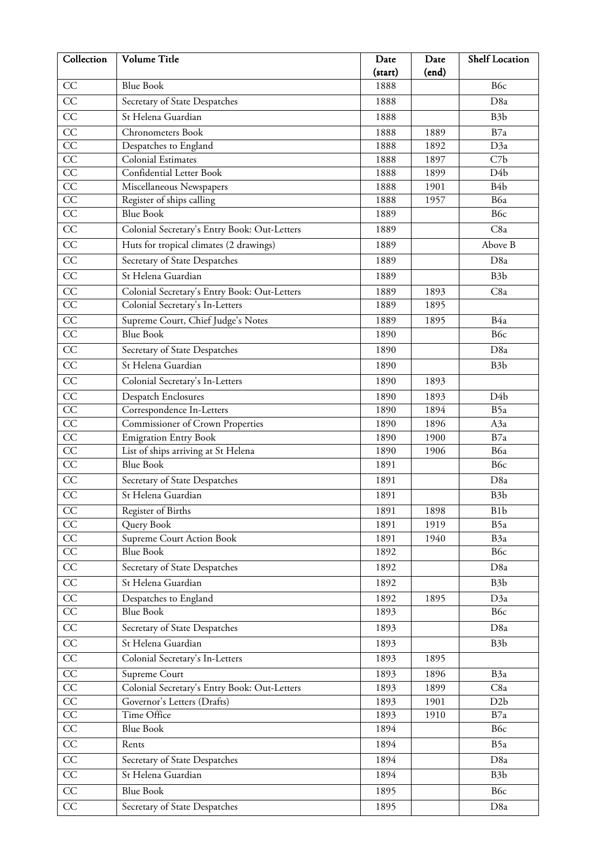| Collection      | Volume Title                                 | Date    | Date  | <b>Shelf Location</b> |
|-----------------|----------------------------------------------|---------|-------|-----------------------|
|                 |                                              | (start) | (end) |                       |
| CC              | <b>Blue Book</b>                             | 1888    |       | B6c                   |
| CC              | Secretary of State Despatches                | 1888    |       | D <sub>8a</sub>       |
| CC              | St Helena Guardian                           | 1888    |       | B <sub>3</sub> b      |
| CC              | <b>Chronometers Book</b>                     | 1888    | 1889  | B7a                   |
| CC              | Despatches to England                        | 1888    | 1892  | D3a                   |
| CC              | Colonial Estimates                           | 1888    | 1897  | C7b                   |
| CC              | Confidential Letter Book                     | 1888    | 1899  | D <sub>4</sub> b      |
| $\overline{CC}$ | Miscellaneous Newspapers                     | 1888    | 1901  | B <sub>4</sub> b      |
| $\overline{CC}$ | Register of ships calling                    | 1888    | 1957  | B6a                   |
| CC              | <b>Blue Book</b>                             | 1889    |       | B6c                   |
| $\overline{CC}$ | Colonial Secretary's Entry Book: Out-Letters | 1889    |       | C8a                   |
| CC              | Huts for tropical climates (2 drawings)      | 1889    |       | Above B               |
| $\overline{CC}$ | Secretary of State Despatches                | 1889    |       | D <sub>8a</sub>       |
| $\overline{CC}$ | St Helena Guardian                           | 1889    |       | B <sub>3</sub> b      |
| CC              | Colonial Secretary's Entry Book: Out-Letters | 1889    | 1893  | C8a                   |
| CC              | Colonial Secretary's In-Letters              | 1889    | 1895  |                       |
| $\overline{CC}$ | Supreme Court, Chief Judge's Notes           | 1889    | 1895  | B4a                   |
| $\overline{CC}$ | <b>Blue Book</b>                             | 1890    |       | B6c                   |
| $\overline{CC}$ | Secretary of State Despatches                | 1890    |       | D <sub>8a</sub>       |
| $\overline{CC}$ | St Helena Guardian                           | 1890    |       | B <sub>3</sub> b      |
| $\overline{CC}$ | Colonial Secretary's In-Letters              | 1890    | 1893  |                       |
| $\overline{CC}$ | <b>Despatch Enclosures</b>                   | 1890    | 1893  | D4b                   |
| CC              | Correspondence In-Letters                    | 1890    | 1894  | B5a                   |
| $\overline{CC}$ | <b>Commissioner of Crown Properties</b>      | 1890    | 1896  | A3a                   |
| CC              | <b>Emigration Entry Book</b>                 | 1890    | 1900  | B7a                   |
| $\overline{CC}$ | List of ships arriving at St Helena          | 1890    | 1906  | B6a                   |
| CC              | <b>Blue Book</b>                             | 1891    |       | B6c                   |
| CC              | Secretary of State Despatches                | 1891    |       | D <sub>8a</sub>       |
| CC              | St Helena Guardian                           | 1891    |       | B <sub>3</sub> b      |
| CC              | Register of Births                           | 1891    | 1898  | B <sub>1</sub> b      |
| CC              | Query Book                                   | 1891    | 1919  | B5a                   |
| CC              | Supreme Court Action Book                    | 1891    | 1940  | B3a                   |
| $\overline{CC}$ | Blue Book                                    | 1892    |       | B6c                   |
| $\overline{CC}$ | Secretary of State Despatches                | 1892    |       | D <sub>8a</sub>       |
| CC              | St Helena Guardian                           | 1892    |       | B <sub>3</sub> b      |
| $\overline{CC}$ | Despatches to England                        | 1892    | 1895  | D3a                   |
| $\overline{CC}$ | <b>Blue Book</b>                             | 1893    |       | B6c                   |
| $\overline{CC}$ | Secretary of State Despatches                | 1893    |       | D <sub>8a</sub>       |
| CC              | St Helena Guardian                           | 1893    |       | B <sub>3</sub> b      |
| $\overline{CC}$ | Colonial Secretary's In-Letters              | 1893    | 1895  |                       |
| CC              | Supreme Court                                | 1893    | 1896  | B3a                   |
| CC              | Colonial Secretary's Entry Book: Out-Letters | 1893    | 1899  | C8a                   |
| $\overline{CC}$ | Governor's Letters (Drafts)                  | 1893    | 1901  | D2b                   |
| $\overline{CC}$ | Time Office                                  | 1893    | 1910  | B7a                   |
| $\overline{CC}$ | <b>Blue Book</b>                             | 1894    |       | B6c                   |
| $\overline{CC}$ | Rents                                        | 1894    |       | B5a                   |
| $\overline{CC}$ | Secretary of State Despatches                | 1894    |       | D <sub>8a</sub>       |
| $\overline{CC}$ | St Helena Guardian                           | 1894    |       | B <sub>3</sub> b      |
| $\overline{CC}$ |                                              |         |       |                       |
|                 | <b>Blue Book</b>                             | 1895    |       | B6c                   |
| $\overline{CC}$ | Secretary of State Despatches                | 1895    |       | D <sub>8a</sub>       |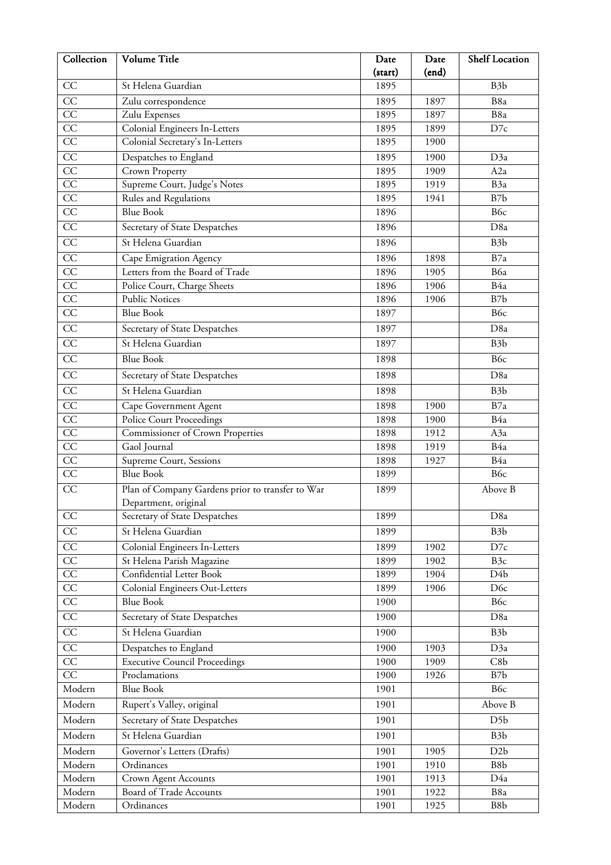| Collection            | Volume Title                                                             | Date         | Date  | Shelf Location   |
|-----------------------|--------------------------------------------------------------------------|--------------|-------|------------------|
|                       |                                                                          | (start)      | (end) |                  |
| CC                    | St Helena Guardian                                                       | 1895         |       | B <sub>3</sub> b |
| CC                    | Zulu correspondence                                                      | 1895         | 1897  | B8a              |
| CC                    | Zulu Expenses                                                            | 1895         | 1897  | B8a              |
| CC                    | Colonial Engineers In-Letters                                            | 1895         | 1899  | D7c              |
| CC                    | Colonial Secretary's In-Letters                                          | 1895         | 1900  |                  |
| CC                    | Despatches to England                                                    | 1895         | 1900  | D3a              |
| $\overline{CC}$       | Crown Property                                                           | 1895         | 1909  | A <sub>2</sub> a |
| $\overline{CC}$       | Supreme Court, Judge's Notes                                             | 1895         | 1919  | B <sub>3a</sub>  |
| $\overline{CC}$<br>CC | Rules and Regulations<br><b>Blue Book</b>                                | 1895         | 1941  | B7b<br>B6c       |
|                       |                                                                          | 1896         |       |                  |
| $\overline{CC}$       | Secretary of State Despatches                                            | 1896         |       | D <sub>8a</sub>  |
| CC                    | St Helena Guardian                                                       | 1896         |       | B <sub>3</sub> b |
| $\overline{CC}$       | Cape Emigration Agency                                                   | 1896         | 1898  | B7a              |
| $\overline{CC}$       | Letters from the Board of Trade                                          | 1896         | 1905  | B6a              |
| CC                    | Police Court, Charge Sheets                                              | 1896         | 1906  | B4a              |
| CC<br>$\overline{CC}$ | <b>Public Notices</b><br><b>Blue Book</b>                                | 1896<br>1897 | 1906  | B7b<br>B6c       |
| $\overline{CC}$       |                                                                          |              |       |                  |
|                       | Secretary of State Despatches                                            | 1897         |       | D <sub>8a</sub>  |
| $\overline{CC}$       | St Helena Guardian                                                       | 1897         |       | B <sub>3</sub> b |
| $\overline{CC}$       | <b>Blue Book</b>                                                         | 1898         |       | B6c              |
| $\overline{CC}$       | Secretary of State Despatches                                            | 1898         |       | D <sub>8a</sub>  |
| CC                    | St Helena Guardian                                                       | 1898         |       | B <sub>3</sub> b |
| CC                    | Cape Government Agent                                                    | 1898         | 1900  | B7a              |
| $\overline{CC}$       | <b>Police Court Proceedings</b>                                          | 1898         | 1900  | B4a              |
| $\overline{CC}$       | Commissioner of Crown Properties                                         | 1898         | 1912  | A3a              |
| CC                    | Gaol Journal                                                             | 1898         | 1919  | B4a              |
| $\overline{CC}$       | Supreme Court, Sessions                                                  | 1898         | 1927  | B4a              |
| $\overline{CC}$       | <b>Blue Book</b>                                                         | 1899         |       | B6c              |
| CC                    | Plan of Company Gardens prior to transfer to War<br>Department, original | 1899         |       | Above B          |
| CC                    | Secretary of State Despatches                                            | 1899         |       | D8a              |
| CC                    | St Helena Guardian                                                       | 1899         |       | B <sub>3</sub> b |
| $\overline{CC}$       | Colonial Engineers In-Letters                                            | 1899         | 1902  | D7c              |
| $\overline{CC}$       | St Helena Parish Magazine                                                | 1899         | 1902  | B <sub>3c</sub>  |
| CC                    | Confidential Letter Book                                                 | 1899         | 1904  | D4b              |
| CC                    | <b>Colonial Engineers Out-Letters</b>                                    | 1899         | 1906  | D <sub>6</sub> c |
| $\overline{CC}$       | <b>Blue Book</b>                                                         | 1900         |       | B6c              |
| $\overline{CC}$       | Secretary of State Despatches                                            | 1900         |       | D <sub>8a</sub>  |
| $\overline{CC}$       | St Helena Guardian                                                       | 1900         |       | B <sub>3</sub> b |
| CC                    | Despatches to England                                                    | 1900         | 1903  | D3a              |
| CC                    | <b>Executive Council Proceedings</b>                                     | 1900         | 1909  | C8b              |
| $\overline{CC}$       | Proclamations                                                            | 1900         | 1926  | B7b              |
| Modern                | <b>Blue Book</b>                                                         | 1901         |       | B6c              |
| Modern                | Rupert's Valley, original                                                | 1901         |       | Above B          |
| Modern                | Secretary of State Despatches                                            | 1901         |       | D <sub>5</sub> b |
| Modern                | St Helena Guardian                                                       | 1901         |       | B <sub>3</sub> b |
| Modern                | Governor's Letters (Drafts)                                              | 1901         | 1905  | D2b              |
| Modern                | Ordinances                                                               | 1901         | 1910  | B8b              |
| Modern                | Crown Agent Accounts                                                     | 1901         | 1913  | D4a              |
| Modern                | Board of Trade Accounts                                                  | 1901         | 1922  | B8a              |
| Modern                | Ordinances                                                               | 1901         | 1925  | B8b              |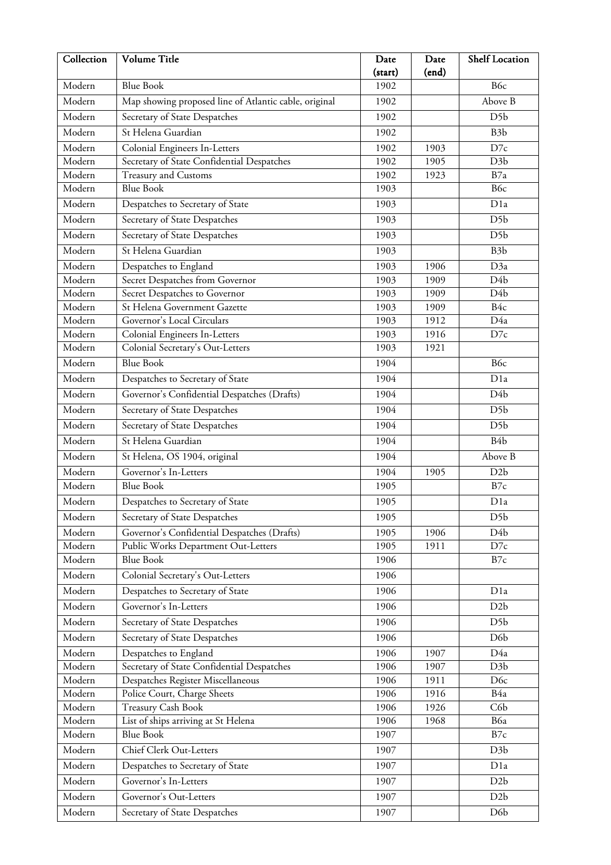| Collection       | Volume Title                                                                | Date            | Date         | <b>Shelf Location</b>   |
|------------------|-----------------------------------------------------------------------------|-----------------|--------------|-------------------------|
| Modern           | <b>Blue Book</b>                                                            | (start)<br>1902 | (end)        | B <sub>6c</sub>         |
| Modern           | Map showing proposed line of Atlantic cable, original                       | 1902            |              | Above B                 |
| Modern           |                                                                             | 1902            |              | D <sub>5</sub> b        |
| Modern           | Secretary of State Despatches<br>St Helena Guardian                         |                 |              |                         |
|                  |                                                                             | 1902            |              | B <sub>3</sub> b        |
| Modern<br>Modern | Colonial Engineers In-Letters<br>Secretary of State Confidential Despatches | 1902<br>1902    | 1903<br>1905 | D7c<br>D <sub>3</sub> b |
| Modern           | Treasury and Customs                                                        | 1902            | 1923         | B7a                     |
| Modern           | <b>Blue Book</b>                                                            | 1903            |              | B6c                     |
| Modern           | Despatches to Secretary of State                                            | 1903            |              | D <sub>1</sub> a        |
| Modern           | Secretary of State Despatches                                               | 1903            |              | D <sub>5</sub> b        |
| Modern           | Secretary of State Despatches                                               | 1903            |              | D <sub>5</sub> b        |
| Modern           | St Helena Guardian                                                          | 1903            |              | B <sub>3</sub> b        |
| Modern           |                                                                             | 1903            | 1906         | D3a                     |
| Modern           | Despatches to England<br>Secret Despatches from Governor                    | 1903            | 1909         | D4b                     |
| Modern           | Secret Despatches to Governor                                               | 1903            | 1909         | D4b                     |
| Modern           | St Helena Government Gazette                                                | 1903            | 1909         | B4c                     |
| Modern           | Governor's Local Circulars                                                  | 1903            | 1912         | D4a                     |
| Modern           | Colonial Engineers In-Letters                                               | 1903            | 1916         | D7c                     |
| Modern           | Colonial Secretary's Out-Letters                                            | 1903            | 1921         |                         |
| Modern           | <b>Blue Book</b>                                                            | 1904            |              | B <sub>6c</sub>         |
| Modern           | Despatches to Secretary of State                                            | 1904            |              | D1a                     |
| Modern           | Governor's Confidential Despatches (Drafts)                                 | 1904            |              | $D\overline{4b}$        |
| Modern           | Secretary of State Despatches                                               | 1904            |              | D <sub>5</sub> b        |
| Modern           | Secretary of State Despatches                                               | 1904            |              | D <sub>5</sub> b        |
| Modern           | St Helena Guardian                                                          | 1904            |              | B <sub>4</sub> b        |
| Modern           | St Helena, OS 1904, original                                                | 1904            |              | Above B                 |
| Modern           | Governor's In-Letters                                                       | 1904            | 1905         | D <sub>2</sub> b        |
| Modern           | <b>Blue Book</b>                                                            | 1905            |              | B7c                     |
| Modern           | Despatches to Secretary of State                                            | 1905            |              | D <sub>1</sub> a        |
| Modern           | Secretary of State Despatches                                               | 1905            |              | D <sub>5</sub> b        |
| Modern           | Governor's Confidential Despatches (Drafts)                                 | 1905            | 1906         | D4b                     |
| Modern           | Public Works Department Out-Letters                                         | 1905            | 1911         | D7c                     |
| Modern           | <b>Blue Book</b>                                                            | 1906            |              | B7c                     |
| Modern           | Colonial Secretary's Out-Letters                                            | 1906            |              |                         |
| Modern           | Despatches to Secretary of State                                            | 1906            |              | D <sub>1</sub> a        |
| Modern           | Governor's In-Letters                                                       | 1906            |              | D <sub>2</sub> b        |
| Modern           | Secretary of State Despatches                                               | 1906            |              | D <sub>5</sub> b        |
| Modern           | Secretary of State Despatches                                               | 1906            |              | D <sub>6</sub> b        |
| Modern           | Despatches to England                                                       | 1906            | 1907         | D4a                     |
| Modern           | Secretary of State Confidential Despatches                                  | 1906            | 1907         | D <sub>3</sub> b        |
| Modern           | Despatches Register Miscellaneous                                           | 1906            | 1911         | D <sub>6</sub> c        |
| Modern           | Police Court, Charge Sheets                                                 | 1906            | 1916         | B4a                     |
| Modern           | <b>Treasury Cash Book</b>                                                   | 1906            | 1926         | C6b                     |
| Modern           | List of ships arriving at St Helena                                         | 1906            | 1968         | B6a                     |
| Modern           | <b>Blue Book</b>                                                            | 1907            |              | B7c                     |
| Modern           | Chief Clerk Out-Letters                                                     | 1907            |              | D3b                     |
| Modern           | Despatches to Secretary of State                                            | 1907            |              | D <sub>1</sub> a        |
| Modern           | Governor's In-Letters                                                       | 1907            |              | D <sub>2</sub> b        |
| Modern           | Governor's Out-Letters                                                      | 1907            |              | D2b                     |
| Modern           | Secretary of State Despatches                                               | 1907            |              | D <sub>6</sub> b        |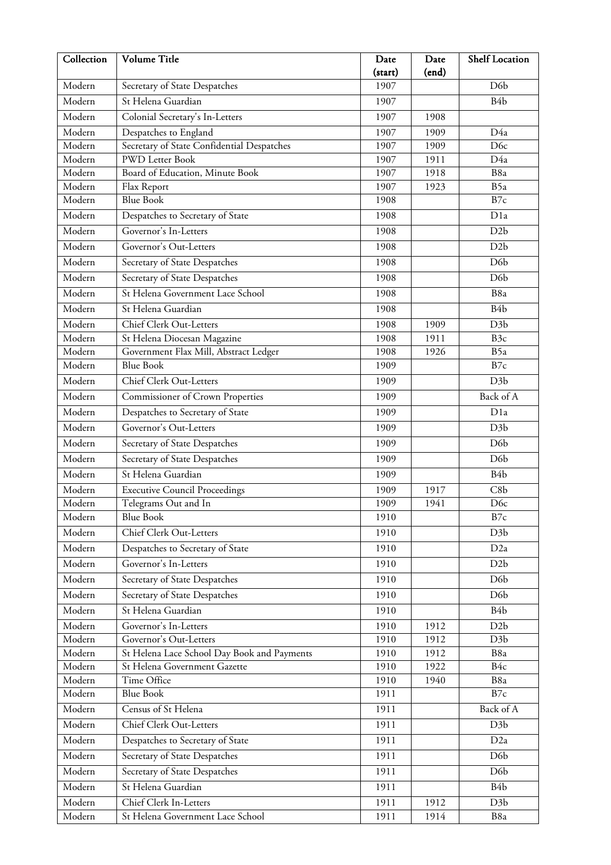| Collection | Volume Title                                | Date<br>(start) | Date<br>(end) | <b>Shelf Location</b> |
|------------|---------------------------------------------|-----------------|---------------|-----------------------|
| Modern     | Secretary of State Despatches               | 1907            |               | D <sub>6</sub> b      |
| Modern     | St Helena Guardian                          | 1907            |               | B <sub>4</sub> b      |
| Modern     | Colonial Secretary's In-Letters             | 1907            | 1908          |                       |
| Modern     | Despatches to England                       | 1907            | 1909          | D4a                   |
| Modern     | Secretary of State Confidential Despatches  | 1907            | 1909          | D <sub>6c</sub>       |
| Modern     | <b>PWD</b> Letter Book                      | 1907            | 1911          | D4a                   |
| Modern     | Board of Education, Minute Book             | 1907            | 1918          | B8a                   |
| Modern     | Flax Report                                 | 1907            | 1923          | B5a                   |
| Modern     | <b>Blue Book</b>                            | 1908            |               | B7c                   |
| Modern     | Despatches to Secretary of State            | 1908            |               | D <sub>1</sub> a      |
| Modern     | Governor's In-Letters                       | 1908            |               | D2b                   |
| Modern     | Governor's Out-Letters                      | 1908            |               | D2b                   |
| Modern     | Secretary of State Despatches               | 1908            |               | D <sub>6</sub> b      |
| Modern     | Secretary of State Despatches               | 1908            |               | D <sub>6</sub> b      |
| Modern     | St Helena Government Lace School            | 1908            |               | B8a                   |
| Modern     | St Helena Guardian                          | 1908            |               | B <sub>4</sub> b      |
| Modern     | Chief Clerk Out-Letters                     | 1908            | 1909          | D <sub>3</sub> b      |
| Modern     | St Helena Diocesan Magazine                 | 1908            | 1911          | B <sub>3c</sub>       |
| Modern     | Government Flax Mill, Abstract Ledger       | 1908            | 1926          | B5a                   |
| Modern     | <b>Blue Book</b>                            | 1909            |               | B7c                   |
| Modern     | Chief Clerk Out-Letters                     | 1909            |               | D <sub>3</sub> b      |
| Modern     | Commissioner of Crown Properties            | 1909            |               | Back of A             |
| Modern     | Despatches to Secretary of State            | 1909            |               | D <sub>1</sub> a      |
| Modern     | Governor's Out-Letters                      | 1909            |               | D <sub>3</sub> b      |
| Modern     | Secretary of State Despatches               | 1909            |               | D <sub>6</sub> b      |
| Modern     | Secretary of State Despatches               | 1909            |               | D <sub>6</sub> b      |
| Modern     | St Helena Guardian                          | 1909            |               | B <sub>4</sub> b      |
| Modern     | <b>Executive Council Proceedings</b>        | 1909            | 1917          | C8b                   |
| Modern     | Telegrams Out and In                        | 1909            | 1941          | D <sub>6c</sub>       |
| Modern     | <b>Blue Book</b>                            | 1910            |               | B7c                   |
| Modern     | Chief Clerk Out-Letters                     | 1910            |               | D <sub>3</sub> b      |
| Modern     | Despatches to Secretary of State            | 1910            |               | D2a                   |
| Modern     | Governor's In-Letters                       | 1910            |               | D <sub>2</sub> b      |
| Modern     | Secretary of State Despatches               | 1910            |               | D <sub>6</sub> b      |
| Modern     | Secretary of State Despatches               | 1910            |               | D <sub>6</sub> b      |
| Modern     | St Helena Guardian                          | 1910            |               | B <sub>4</sub> b      |
| Modern     | Governor's In-Letters                       | 1910            | 1912          | D2b                   |
| Modern     | Governor's Out-Letters                      | 1910            | 1912          | D3b                   |
| Modern     | St Helena Lace School Day Book and Payments | 1910            | 1912          | B8a                   |
| Modern     | St Helena Government Gazette                | 1910            | 1922          | B4c                   |
| Modern     | Time Office                                 | 1910            | 1940          | B8a                   |
| Modern     | <b>Blue Book</b>                            | 1911            |               | B7c                   |
| Modern     | Census of St Helena                         | 1911            |               | Back of A             |
| Modern     | Chief Clerk Out-Letters                     | 1911            |               | D <sub>3</sub> b      |
| Modern     | Despatches to Secretary of State            | 1911            |               | D <sub>2</sub> a      |
| Modern     | Secretary of State Despatches               | 1911            |               | D <sub>6</sub> b      |
| Modern     | Secretary of State Despatches               | 1911            |               | D <sub>6</sub> b      |
| Modern     | St Helena Guardian                          | 1911            |               | B <sub>4</sub> b      |
| Modern     | Chief Clerk In-Letters                      | 1911            | 1912          | D <sub>3</sub> b      |
| Modern     | St Helena Government Lace School            | 1911            | 1914          | B8a                   |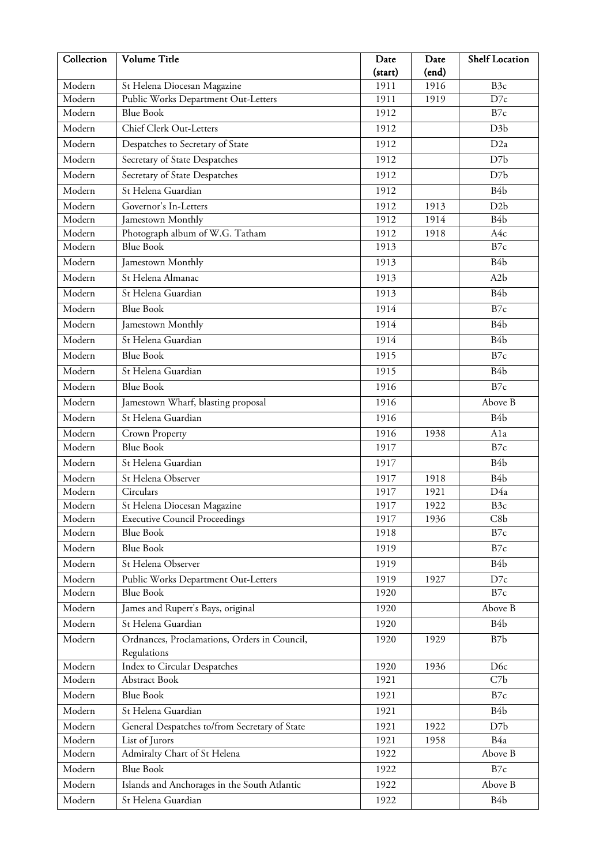| Collection | Volume Title                                  | Date    | Date  | <b>Shelf Location</b> |
|------------|-----------------------------------------------|---------|-------|-----------------------|
|            |                                               | (start) | (end) |                       |
| Modern     | St Helena Diocesan Magazine                   | 1911    | 1916  | B <sub>3c</sub>       |
| Modern     | Public Works Department Out-Letters           | 1911    | 1919  | D7c                   |
| Modern     | <b>Blue Book</b>                              | 1912    |       | B7c                   |
| Modern     | Chief Clerk Out-Letters                       | 1912    |       | D <sub>3</sub> b      |
| Modern     | Despatches to Secretary of State              | 1912    |       | D <sub>2a</sub>       |
| Modern     | Secretary of State Despatches                 | 1912    |       | D7b                   |
| Modern     | Secretary of State Despatches                 | 1912    |       | D7b                   |
| Modern     | St Helena Guardian                            | 1912    |       | B <sub>4</sub> b      |
| Modern     | Governor's In-Letters                         | 1912    | 1913  | D <sub>2</sub> b      |
| Modern     | Jamestown Monthly                             | 1912    | 1914  | B <sub>4</sub> b      |
| Modern     | Photograph album of W.G. Tatham               | 1912    | 1918  | A4c                   |
| Modern     | <b>Blue Book</b>                              | 1913    |       | B7c                   |
| Modern     | Jamestown Monthly                             | 1913    |       | B <sub>4</sub> b      |
| Modern     | St Helena Almanac                             | 1913    |       | A2b                   |
| Modern     | St Helena Guardian                            | 1913    |       | B <sub>4</sub> b      |
| Modern     | <b>Blue Book</b>                              | 1914    |       | B7c                   |
| Modern     | Jamestown Monthly                             | 1914    |       | B <sub>4</sub> b      |
| Modern     | St Helena Guardian                            |         |       | B <sub>4</sub> b      |
|            |                                               | 1914    |       |                       |
| Modern     | <b>Blue Book</b>                              | 1915    |       | B7c                   |
| Modern     | St Helena Guardian                            | 1915    |       | B <sub>4</sub> b      |
| Modern     | <b>Blue Book</b>                              | 1916    |       | B7c                   |
| Modern     | Jamestown Wharf, blasting proposal            | 1916    |       | Above B               |
| Modern     | St Helena Guardian                            | 1916    |       | B <sub>4</sub> b      |
| Modern     | Crown Property                                | 1916    | 1938  | Ala                   |
| Modern     | <b>Blue Book</b>                              | 1917    |       | B7c                   |
| Modern     | St Helena Guardian                            | 1917    |       | B <sub>4</sub> b      |
| Modern     | St Helena Observer                            | 1917    | 1918  | B <sub>4</sub> b      |
| Modern     | Circulars                                     | 1917    | 1921  | D4a                   |
| Modern     | St Helena Diocesan Magazine                   | 1917    | 1922  | B <sub>3c</sub>       |
| Modern     | <b>Executive Council Proceedings</b>          | 1917    | 1936  | C8b                   |
| Modern     | <b>Blue Book</b>                              | 1918    |       | B7c                   |
| Modern     | <b>Blue Book</b>                              | 1919    |       | B7c                   |
| Modern     | St Helena Observer                            | 1919    |       | B4b                   |
| Modern     | Public Works Department Out-Letters           | 1919    | 1927  | D7c                   |
| Modern     | <b>Blue Book</b>                              | 1920    |       | B7c                   |
| Modern     | James and Rupert's Bays, original             | 1920    |       | Above B               |
| Modern     | St Helena Guardian                            | 1920    |       | B <sub>4</sub> b      |
| Modern     | Ordnances, Proclamations, Orders in Council,  | 1920    | 1929  | B7b                   |
|            | Regulations                                   |         |       |                       |
| Modern     | Index to Circular Despatches                  | 1920    | 1936  | D <sub>6c</sub>       |
| Modern     | <b>Abstract Book</b>                          | 1921    |       | C7b                   |
| Modern     | <b>Blue Book</b>                              | 1921    |       | B7c                   |
| Modern     | St Helena Guardian                            | 1921    |       | B <sub>4</sub> b      |
| Modern     | General Despatches to/from Secretary of State | 1921    | 1922  | D7b                   |
| Modern     | List of Jurors                                | 1921    | 1958  | B4a                   |
| Modern     | Admiralty Chart of St Helena                  | 1922    |       | Above B               |
| Modern     | <b>Blue Book</b>                              | 1922    |       | B7c                   |
| Modern     | Islands and Anchorages in the South Atlantic  | 1922    |       | Above B               |
| Modern     | St Helena Guardian                            | 1922    |       | B <sub>4</sub> b      |
|            |                                               |         |       |                       |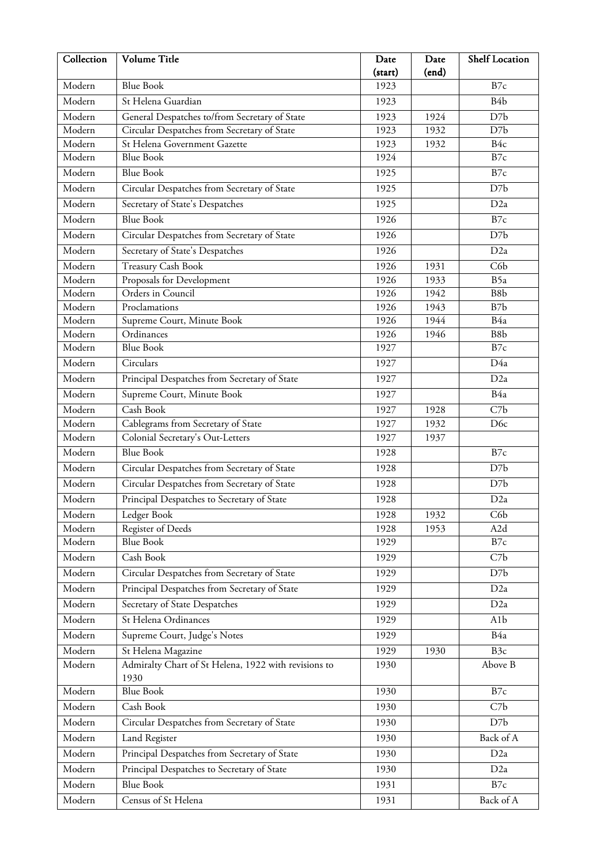| Collection       | Volume Title                                                                | Date         | Date         | <b>Shelf Location</b>  |
|------------------|-----------------------------------------------------------------------------|--------------|--------------|------------------------|
|                  | <b>Blue Book</b>                                                            | (start)      | (end)        |                        |
| Modern           |                                                                             | 1923         |              | B7c                    |
| Modern           | St Helena Guardian                                                          | 1923         |              | B <sub>4</sub> b       |
| Modern           | General Despatches to/from Secretary of State                               | 1923         | 1924         | D7b                    |
| Modern<br>Modern | Circular Despatches from Secretary of State<br>St Helena Government Gazette | 1923         | 1932         | D7b<br>B <sub>4c</sub> |
| Modern           | <b>Blue Book</b>                                                            | 1923<br>1924 | 1932         | B7c                    |
| Modern           | <b>Blue Book</b>                                                            |              |              | B7c                    |
|                  |                                                                             | 1925         |              |                        |
| Modern           | Circular Despatches from Secretary of State                                 | 1925         |              | D7b                    |
| Modern           | Secretary of State's Despatches                                             | 1925         |              | D2a                    |
| Modern           | <b>Blue Book</b>                                                            | 1926         |              | B7c                    |
| Modern           | Circular Despatches from Secretary of State                                 | 1926         |              | D7b                    |
| Modern           | Secretary of State's Despatches                                             | 1926         |              | D <sub>2a</sub>        |
| Modern           | <b>Treasury Cash Book</b>                                                   | 1926         | 1931         | C6b                    |
| Modern           | Proposals for Development                                                   | 1926         | 1933         | B5a                    |
| Modern           | Orders in Council                                                           | 1926         | 1942         | B8b                    |
| Modern           | Proclamations                                                               | 1926         | 1943         | B7b                    |
| Modern<br>Modern | Supreme Court, Minute Book<br>$\overline{\text{Ordinances}}$                | 1926<br>1926 | 1944<br>1946 | B4a<br>B8b             |
| Modern           | <b>Blue Book</b>                                                            | 1927         |              | B7c                    |
| Modern           | Circulars                                                                   | 1927         |              | D4a                    |
|                  |                                                                             |              |              |                        |
| Modern           | Principal Despatches from Secretary of State                                | 1927         |              | D <sub>2a</sub>        |
| Modern           | Supreme Court, Minute Book                                                  | 1927         |              | B4a                    |
| Modern           | Cash Book                                                                   | 1927         | 1928         | C7b                    |
| Modern<br>Modern | Cablegrams from Secretary of State                                          | 1927         | 1932         | D <sub>6c</sub>        |
| Modern           | Colonial Secretary's Out-Letters<br><b>Blue Book</b>                        | 1927         | 1937         |                        |
|                  |                                                                             | 1928         |              | B7c                    |
| Modern           | Circular Despatches from Secretary of State                                 | 1928         |              | D7b                    |
| Modern           | Circular Despatches from Secretary of State                                 | 1928         |              | D7b                    |
| Modern           | Principal Despatches to Secretary of State                                  | 1928         |              | D <sub>2a</sub>        |
| Modern           | Ledger Book                                                                 | 1928         | 1932         | C <sub>6</sub> b       |
| Modern<br>Modern | Register of Deeds<br><b>Blue Book</b>                                       | 1928         | 1953         | A2d                    |
|                  |                                                                             | 1929         |              | B7c                    |
| Modern           | Cash Book                                                                   | 1929         |              | C7b                    |
| Modern           | Circular Despatches from Secretary of State                                 | 1929         |              | D7b                    |
| Modern           | Principal Despatches from Secretary of State                                | 1929         |              | D <sub>2</sub> a       |
| Modern           | Secretary of State Despatches                                               | 1929         |              | D2a                    |
| Modern           | St Helena Ordinances                                                        | 1929         |              | A <sub>1</sub> b       |
| Modern           | Supreme Court, Judge's Notes                                                | 1929         |              | B4a                    |
| Modern           | St Helena Magazine                                                          | 1929         | 1930         | B <sub>3c</sub>        |
| Modern           | Admiralty Chart of St Helena, 1922 with revisions to<br>1930                | 1930         |              | Above B                |
| Modern           | <b>Blue Book</b>                                                            | 1930         |              | B7c                    |
| Modern           | Cash Book                                                                   | 1930         |              | C7b                    |
| Modern           | Circular Despatches from Secretary of State                                 | 1930         |              | D7b                    |
| Modern           | Land Register                                                               | 1930         |              | Back of A              |
| Modern           | Principal Despatches from Secretary of State                                | 1930         |              | D <sub>2</sub> a       |
| Modern           | Principal Despatches to Secretary of State                                  | 1930         |              | D <sub>2a</sub>        |
| Modern           | <b>Blue Book</b>                                                            | 1931         |              | B7c                    |
| Modern           | Census of St Helena                                                         | 1931         |              | Back of A              |
|                  |                                                                             |              |              |                        |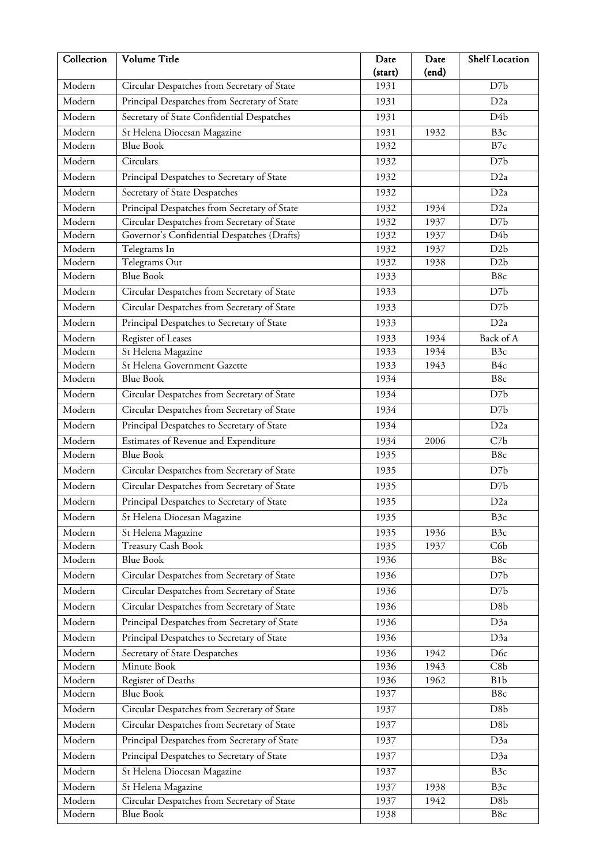| Collection       | Volume Title                                 | Date            | Date  | <b>Shelf Location</b>   |
|------------------|----------------------------------------------|-----------------|-------|-------------------------|
| Modern           | Circular Despatches from Secretary of State  | (start)<br>1931 | (end) | D7b                     |
| Modern           |                                              |                 |       |                         |
|                  | Principal Despatches from Secretary of State | 1931            |       | D2a                     |
| Modern           | Secretary of State Confidential Despatches   | 1931            |       | D <sub>4</sub> b        |
| Modern           | St Helena Diocesan Magazine                  | 1931            | 1932  | B <sub>3c</sub>         |
| Modern           | <b>Blue Book</b>                             | 1932            |       | B7c                     |
| Modern           | Circulars                                    | 1932            |       | D7b                     |
| Modern           | Principal Despatches to Secretary of State   | 1932            |       | D <sub>2a</sub>         |
| Modern           | Secretary of State Despatches                | 1932            |       | D <sub>2a</sub>         |
| Modern           | Principal Despatches from Secretary of State | 1932            | 1934  | D <sub>2a</sub>         |
| Modern           | Circular Despatches from Secretary of State  | 1932            | 1937  | D7b                     |
| Modern           | Governor's Confidential Despatches (Drafts)  | 1932            | 1937  | D4b                     |
| Modern           | Telegrams In                                 | 1932            | 1937  | D <sub>2</sub> b        |
| Modern           | Telegrams Out                                | 1932            | 1938  | D <sub>2</sub> b        |
| Modern           | <b>Blue Book</b>                             | 1933            |       | B8c                     |
| Modern           | Circular Despatches from Secretary of State  | 1933            |       | D7b                     |
| Modern           | Circular Despatches from Secretary of State  | 1933            |       | D7b                     |
| Modern           | Principal Despatches to Secretary of State   | 1933            |       | D <sub>2a</sub>         |
| Modern           | Register of Leases                           | 1933            | 1934  | Back of A               |
| Modern           | St Helena Magazine                           | 1933            | 1934  | B <sub>3</sub> c        |
| Modern           | St Helena Government Gazette                 | 1933            | 1943  | B <sub>4c</sub>         |
| Modern           | <b>Blue Book</b>                             | 1934            |       | B8c                     |
| Modern           | Circular Despatches from Secretary of State  | 1934            |       | D7b                     |
| Modern           | Circular Despatches from Secretary of State  | 1934            |       | D7b                     |
| Modern           | Principal Despatches to Secretary of State   | 1934            |       | D <sub>2a</sub>         |
| Modern           | Estimates of Revenue and Expenditure         | 1934            | 2006  | C7b                     |
| Modern           | <b>Blue Book</b>                             | 1935            |       | B8c                     |
| Modern           | Circular Despatches from Secretary of State  | 1935            |       | D7b                     |
| Modern           | Circular Despatches from Secretary of State  | 1935            |       | D7b                     |
| Modern           | Principal Despatches to Secretary of State   | 1935            |       | D <sub>2a</sub>         |
| Modern           | St Helena Diocesan Magazine                  | 1935            |       | B <sub>3c</sub>         |
| Modern           | St Helena Magazine                           | 1935            | 1936  | B <sub>3c</sub>         |
| Modern           | <b>Treasury Cash Book</b>                    | 1935            | 1937  | C6b                     |
| Modern           | <b>Blue Book</b>                             | 1936            |       | B8c                     |
| Modern           | Circular Despatches from Secretary of State  | 1936            |       | D7b                     |
| Modern           | Circular Despatches from Secretary of State  | 1936            |       | D7b                     |
| Modern           | Circular Despatches from Secretary of State  | 1936            |       | D <sub>8</sub> b        |
|                  |                                              |                 |       |                         |
| Modern           | Principal Despatches from Secretary of State | 1936            |       | D3a                     |
| Modern           | Principal Despatches to Secretary of State   | 1936            |       | D3a                     |
| Modern           | Secretary of State Despatches                | 1936            | 1942  | D <sub>6c</sub>         |
| Modern           | Minute Book                                  | 1936            | 1943  | C8b                     |
| Modern<br>Modern | Register of Deaths<br><b>Blue Book</b>       | 1936<br>1937    | 1962  | B <sub>1</sub> b<br>B8c |
|                  |                                              |                 |       |                         |
| Modern           | Circular Despatches from Secretary of State  | 1937            |       | D <sub>8</sub> b        |
| Modern           | Circular Despatches from Secretary of State  | 1937            |       | D <sub>8</sub> b        |
| Modern           | Principal Despatches from Secretary of State | 1937            |       | D3a                     |
| Modern           | Principal Despatches to Secretary of State   | 1937            |       | D3a                     |
| Modern           | St Helena Diocesan Magazine                  | 1937            |       | B3c                     |
| Modern           | St Helena Magazine                           | 1937            | 1938  | B <sub>3c</sub>         |
| Modern           | Circular Despatches from Secretary of State  | 1937            | 1942  | D <sub>8</sub> b        |
| Modern           | <b>Blue Book</b>                             | 1938            |       | B8c                     |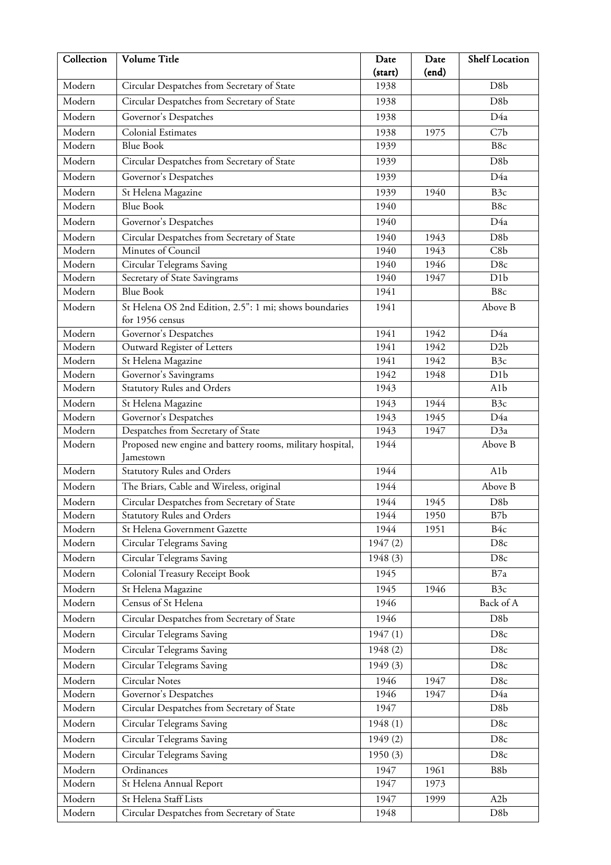| Collection                 | Volume Title                                                | Date         | Date         | <b>Shelf Location</b>                |
|----------------------------|-------------------------------------------------------------|--------------|--------------|--------------------------------------|
|                            |                                                             | (start)      | (end)        |                                      |
| Modern                     | Circular Despatches from Secretary of State                 | 1938         |              | D <sub>8</sub> b                     |
| Modern                     | Circular Despatches from Secretary of State                 | 1938         |              | D <sub>8</sub> b                     |
| Modern                     | Governor's Despatches                                       | 1938         |              | D4a                                  |
| Modern                     | Colonial Estimates                                          | 1938         | 1975         | C7b                                  |
| Modern                     | <b>Blue Book</b>                                            | 1939         |              | B8c                                  |
| Modern                     | Circular Despatches from Secretary of State                 | 1939         |              | D <sub>8</sub> b                     |
| Modern                     | Governor's Despatches                                       | 1939         |              | D4a                                  |
| Modern                     | St Helena Magazine                                          | 1939         | 1940         | B <sub>3c</sub>                      |
| Modern                     | <b>Blue Book</b>                                            | 1940         |              | B8c                                  |
| Modern                     | Governor's Despatches                                       | 1940         |              | D4a                                  |
| Modern                     | Circular Despatches from Secretary of State                 | 1940         | 1943         | D <sub>8</sub> b                     |
| Modern                     | Minutes of Council                                          | 1940         | 1943         | C8b                                  |
| Modern                     | Circular Telegrams Saving                                   | 1940         | 1946         | D <sub>8c</sub>                      |
| Modern                     | Secretary of State Savingrams                               | 1940         | 1947         | D <sub>1</sub> b                     |
| Modern                     | <b>Blue Book</b>                                            | 1941         |              | B8c                                  |
| Modern                     | St Helena OS 2nd Edition, 2.5": 1 mi; shows boundaries      | 1941         |              | Above B                              |
|                            | for 1956 census                                             |              |              |                                      |
| Modern                     | Governor's Despatches                                       | 1941         | 1942         | D4a                                  |
| Modern                     | Outward Register of Letters                                 | 1941         | 1942         | D2b                                  |
| Modern<br>Modern           | St Helena Magazine                                          | 1941         | 1942         | B <sub>3c</sub>                      |
| Modern                     | Governor's Savingrams<br><b>Statutory Rules and Orders</b>  | 1942<br>1943 | 1948         | D <sub>1</sub> b<br>A <sub>1</sub> b |
|                            |                                                             |              |              |                                      |
| Modern<br>Modern           | St Helena Magazine                                          | 1943         | 1944         | B <sub>3c</sub>                      |
| Modern                     | Governor's Despatches<br>Despatches from Secretary of State | 1943<br>1943 | 1945<br>1947 | D4a<br>D3a                           |
| Modern                     | Proposed new engine and battery rooms, military hospital,   | 1944         |              | Above B                              |
|                            | Jamestown                                                   |              |              |                                      |
| Modern                     | <b>Statutory Rules and Orders</b>                           | 1944         |              | A <sub>1</sub> b                     |
| Modern                     | The Briars, Cable and Wireless, original                    | 1944         |              | Above B                              |
| Modern                     | Circular Despatches from Secretary of State                 | 1944         | 1945         | D <sub>8</sub> b                     |
| Modern                     | <b>Statutory Rules and Orders</b>                           | 1944         | 1950         | B7b                                  |
| $\overline{\text{Modern}}$ | St Helena Government Gazette                                | 1944         | 1951         | B4c                                  |
| Modern                     | Circular Telegrams Saving                                   | 1947(2)      |              | D8c                                  |
| Modern                     | Circular Telegrams Saving                                   | 1948 (3)     |              | D8c                                  |
| Modern                     | Colonial Treasury Receipt Book                              | 1945         |              | B7a                                  |
| Modern                     | St Helena Magazine                                          | 1945         | 1946         | B <sub>3c</sub>                      |
| Modern                     | Census of St Helena                                         | 1946         |              | Back of A                            |
| Modern                     | Circular Despatches from Secretary of State                 | 1946         |              | D <sub>8</sub> b                     |
| Modern                     | Circular Telegrams Saving                                   | 1947(1)      |              | D8c                                  |
|                            |                                                             |              |              |                                      |
| Modern                     | Circular Telegrams Saving                                   | 1948 (2)     |              | D8c                                  |
| Modern                     | Circular Telegrams Saving                                   | 1949(3)      |              | D8c                                  |
| Modern                     | Circular Notes                                              | 1946         | 1947         | D <sub>8c</sub>                      |
| Modern                     | Governor's Despatches                                       | 1946         | 1947         | D4a                                  |
| Modern                     | Circular Despatches from Secretary of State                 | 1947         |              | D8b                                  |
| Modern                     | Circular Telegrams Saving                                   | 1948 (1)     |              | D8c                                  |
| Modern                     | Circular Telegrams Saving                                   | 1949(2)      |              | D8c                                  |
| Modern                     | Circular Telegrams Saving                                   | 1950(3)      |              | D8c                                  |
| Modern                     | Ordinances                                                  | 1947         | 1961         | B8b                                  |
| Modern                     | St Helena Annual Report                                     | 1947         | 1973         |                                      |
| Modern                     | St Helena Staff Lists                                       | 1947         | 1999         | A <sub>2</sub> b                     |
| Modern                     | Circular Despatches from Secretary of State                 | 1948         |              | D8b                                  |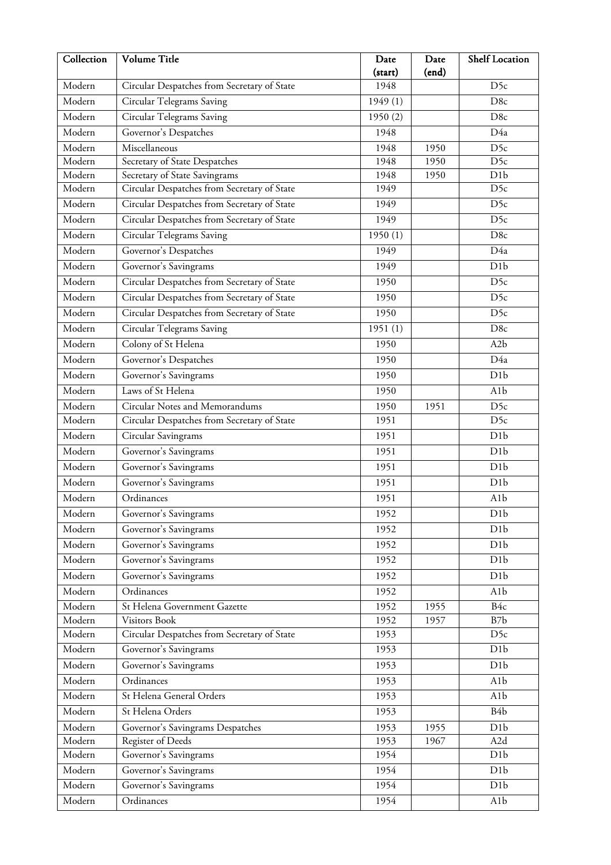| Collection       | Volume Title                                          | Date            | Date         | <b>Shelf Location</b> |
|------------------|-------------------------------------------------------|-----------------|--------------|-----------------------|
| Modern           |                                                       | (start)<br>1948 | (end)        | D <sub>5c</sub>       |
|                  | Circular Despatches from Secretary of State           |                 |              |                       |
| Modern           | Circular Telegrams Saving                             | 1949(1)         |              | D8c                   |
| Modern           | Circular Telegrams Saving                             | 1950(2)         |              | D <sub>8c</sub>       |
| Modern           | Governor's Despatches                                 | 1948            |              | D4a                   |
| Modern           | Miscellaneous                                         | 1948            | 1950         | D <sub>5c</sub>       |
| Modern           | Secretary of State Despatches                         | 1948            | 1950         | D <sub>5c</sub>       |
| Modern<br>Modern | Secretary of State Savingrams                         | 1948            | 1950         | D1b                   |
|                  | Circular Despatches from Secretary of State           | 1949            |              | D <sub>5c</sub>       |
| Modern           | Circular Despatches from Secretary of State           | 1949            |              | D <sub>5c</sub>       |
| Modern           | Circular Despatches from Secretary of State           | 1949            |              | D <sub>5c</sub>       |
| Modern           | Circular Telegrams Saving                             | 1950(1)         |              | D8c                   |
| Modern           | Governor's Despatches                                 | 1949            |              | D4a                   |
| Modern           | Governor's Savingrams                                 | 1949            |              | D1b                   |
| Modern           | Circular Despatches from Secretary of State           | 1950            |              | D <sub>5c</sub>       |
| Modern           | Circular Despatches from Secretary of State           | 1950            |              | D <sub>5c</sub>       |
| Modern           | Circular Despatches from Secretary of State           | 1950            |              | D <sub>5c</sub>       |
| Modern           | Circular Telegrams Saving                             | 1951(1)         |              | D8c                   |
| Modern           | Colony of St Helena                                   | 1950            |              | A2b                   |
| Modern           | Governor's Despatches                                 | 1950            |              | D4a                   |
| Modern           | Governor's Savingrams                                 | 1950            |              | D1b                   |
| Modern           | Laws of St Helena                                     | 1950            |              | A <sub>1</sub> b      |
| Modern           | Circular Notes and Memorandums                        | 1950            | 1951         | D <sub>5c</sub>       |
| Modern           | Circular Despatches from Secretary of State           | 1951            |              | D5c                   |
| Modern           | Circular Savingrams                                   | 1951            |              | D <sub>1</sub> b      |
| Modern           | Governor's Savingrams                                 | 1951            |              | D1b                   |
| Modern           | Governor's Savingrams                                 | 1951            |              | D1b                   |
| Modern           | Governor's Savingrams                                 | 1951            |              | D1b                   |
| Modern           | Ordinances                                            | 1951            |              | A1b                   |
| Modern           | Governor's Savingrams                                 | 1952            |              | D1b                   |
| Modern           | Governor's Savingrams                                 | 1952            |              | D <sub>1</sub> b      |
| Modern           | Governor's Savingrams                                 | 1952            |              | D <sub>1</sub> b      |
| Modern           | Governor's Savingrams                                 | 1952            |              | D <sub>1</sub> b      |
| Modern           | Governor's Savingrams                                 | 1952            |              | D1b                   |
| Modern           | Ordinances                                            | 1952            |              | A <sub>1</sub> b      |
| Modern           | St Helena Government Gazette                          | 1952            | 1955         | B <sub>4c</sub>       |
| Modern           | Visitors Book                                         | 1952            | 1957         | B7b                   |
| Modern           | Circular Despatches from Secretary of State           | 1953            |              | D5c                   |
| Modern           | Governor's Savingrams                                 | 1953            |              | D <sub>1</sub> b      |
| Modern           | Governor's Savingrams                                 | 1953            |              | D <sub>1</sub> b      |
| Modern           | Ordinances                                            | 1953            |              | A <sub>1</sub> b      |
| Modern           | St Helena General Orders                              | 1953            |              | A1b                   |
| Modern           | St Helena Orders                                      | 1953            |              | B <sub>4</sub> b      |
| Modern           |                                                       |                 |              | D <sub>1</sub> b      |
| Modern           | Governor's Savingrams Despatches<br>Register of Deeds | 1953<br>1953    | 1955<br>1967 | A2d                   |
| Modern           | Governor's Savingrams                                 | 1954            |              | D <sub>1</sub> b      |
| Modern           | Governor's Savingrams                                 | 1954            |              | D <sub>1</sub> b      |
| Modern           |                                                       | 1954            |              | D <sub>1</sub> b      |
|                  | Governor's Savingrams                                 |                 |              |                       |
| Modern           | Ordinances                                            | 1954            |              | A1b                   |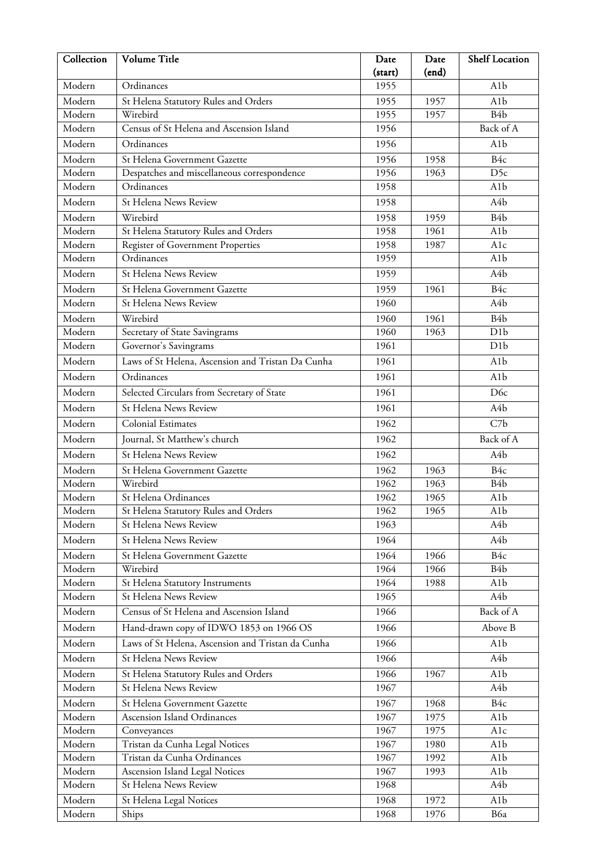| Collection       | Volume Title                                      | Date         | Date         | <b>Shelf Location</b> |
|------------------|---------------------------------------------------|--------------|--------------|-----------------------|
|                  |                                                   | (start)      | (end)        |                       |
| Modern           | Ordinances                                        | 1955         |              | A <sub>1</sub> b      |
| Modern           | St Helena Statutory Rules and Orders              | 1955         | 1957         | A <sub>1</sub> b      |
| Modern           | Wirebird                                          | 1955         | 1957         | B <sub>4</sub> b      |
| Modern           | Census of St Helena and Ascension Island          | 1956         |              | Back of A             |
| Modern           | Ordinances                                        | 1956         |              | A <sub>1</sub> b      |
| Modern           | St Helena Government Gazette                      | 1956         | 1958         | B4c                   |
| Modern           | Despatches and miscellaneous correspondence       | 1956         | 1963         | D <sub>5c</sub>       |
| Modern           | Ordinances                                        | 1958         |              | A <sub>1</sub> b      |
| Modern           | St Helena News Review                             | 1958         |              | A <sub>4</sub> b      |
| Modern           | Wirebird                                          | 1958         | 1959         | B <sub>4</sub> b      |
| Modern           | St Helena Statutory Rules and Orders              | 1958         | 1961         | A <sub>1</sub> b      |
| Modern           | Register of Government Properties                 | 1958         | 1987         | A1c                   |
| Modern           | Ordinances                                        | 1959         |              | A <sub>1</sub> b      |
| Modern           | St Helena News Review                             | 1959         |              | A4b                   |
| Modern           | St Helena Government Gazette                      | 1959         | 1961         | B4c                   |
| Modern           | St Helena News Review                             | 1960         |              | A4b                   |
| Modern           | Wirebird                                          | 1960         | 1961         | B <sub>4</sub> b      |
| Modern           | Secretary of State Savingrams                     | 1960         | 1963         | D1b                   |
| Modern           | Governor's Savingrams                             | 1961         |              | D <sub>1</sub> b      |
| Modern           | Laws of St Helena, Ascension and Tristan Da Cunha | 1961         |              | A <sub>1</sub> b      |
| Modern           | Ordinances                                        | 1961         |              | A1b                   |
| Modern           | Selected Circulars from Secretary of State        | 1961         |              | D <sub>6</sub> c      |
| Modern           | St Helena News Review                             | 1961         |              | A4b                   |
| Modern           | <b>Colonial Estimates</b>                         | 1962         |              | C7b                   |
| Modern           | Journal, St Matthew's church                      | 1962         |              | Back of A             |
| Modern           | <b>St Helena News Review</b>                      | 1962         |              | A4b                   |
| Modern           | St Helena Government Gazette                      | 1962         | 1963         | B4c                   |
| Modern           | Wirebird                                          | 1962         | 1963         | B <sub>4</sub> b      |
| Modern           | St Helena Ordinances                              | 1962         | 1965         | A <sub>1</sub> b      |
| Modern           | St Helena Statutory Rules and Orders              | 1962         | 1965         | A1b                   |
| Modern           | St Helena News Review                             | 1963         |              | A4b                   |
| Modern           | St Helena News Review                             | 1964         |              | A <sub>4</sub> b      |
| Modern           | St Helena Government Gazette                      | 1964         | 1966         | B4c                   |
| Modern           | Wirebird                                          | 1964         | 1966         | B <sub>4</sub> b      |
| Modern           | St Helena Statutory Instruments                   | 1964         | 1988         | A1b                   |
| Modern           | St Helena News Review                             | 1965         |              | A4b                   |
| Modern           | Census of St Helena and Ascension Island          | 1966         |              | Back of A             |
| Modern           | Hand-drawn copy of IDWO 1853 on 1966 OS           | 1966         |              | Above B               |
| Modern           | Laws of St Helena, Ascension and Tristan da Cunha | 1966         |              | A <sub>1</sub> b      |
| Modern           | St Helena News Review                             | 1966         |              | A <sub>4</sub> b      |
|                  |                                                   |              |              |                       |
| Modern           | St Helena Statutory Rules and Orders              | 1966         | 1967         | A1b                   |
| Modern           | St Helena News Review                             | 1967         |              | A4b                   |
| Modern           | St Helena Government Gazette                      | 1967         | 1968         | B4c                   |
| Modern           | Ascension Island Ordinances                       | 1967         | 1975         | A1b                   |
| Modern<br>Modern | Conveyances<br>Tristan da Cunha Legal Notices     | 1967<br>1967 | 1975<br>1980 | Alc<br>A1b            |
| Modern           | Tristan da Cunha Ordinances                       | 1967         | 1992         | A1b                   |
| Modern           | Ascension Island Legal Notices                    | 1967         | 1993         | A1b                   |
| Modern           | St Helena News Review                             | 1968         |              | A4b                   |
| Modern           | St Helena Legal Notices                           | 1968         | 1972         | A1b                   |
| Modern           | Ships                                             | 1968         | 1976         | B6a                   |
|                  |                                                   |              |              |                       |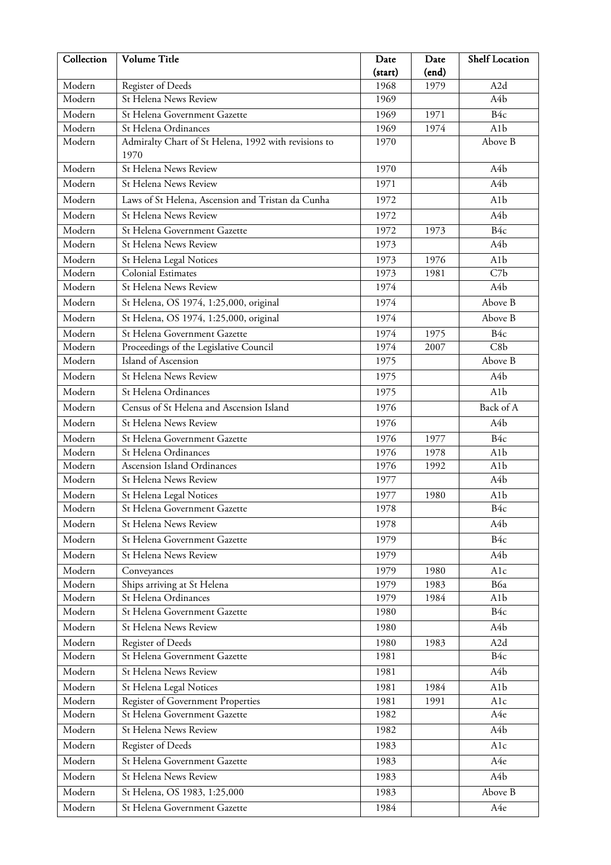| Collection       | <b>Volume Title</b>                                           | Date            | Date         | <b>Shelf Location</b> |
|------------------|---------------------------------------------------------------|-----------------|--------------|-----------------------|
| Modern           |                                                               | (start)<br>1968 | (end)        | A2d                   |
| Modern           | Register of Deeds<br>St Helena News Review                    | 1969            | 1979         | A <sub>4</sub> b      |
|                  |                                                               |                 |              |                       |
| Modern<br>Modern | St Helena Government Gazette<br>St Helena Ordinances          | 1969<br>1969    | 1971<br>1974 | B4c<br>A1b            |
| Modern           | Admiralty Chart of St Helena, 1992 with revisions to          | 1970            |              | Above B               |
|                  | 1970                                                          |                 |              |                       |
| Modern           | <b>St Helena News Review</b>                                  | 1970            |              | A <sub>4</sub> b      |
| Modern           | St Helena News Review                                         | 1971            |              | A <sub>4</sub> b      |
| Modern           | Laws of St Helena, Ascension and Tristan da Cunha             | 1972            |              | A <sub>1</sub> b      |
| Modern           | St Helena News Review                                         | 1972            |              | A <sub>4</sub> b      |
| Modern           | St Helena Government Gazette                                  | 1972            |              | B <sub>4c</sub>       |
| Modern           | St Helena News Review                                         | 1973            | 1973         | A <sub>4</sub> b      |
| Modern           |                                                               | 1973            | 1976         | A1b                   |
| Modern           | St Helena Legal Notices<br>Colonial Estimates                 | 1973            | 1981         | C7b                   |
| Modern           | St Helena News Review                                         | 1974            |              | A <sub>4</sub> b      |
| Modern           | St Helena, OS 1974, 1:25,000, original                        | 1974            |              | Above B               |
| Modern           | St Helena, OS 1974, 1:25,000, original                        | 1974            |              | Above B               |
|                  |                                                               |                 |              |                       |
| Modern<br>Modern | St Helena Government Gazette                                  | 1974<br>1974    | 1975<br>2007 | B4c<br>C8b            |
| Modern           | Proceedings of the Legislative Council<br>Island of Ascension | 1975            |              | Above B               |
| Modern           | St Helena News Review                                         | 1975            |              | A <sub>4</sub> b      |
|                  |                                                               |                 |              |                       |
| Modern           | St Helena Ordinances                                          | 1975            |              | A <sub>1</sub> b      |
| Modern           | Census of St Helena and Ascension Island                      | 1976            |              | Back of A             |
| Modern           | St Helena News Review                                         | 1976            |              | A <sub>4</sub> b      |
| Modern           | St Helena Government Gazette                                  | 1976            | 1977         | B4c                   |
| Modern           | St Helena Ordinances                                          | 1976            | 1978         | A <sub>1</sub> b      |
| Modern           | Ascension Island Ordinances                                   | 1976            | 1992         | A <sub>1</sub> b      |
| Modern           | St Helena News Review                                         | 1977            |              | A <sub>4</sub> b      |
| Modern           | St Helena Legal Notices                                       | 1977            | 1980         | A1b                   |
| Modern           | St Helena Government Gazette                                  | 1978            |              | B4c                   |
| Modern           | St Helena News Review                                         | 1978            |              | A <sub>4</sub> b      |
| Modern           | St Helena Government Gazette                                  | 1979            |              | B4c                   |
| Modern           | <b>St Helena News Review</b>                                  | 1979            |              | A <sub>4</sub> b      |
| Modern           | Conveyances                                                   | 1979            | 1980         | Alc                   |
| Modern           | Ships arriving at St Helena                                   | 1979            | 1983         | B6a                   |
| Modern           | St Helena Ordinances                                          | 1979            | 1984         | A1b                   |
| Modern           | St Helena Government Gazette                                  | 1980            |              | B4c                   |
| Modern           | St Helena News Review                                         | 1980            |              | A <sub>4</sub> b      |
| Modern           | Register of Deeds                                             | 1980            | 1983         | A2d                   |
| Modern           | St Helena Government Gazette                                  | 1981            |              | B4c                   |
| Modern           | St Helena News Review                                         | 1981            |              | A <sub>4</sub> b      |
| Modern           | St Helena Legal Notices                                       | 1981            | 1984         | A <sub>1</sub> b      |
| Modern           | Register of Government Properties                             | 1981            | 1991         | Alc                   |
| Modern           | St Helena Government Gazette                                  | 1982            |              | A4e                   |
| Modern           | St Helena News Review                                         | 1982            |              | A <sub>4</sub> b      |
| Modern           | Register of Deeds                                             | 1983            |              | A1c                   |
| Modern           | St Helena Government Gazette                                  | 1983            |              | A4e                   |
| Modern           | St Helena News Review                                         | 1983            |              | A <sub>4</sub> b      |
| Modern           | St Helena, OS 1983, 1:25,000                                  | 1983            |              | Above B               |
| Modern           | St Helena Government Gazette                                  | 1984            |              | A4e                   |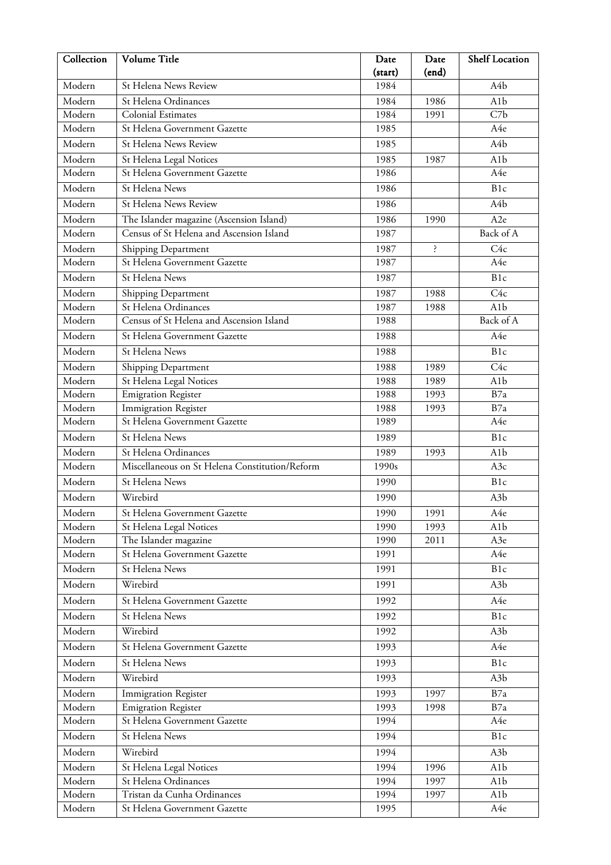| Collection | Volume Title                                   | Date    | Date  | <b>Shelf Location</b> |
|------------|------------------------------------------------|---------|-------|-----------------------|
|            |                                                | (start) | (end) |                       |
| Modern     | St Helena News Review                          | 1984    |       | A4b                   |
| Modern     | St Helena Ordinances                           | 1984    | 1986  | A <sub>1</sub> b      |
| Modern     | <b>Colonial Estimates</b>                      | 1984    | 1991  | C7b                   |
| Modern     | St Helena Government Gazette                   | 1985    |       | A4e                   |
| Modern     | St Helena News Review                          | 1985    |       | A4b                   |
| Modern     | St Helena Legal Notices                        | 1985    | 1987  | A <sub>1</sub> b      |
| Modern     | St Helena Government Gazette                   | 1986    |       | A4e                   |
| Modern     | St Helena News                                 | 1986    |       | B1c                   |
| Modern     | St Helena News Review                          | 1986    |       | A4b                   |
| Modern     | The Islander magazine (Ascension Island)       | 1986    | 1990  | A <sub>2e</sub>       |
| Modern     | Census of St Helena and Ascension Island       | 1987    |       | Back of A             |
| Modern     | Shipping Department                            | 1987    | ċ.    | C4c                   |
| Modern     | St Helena Government Gazette                   | 1987    |       | A4e                   |
| Modern     | St Helena News                                 | 1987    |       | B <sub>1c</sub>       |
| Modern     | Shipping Department                            | 1987    | 1988  | C4c                   |
| Modern     | St Helena Ordinances                           | 1987    | 1988  | A1b                   |
| Modern     | Census of St Helena and Ascension Island       | 1988    |       | Back of A             |
| Modern     | St Helena Government Gazette                   | 1988    |       | A4e                   |
| Modern     | St Helena News                                 | 1988    |       | B1c                   |
| Modern     | Shipping Department                            | 1988    | 1989  | C4c                   |
| Modern     | St Helena Legal Notices                        | 1988    | 1989  | A <sub>1</sub> b      |
| Modern     | Emigration Register                            | 1988    | 1993  | B7a                   |
| Modern     | <b>Immigration Register</b>                    | 1988    | 1993  | B7a                   |
| Modern     | St Helena Government Gazette                   | 1989    |       | A4e                   |
| Modern     | St Helena News                                 | 1989    |       | B1c                   |
| Modern     | St Helena Ordinances                           | 1989    | 1993  | A <sub>1</sub> b      |
| Modern     | Miscellaneous on St Helena Constitution/Reform | 1990s   |       | A3c                   |
| Modern     | St Helena News                                 | 1990    |       | B1c                   |
| Modern     | Wirebird                                       | 1990    |       | A3b                   |
| Modern     | St Helena Government Gazette                   | 1990    | 1991  | A4e                   |
| Modern     | St Helena Legal Notices                        | 1990    | 1993  | A <sub>1</sub> b      |
| Modern     | The Islander magazine                          | 1990    | 2011  | A3e                   |
| Modern     | St Helena Government Gazette                   | 1991    |       | A4e                   |
| Modern     | St Helena News                                 | 1991    |       | B1c                   |
| Modern     | Wirebird                                       | 1991    |       | A <sub>3</sub> b      |
| Modern     | St Helena Government Gazette                   | 1992    |       | A4e                   |
| Modern     | St Helena News                                 | 1992    |       | B1c                   |
| Modern     | Wirebird                                       | 1992    |       | A <sub>3</sub> b      |
|            |                                                |         |       |                       |
| Modern     | St Helena Government Gazette                   | 1993    |       | A4e                   |
| Modern     | St Helena News                                 | 1993    |       | B1c                   |
| Modern     | Wirebird                                       | 1993    |       | A <sub>3</sub> b      |
| Modern     | Immigration Register                           | 1993    | 1997  | B7a                   |
| Modern     | <b>Emigration Register</b>                     | 1993    | 1998  | B7a                   |
| Modern     | St Helena Government Gazette                   | 1994    |       | A4e                   |
| Modern     | St Helena News                                 | 1994    |       | B1c                   |
| Modern     | Wirebird                                       | 1994    |       | A <sub>3</sub> b      |
| Modern     | St Helena Legal Notices                        | 1994    | 1996  | A <sub>1</sub> b      |
| Modern     | St Helena Ordinances                           | 1994    | 1997  | A1b                   |
| Modern     | Tristan da Cunha Ordinances                    | 1994    | 1997  | A <sub>1</sub> b      |
| Modern     | St Helena Government Gazette                   | 1995    |       | A4e                   |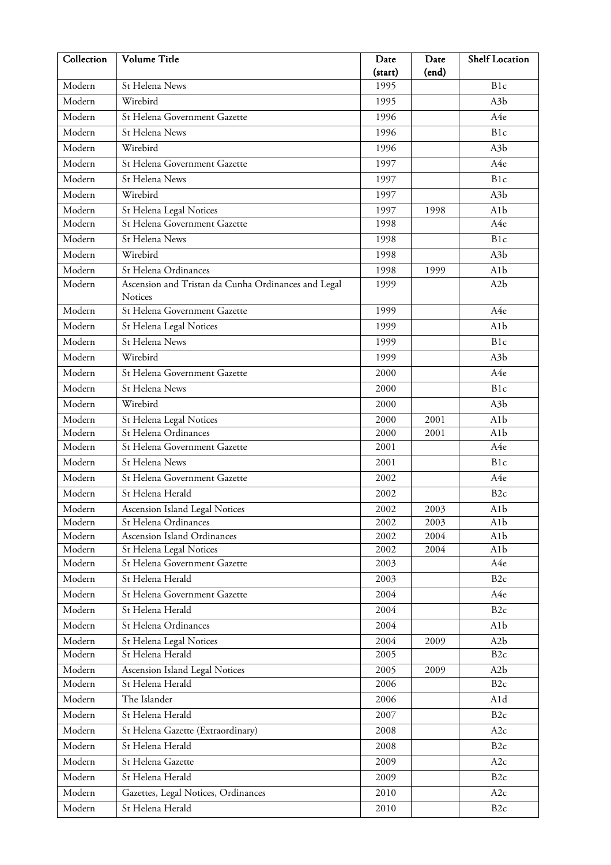| Collection | Volume Title                                        | Date    | Date  | <b>Shelf Location</b> |
|------------|-----------------------------------------------------|---------|-------|-----------------------|
|            |                                                     | (start) | (end) |                       |
| Modern     | St Helena News                                      | 1995    |       | B <sub>1c</sub>       |
| Modern     | Wirebird                                            | 1995    |       | A <sub>3</sub> b      |
| Modern     | St Helena Government Gazette                        | 1996    |       | A4e                   |
| Modern     | St Helena News                                      | 1996    |       | B <sub>1c</sub>       |
| Modern     | Wirebird                                            | 1996    |       | A <sub>3</sub> b      |
| Modern     | St Helena Government Gazette                        | 1997    |       | A4e                   |
| Modern     | St Helena News                                      | 1997    |       | B1c                   |
| Modern     | Wirebird                                            | 1997    |       | A <sub>3</sub> b      |
| Modern     | St Helena Legal Notices                             | 1997    | 1998  | A <sub>1</sub> b      |
| Modern     | St Helena Government Gazette                        | 1998    |       | A4e                   |
| Modern     | St Helena News                                      | 1998    |       | B1c                   |
| Modern     | Wirebird                                            | 1998    |       | A <sub>3</sub> b      |
| Modern     | St Helena Ordinances                                | 1998    | 1999  | A1b                   |
| Modern     | Ascension and Tristan da Cunha Ordinances and Legal | 1999    |       | A <sub>2</sub> b      |
|            | Notices                                             |         |       |                       |
| Modern     | St Helena Government Gazette                        | 1999    |       | A4e                   |
| Modern     | St Helena Legal Notices                             | 1999    |       | A1b                   |
| Modern     | St Helena News                                      | 1999    |       | B1c                   |
| Modern     | Wirebird                                            | 1999    |       | A <sub>3</sub> b      |
| Modern     | St Helena Government Gazette                        | 2000    |       | A4e                   |
| Modern     | St Helena News                                      | 2000    |       | B1c                   |
| Modern     | Wirebird                                            | 2000    |       | A <sub>3</sub> b      |
| Modern     | St Helena Legal Notices                             | 2000    | 2001  | A <sub>1</sub> b      |
| Modern     | St Helena Ordinances                                | 2000    | 2001  | A1b                   |
| Modern     | St Helena Government Gazette                        | 2001    |       | A4e                   |
| Modern     | St Helena News                                      | 2001    |       | B1c                   |
| Modern     | St Helena Government Gazette                        | 2002    |       | A4e                   |
| Modern     | St Helena Herald                                    | 2002    |       | B <sub>2c</sub>       |
| Modern     | Ascension Island Legal Notices                      | 2002    | 2003  | A1b                   |
| Modern     | St Helena Ordinances                                | 2002    | 2003  | A <sub>1</sub> b      |
| Modern     | Ascension Island Ordinances                         | 2002    | 2004  | A1b                   |
| Modern     | St Helena Legal Notices                             | 2002    | 2004  | A1b                   |
| Modern     | St Helena Government Gazette                        | 2003    |       | A4e                   |
| Modern     | St Helena Herald                                    | 2003    |       | B <sub>2c</sub>       |
| Modern     | St Helena Government Gazette                        | 2004    |       | A4e                   |
| Modern     | St Helena Herald                                    | 2004    |       | B <sub>2c</sub>       |
| Modern     | St Helena Ordinances                                | 2004    |       | A1b                   |
| Modern     | St Helena Legal Notices                             | 2004    | 2009  | A <sub>2</sub> b      |
| Modern     | St Helena Herald                                    | 2005    |       | B <sub>2c</sub>       |
| Modern     | Ascension Island Legal Notices                      | 2005    | 2009  | A <sub>2</sub> b      |
| Modern     | St Helena Herald                                    | 2006    |       | B <sub>2c</sub>       |
| Modern     | The Islander                                        | 2006    |       | A1d                   |
| Modern     | St Helena Herald                                    | 2007    |       | B <sub>2c</sub>       |
| Modern     | St Helena Gazette (Extraordinary)                   | 2008    |       | A2c                   |
| Modern     | St Helena Herald                                    | 2008    |       | B <sub>2c</sub>       |
| Modern     | St Helena Gazette                                   | 2009    |       | A2c                   |
| Modern     | St Helena Herald                                    | 2009    |       | B <sub>2c</sub>       |
|            |                                                     |         |       |                       |
| Modern     | Gazettes, Legal Notices, Ordinances                 | 2010    |       | A2c                   |
| Modern     | St Helena Herald                                    | 2010    |       | B <sub>2c</sub>       |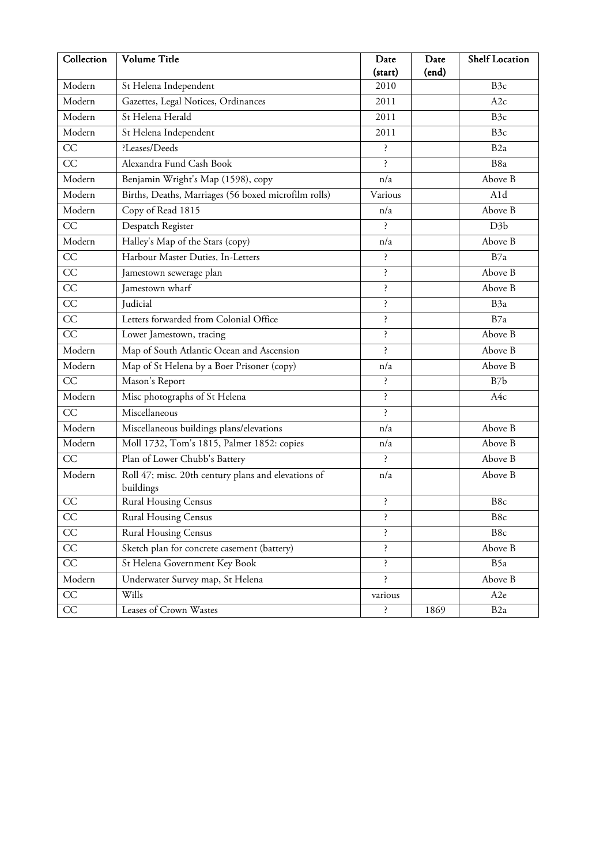| Collection      | Volume Title                                                     | Date<br>(start) | Date<br>(end) | <b>Shelf Location</b> |
|-----------------|------------------------------------------------------------------|-----------------|---------------|-----------------------|
| Modern          | St Helena Independent                                            | 2010            |               | B <sub>3c</sub>       |
| Modern          | Gazettes, Legal Notices, Ordinances                              | 2011            |               | A2c                   |
| Modern          | St Helena Herald                                                 | 2011            |               | B <sub>3c</sub>       |
| Modern          | St Helena Independent                                            | 2011            |               | B <sub>3c</sub>       |
| CC              | ?Leases/Deeds                                                    | Ś.              |               | B <sub>2a</sub>       |
| CC              | Alexandra Fund Cash Book                                         | <sup>2</sup>    |               | B8a                   |
| Modern          | Benjamin Wright's Map (1598), copy                               | n/a             |               | Above B               |
| Modern          | Births, Deaths, Marriages (56 boxed microfilm rolls)             | Various         |               | A1d                   |
| Modern          | Copy of Read 1815                                                | n/a             |               | Above B               |
| $\overline{CC}$ | Despatch Register                                                | Ś.              |               | D <sub>3</sub> b      |
| Modern          | Halley's Map of the Stars (copy)                                 | n/a             |               | Above B               |
| CC              | Harbour Master Duties, In-Letters                                | Ś.              |               | B7a                   |
| CC              | Jamestown sewerage plan                                          | Ś.              |               | Above B               |
| CC              | Jamestown wharf                                                  | Ś.              |               | Above B               |
| CC              | Judicial                                                         | خ.              |               | B <sub>3</sub> a      |
| CC              | Letters forwarded from Colonial Office                           | ŕ.              |               | B7a                   |
| CC              | Lower Jamestown, tracing                                         | ʻ.              |               | Above B               |
| Modern          | Map of South Atlantic Ocean and Ascension                        | خ.              |               | Above B               |
| Modern          | Map of St Helena by a Boer Prisoner (copy)                       | n/a             |               | Above B               |
| CC              | Mason's Report                                                   | Ś.              |               | B7b                   |
| Modern          | Misc photographs of St Helena                                    | $\cdot$         |               | A4c                   |
| CC              | Miscellaneous                                                    | Ś.              |               |                       |
| Modern          | Miscellaneous buildings plans/elevations                         | n/a             |               | Above B               |
| Modern          | Moll 1732, Tom's 1815, Palmer 1852: copies                       | n/a             |               | Above B               |
| CC              | Plan of Lower Chubb's Battery                                    | ś.              |               | Above B               |
| Modern          | Roll 47; misc. 20th century plans and elevations of<br>buildings | n/a             |               | Above B               |
| CC              | <b>Rural Housing Census</b>                                      | ļ.              |               | B8c                   |
| CC              | <b>Rural Housing Census</b>                                      | Ş.              |               | B8c                   |
| CC              | <b>Rural Housing Census</b>                                      | ŕ.              |               | B8c                   |
| $\overline{CC}$ | Sketch plan for concrete casement (battery)                      | <sup>2</sup>    |               | Above B               |
| CC              | St Helena Government Key Book                                    | $\mathcal{S}$   |               | B5a                   |
| Modern          | Underwater Survey map, St Helena                                 | <sup>2</sup>    |               | Above B               |
| $\rm CC$        | Wills                                                            | various         |               | A2e                   |
| CC              | Leases of Crown Wastes                                           | $\ddot{\cdot}$  | 1869          | B <sub>2</sub> a      |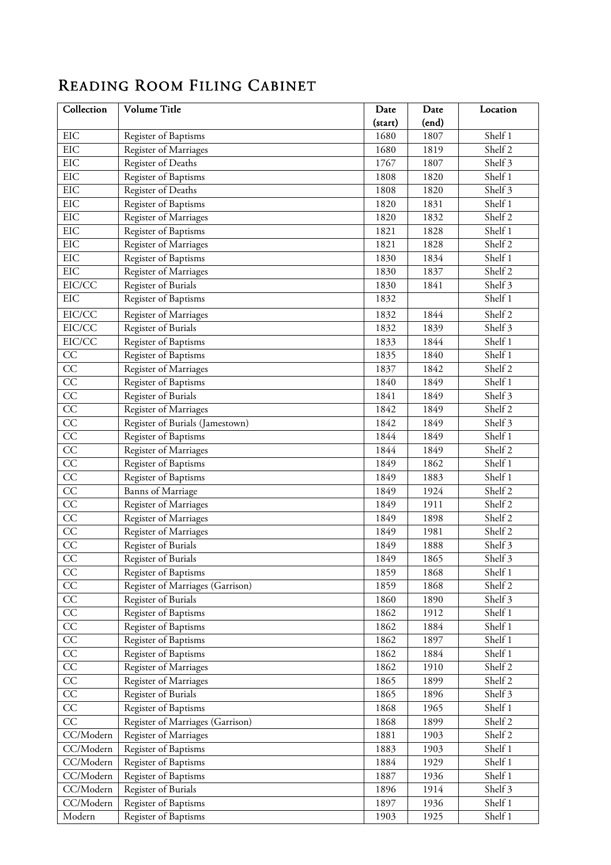## READING ROOM FILING CABINET

| Collection              | Volume Title                     | Date    | Date  | Location |
|-------------------------|----------------------------------|---------|-------|----------|
|                         |                                  | (start) | (end) |          |
| $\rm EIC$               | Register of Baptisms             | 1680    | 1807  | Shelf 1  |
| EIC                     | Register of Marriages            | 1680    | 1819  | Shelf 2  |
| <b>EIC</b>              | Register of Deaths               | 1767    | 1807  | Shelf 3  |
| EIC                     | Register of Baptisms             | 1808    | 1820  | Shelf 1  |
| EIC                     | Register of Deaths               | 1808    | 1820  | Shelf 3  |
| EIC                     | Register of Baptisms             | 1820    | 1831  | Shelf 1  |
| EIC                     | Register of Marriages            | 1820    | 1832  | Shelf 2  |
| <b>EIC</b>              | <b>Register of Baptisms</b>      | 1821    | 1828  | Shelf 1  |
| EIC                     | Register of Marriages            | 1821    | 1828  | Shelf 2  |
| <b>EIC</b>              | Register of Baptisms             | 1830    | 1834  | Shelf 1  |
| EIC                     | Register of Marriages            | 1830    | 1837  | Shelf 2  |
| EIC/CC                  | Register of Burials              | 1830    | 1841  | Shelf 3  |
| EIC                     | Register of Baptisms             | 1832    |       | Shelf 1  |
| EIC/CC                  | Register of Marriages            | 1832    | 1844  | Shelf 2  |
| EIC/CC                  | Register of Burials              | 1832    | 1839  | Shelf 3  |
| EIC/CC                  | Register of Baptisms             | 1833    | 1844  | Shelf 1  |
| CC                      | Register of Baptisms             | 1835    | 1840  | Shelf 1  |
| CC                      | Register of Marriages            | 1837    | 1842  | Shelf 2  |
| CC                      | Register of Baptisms             | 1840    | 1849  | Shelf 1  |
| $\overline{CC}$         | Register of Burials              | 1841    | 1849  | Shelf 3  |
| $\overline{CC}$         | Register of Marriages            | 1842    | 1849  | Shelf 2  |
| $\overline{CC}$         | Register of Burials (Jamestown)  | 1842    | 1849  | Shelf 3  |
| $\overline{CC}$         | Register of Baptisms             | 1844    | 1849  | Shelf 1  |
| CC                      | Register of Marriages            | 1844    | 1849  | Shelf 2  |
| $\overline{CC}$         | Register of Baptisms             | 1849    | 1862  | Shelf 1  |
| $\overline{CC}$         | Register of Baptisms             | 1849    | 1883  | Shelf 1  |
| $\overline{CC}$         | Banns of Marriage                | 1849    | 1924  | Shelf 2  |
| $\overline{CC}$         | Register of Marriages            | 1849    | 1911  | Shelf 2  |
| CC                      | Register of Marriages            | 1849    | 1898  | Shelf 2  |
| $\overline{CC}$         | Register of Marriages            | 1849    | 1981  | Shelf 2  |
| $\overline{CC}$         | Register of Burials              | 1849    | 1888  | Shelf 3  |
| $\overline{CC}$         | Register of Burials              | 1849    | 1865  | Shelf 3  |
| CC                      | Register of Baptisms             | 1859    | 1868  | Shelf 1  |
| CC                      | Register of Marriages (Garrison) | 1859    | 1868  | Shelf 2  |
| $\overline{CC}$         | Register of Burials              | 1860    | 1890  | Shelf 3  |
| $\overline{CC}$         | Register of Baptisms             | 1862    | 1912  | Shelf 1  |
| $\overline{CC}$         | Register of Baptisms             | 1862    | 1884  | Shelf 1  |
| $\rm CC$                | Register of Baptisms             | 1862    | 1897  | Shelf 1  |
| CC                      | Register of Baptisms             | 1862    | 1884  | Shelf 1  |
| $\overline{CC}$         | Register of Marriages            | 1862    | 1910  | Shelf 2  |
| $\overline{CC}$         | Register of Marriages            | 1865    | 1899  | Shelf 2  |
| $\overline{CC}$         | Register of Burials              | 1865    | 1896  | Shelf 3  |
| CC                      | Register of Baptisms             | 1868    | 1965  | Shelf 1  |
| CC                      | Register of Marriages (Garrison) | 1868    | 1899  | Shelf 2  |
| $\overline{CC}/M$ odern | Register of Marriages            | 1881    | 1903  | Shelf 2  |
| $\overline{CC}/M$ odern | Register of Baptisms             | 1883    | 1903  | Shelf 1  |
| CC/Modern               | Register of Baptisms             | 1884    | 1929  | Shelf 1  |
| CC/Modern               | Register of Baptisms             | 1887    | 1936  | Shelf 1  |
| CC/Modern               | Register of Burials              | 1896    | 1914  | Shelf 3  |
| CC/Modern               | Register of Baptisms             | 1897    | 1936  | Shelf 1  |
| Modern                  | Register of Baptisms             | 1903    | 1925  | Shelf 1  |
|                         |                                  |         |       |          |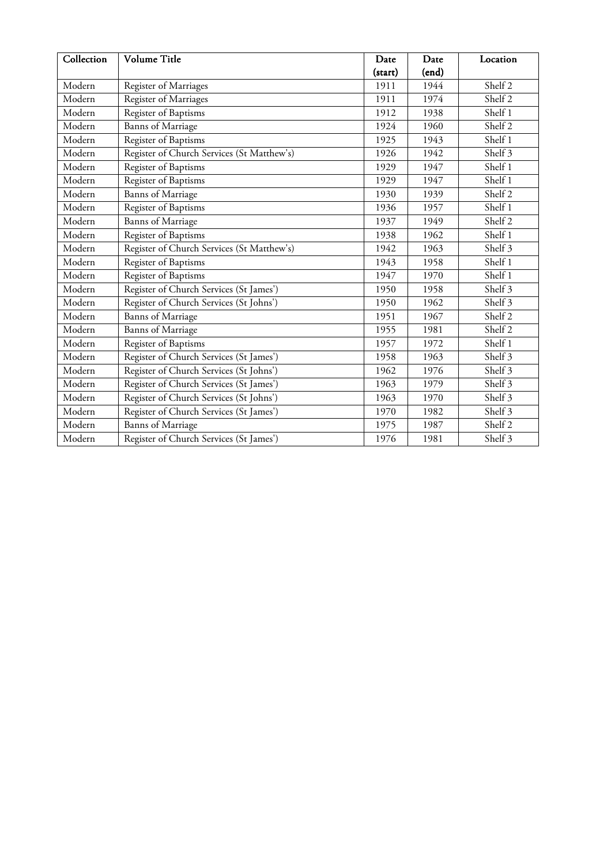| Collection                 | Volume Title                               | Date    | Date  | Location                    |
|----------------------------|--------------------------------------------|---------|-------|-----------------------------|
|                            |                                            | (start) | (end) |                             |
| Modern                     | Register of Marriages                      | 1911    | 1944  | Shelf 2                     |
| Modern                     | Register of Marriages                      | 1911    | 1974  | Shelf 2                     |
| Modern                     | Register of Baptisms                       | 1912    | 1938  | Shelf 1                     |
| Modern                     | <b>Banns</b> of Marriage                   | 1924    | 1960  | Shelf 2                     |
| Modern                     | Register of Baptisms                       | 1925    | 1943  | Shelf 1                     |
| Modern                     | Register of Church Services (St Matthew's) | 1926    | 1942  | Shelf 3                     |
| Modern                     | Register of Baptisms                       | 1929    | 1947  | Shelf 1                     |
| Modern                     | Register of Baptisms                       | 1929    | 1947  | Shelf 1                     |
| Modern                     | <b>Banns</b> of Marriage                   | 1930    | 1939  | Shelf 2                     |
| Modern                     | Register of Baptisms                       | 1936    | 1957  | Shelf 1                     |
| Modern                     | <b>Banns</b> of Marriage                   | 1937    | 1949  | $\overline{\text{Shelf}}$ 2 |
| Modern                     | Register of Baptisms                       | 1938    | 1962  | Shelf 1                     |
| Modern                     | Register of Church Services (St Matthew's) | 1942    | 1963  | Shelf 3                     |
| Modern                     | Register of Baptisms                       | 1943    | 1958  | Shelf 1                     |
| Modern                     | Register of Baptisms                       | 1947    | 1970  | Shelf 1                     |
| Modern                     | Register of Church Services (St James')    | 1950    | 1958  | Shelf 3                     |
| Modern                     | Register of Church Services (St Johns')    | 1950    | 1962  | Shelf 3                     |
| $\overline{\text{Modern}}$ | <b>Banns</b> of Marriage                   | 1951    | 1967  | Shelf 2                     |
| Modern                     | Banns of Marriage                          | 1955    | 1981  | Shelf 2                     |
| Modern                     | Register of Baptisms                       | 1957    | 1972  | Shelf 1                     |
| Modern                     | Register of Church Services (St James')    | 1958    | 1963  | $\overline{\text{Shelf}}$ 3 |
| Modern                     | Register of Church Services (St Johns')    | 1962    | 1976  | Shelf 3                     |
| Modern                     | Register of Church Services (St James')    | 1963    | 1979  | Shelf 3                     |
| Modern                     | Register of Church Services (St Johns')    | 1963    | 1970  | Shelf 3                     |
| Modern                     | Register of Church Services (St James')    | 1970    | 1982  | Shelf 3                     |
| Modern                     | <b>Banns</b> of Marriage                   | 1975    | 1987  | Shelf 2                     |
| Modern                     | Register of Church Services (St James')    | 1976    | 1981  | Shelf 3                     |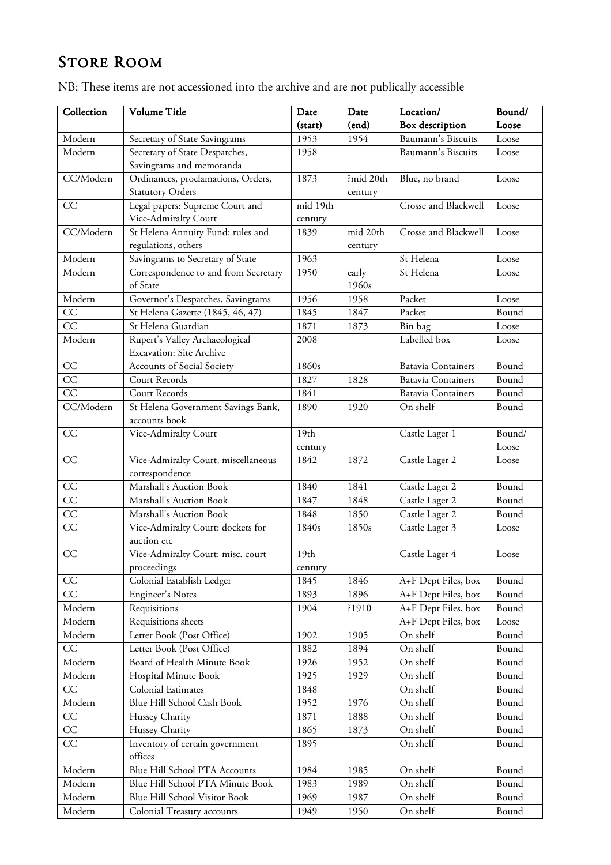## STORE ROOM

| Collection      | Volume Title                         | Date             | Date      | Location/                 | Bound/ |
|-----------------|--------------------------------------|------------------|-----------|---------------------------|--------|
|                 |                                      | (start)          | (end)     | Box description           | Loose  |
| Modern          | Secretary of State Savingrams        | 1953             | 1954      | Baumann's Biscuits        | Loose  |
| Modern          | Secretary of State Despatches,       | 1958             |           | Baumann's Biscuits        | Loose  |
|                 | Savingrams and memoranda             |                  |           |                           |        |
| CC/Modern       | Ordinances, proclamations, Orders,   | 1873             | ?mid 20th | Blue, no brand            | Loose  |
|                 | <b>Statutory Orders</b>              |                  | century   |                           |        |
| CC              | Legal papers: Supreme Court and      | mid 19th         |           | Crosse and Blackwell      | Loose  |
|                 | Vice-Admiralty Court                 | century          |           |                           |        |
| CC/Modern       | St Helena Annuity Fund: rules and    | 1839             | mid 20th  | Crosse and Blackwell      | Loose  |
|                 | regulations, others                  |                  | century   |                           |        |
| Modern          | Savingrams to Secretary of State     | 1963             |           | St Helena                 | Loose  |
| Modern          | Correspondence to and from Secretary | 1950             | early     | St Helena                 | Loose  |
|                 | of State                             |                  | 1960s     |                           |        |
| Modern          | Governor's Despatches, Savingrams    | 1956             | 1958      | Packet                    | Loose  |
| CC              | St Helena Gazette (1845, 46, 47)     | 1845             | 1847      | Packet                    | Bound  |
| $\overline{CC}$ | St Helena Guardian                   | 1871             | 1873      | Bin bag                   | Loose  |
| Modern          | Rupert's Valley Archaeological       | 2008             |           | Labelled box              | Loose  |
|                 | <b>Excavation: Site Archive</b>      |                  |           |                           |        |
| CC              | Accounts of Social Society           | 1860s            |           | <b>Batavia Containers</b> | Bound  |
| $\overline{CC}$ | Court Records                        | 1827             | 1828      | <b>Batavia Containers</b> | Bound  |
| CC              | Court Records                        | 1841             |           | <b>Batavia Containers</b> | Bound  |
| CC/Modern       | St Helena Government Savings Bank,   | 1890             | 1920      | On shelf                  | Bound  |
|                 | accounts book                        |                  |           |                           |        |
| CC              | Vice-Admiralty Court                 | 19 <sub>th</sub> |           | Castle Lager 1            | Bound/ |
|                 |                                      | century          |           |                           | Loose  |
| CC              | Vice-Admiralty Court, miscellaneous  | 1842             | 1872      | Castle Lager 2            | Loose  |
|                 | correspondence                       |                  |           |                           |        |
| $\overline{CC}$ | Marshall's Auction Book              | 1840             | 1841      | Castle Lager 2            | Bound  |
| $\overline{CC}$ | Marshall's Auction Book              | 1847             | 1848      | Castle Lager 2            | Bound  |
| $\overline{CC}$ | Marshall's Auction Book              | 1848             | 1850      | Castle Lager 2            | Bound  |
| CC              | Vice-Admiralty Court: dockets for    | 1840s            | 1850s     | Castle Lager 3            | Loose  |
|                 | auction etc                          |                  |           |                           |        |
| CC              | Vice-Admiralty Court: misc. court    | 19 <sub>th</sub> |           | Castle Lager 4            | Loose  |
|                 | proceedings                          | century          |           |                           |        |
| CC              | Colonial Establish Ledger            | 1845             | 1846      | A+F Dept Files, box       | Bound  |
| CC              | <b>Engineer's Notes</b>              | 1893             | 1896      | A+F Dept Files, box       | Bound  |
| Modern          | Requisitions                         | 1904             | ?1910     | A+F Dept Files, box       | Bound  |
| Modern          | Requisitions sheets                  |                  |           | A+F Dept Files, box       | Loose  |
| Modern          | Letter Book (Post Office)            | 1902             | 1905      | On shelf                  | Bound  |
| CC              | Letter Book (Post Office)            | 1882             | 1894      | On shelf                  | Bound  |
| Modern          | Board of Health Minute Book          | 1926             | 1952      | On shelf                  | Bound  |
| Modern          | Hospital Minute Book                 | 1925             | 1929      | On shelf                  | Bound  |
| $\overline{CC}$ | Colonial Estimates                   | 1848             |           | On shelf                  | Bound  |
| Modern          | Blue Hill School Cash Book           | 1952             | 1976      | On shelf                  | Bound  |
| CC              | Hussey Charity                       | 1871             | 1888      | On shelf                  | Bound  |
| CC              | Hussey Charity                       | 1865             | 1873      | On shelf                  | Bound  |
| $\overline{CC}$ | Inventory of certain government      | 1895             |           | On shelf                  | Bound  |
|                 | offices                              |                  |           |                           |        |
| Modern          | Blue Hill School PTA Accounts        | 1984             | 1985      | On shelf                  | Bound  |
| Modern          | Blue Hill School PTA Minute Book     | 1983             | 1989      | On shelf                  | Bound  |
| Modern          | Blue Hill School Visitor Book        | 1969             | 1987      | On shelf                  | Bound  |
|                 |                                      |                  |           |                           |        |
| Modern          | Colonial Treasury accounts           | 1949             | 1950      | On shelf                  | Bound  |

NB: These items are not accessioned into the archive and are not publically accessible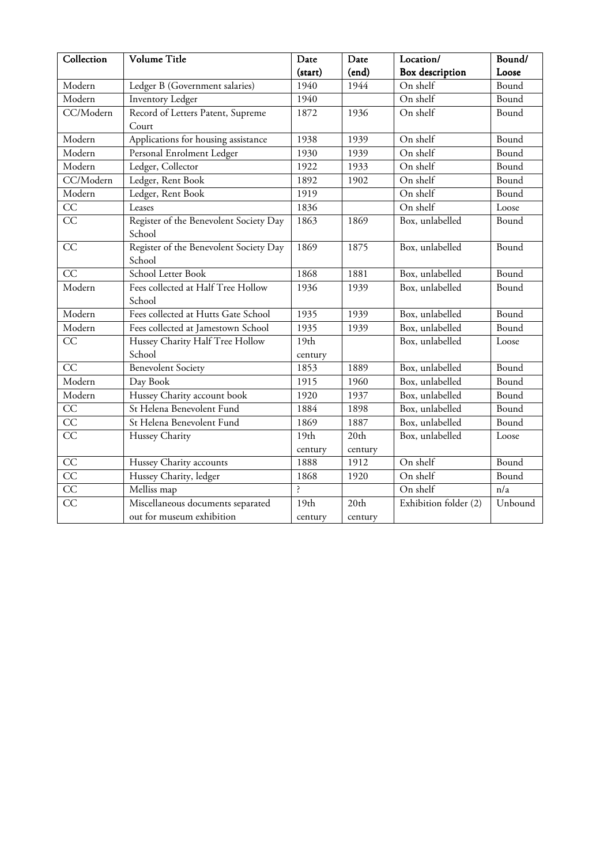| Collection              | Volume Title                           | Date             | Date             | Location/             | Bound/  |
|-------------------------|----------------------------------------|------------------|------------------|-----------------------|---------|
|                         |                                        | (start)          | (end)            | Box description       | Loose   |
| Modern                  | Ledger B (Government salaries)         | 1940             | 1944             | On shelf              | Bound   |
| Modern                  | <b>Inventory Ledger</b>                | 1940             |                  | On shelf              | Bound   |
| $\overline{CC}/M$ odern | Record of Letters Patent, Supreme      | 1872             | 1936             | On shelf              | Bound   |
|                         | Court                                  |                  |                  |                       |         |
| Modern                  | Applications for housing assistance    | 1938             | 1939             | On shelf              | Bound   |
| Modern                  | Personal Enrolment Ledger              | 1930             | 1939             | On shelf              | Bound   |
| Modern                  | Ledger, Collector                      | 1922             | 1933             | On shelf              | Bound   |
| $\overline{CC/M}$ odern | Ledger, Rent Book                      | 1892             | 1902             | On shelf              | Bound   |
| Modern                  | Ledger, Rent Book                      | 1919             |                  | On shelf              | Bound   |
| CC                      | Leases                                 | 1836             |                  | On shelf              | Loose   |
| CC                      | Register of the Benevolent Society Day | 1863             | 1869             | Box, unlabelled       | Bound   |
|                         | School                                 |                  |                  |                       |         |
| CC                      | Register of the Benevolent Society Day | 1869             | 1875             | Box, unlabelled       | Bound   |
|                         | School                                 |                  |                  |                       |         |
| $\overline{CC}$         | School Letter Book                     | 1868             | 1881             | Box, unlabelled       | Bound   |
| Modern                  | Fees collected at Half Tree Hollow     | 1936             | 1939             | Box, unlabelled       | Bound   |
|                         | School                                 |                  |                  |                       |         |
| Modern                  | Fees collected at Hutts Gate School    | 1935             | 1939             | Box, unlabelled       | Bound   |
| Modern                  | Fees collected at Jamestown School     | 1935             | 1939             | Box, unlabelled       | Bound   |
| CC                      | Hussey Charity Half Tree Hollow        | 19 <sub>th</sub> |                  | Box, unlabelled       | Loose   |
|                         | School                                 | century          |                  |                       |         |
| CC                      | <b>Benevolent Society</b>              | 1853             | 1889             | Box, unlabelled       | Bound   |
| Modern                  | Day Book                               | 1915             | 1960             | Box, unlabelled       | Bound   |
| Modern                  | Hussey Charity account book            | 1920             | 1937             | Box, unlabelled       | Bound   |
| CC                      | St Helena Benevolent Fund              | 1884             | 1898             | Box, unlabelled       | Bound   |
| $\overline{CC}$         | St Helena Benevolent Fund              | 1869             | 1887             | Box, unlabelled       | Bound   |
| $\overline{CC}$         | Hussey Charity                         | 19 <sub>th</sub> | 20th             | Box, unlabelled       | Loose   |
|                         |                                        | century          | century          |                       |         |
| CC                      | Hussey Charity accounts                | 1888             | 1912             | On shelf              | Bound   |
| $\overline{CC}$         | Hussey Charity, ledger                 | 1868             | 1920             | On shelf              | Bound   |
| CC                      | Melliss map                            | ŗ                |                  | On shelf              | n/a     |
| $\overline{CC}$         | Miscellaneous documents separated      | 19 <sub>th</sub> | 20 <sub>th</sub> | Exhibition folder (2) | Unbound |
|                         | out for museum exhibition              | century          | century          |                       |         |